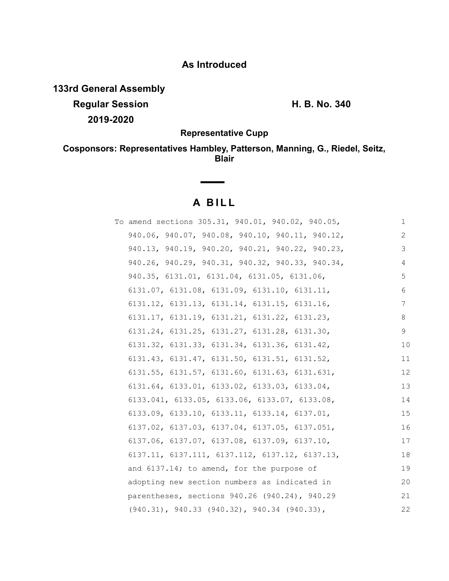## **As Introduced**

**133rd General Assembly**

**Regular Session H. B. No. 340 2019-2020**

**Representative Cupp**

**Cosponsors: Representatives Hambley, Patterson, Manning, G., Riedel, Seitz, Blair**

# **A BILL**

**Contract Contract** 

| To amend sections 305.31, 940.01, 940.02, 940.05,            | 1  |
|--------------------------------------------------------------|----|
| 940.06, 940.07, 940.08, 940.10, 940.11, 940.12,              | 2  |
| 940.13, 940.19, 940.20, 940.21, 940.22, 940.23,              | 3  |
| 940.26, 940.29, 940.31, 940.32, 940.33, 940.34,              | 4  |
| 940.35, 6131.01, 6131.04, 6131.05, 6131.06,                  | 5  |
| $6131.07$ , $6131.08$ , $6131.09$ , $6131.10$ , $6131.11$ ,  | 6  |
| $6131.12$ , $6131.13$ , $6131.14$ , $6131.15$ , $6131.16$ ,  | 7  |
| $6131.17$ , $6131.19$ , $6131.21$ , $6131.22$ , $6131.23$ ,  | 8  |
| $6131.24, 6131.25, 6131.27, 6131.28, 6131.30,$               | 9  |
| 6131.32, 6131.33, 6131.34, 6131.36, 6131.42,                 | 10 |
| 6131.43, 6131.47, 6131.50, 6131.51, 6131.52,                 | 11 |
| $6131.55$ , $6131.57$ , $6131.60$ , $6131.63$ , $6131.631$ , | 12 |
| $6131.64, 6133.01, 6133.02, 6133.03, 6133.04,$               | 13 |
| 6133.041, 6133.05, 6133.06, 6133.07, 6133.08,                | 14 |
| $6133.09$ , $6133.10$ , $6133.11$ , $6133.14$ , $6137.01$ ,  | 15 |
| 6137.02, 6137.03, 6137.04, 6137.05, 6137.051,                | 16 |
| $6137.06$ , $6137.07$ , $6137.08$ , $6137.09$ , $6137.10$ ,  | 17 |
| $6137.11, 6137.111, 6137.112, 6137.12, 6137.13,$             | 18 |
| and 6137.14; to amend, for the purpose of                    | 19 |
| adopting new section numbers as indicated in                 | 20 |
| parentheses, sections 940.26 (940.24), 940.29                | 21 |
| $(940.31)$ , $940.33$ $(940.32)$ , $940.34$ $(940.33)$ ,     | 22 |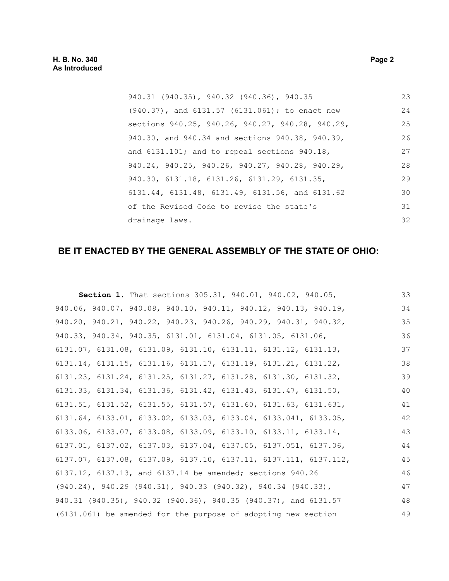### **H. B. No. 340 Page 2 As Introduced**

| 940.31 (940.35), 940.32 (940.36), 940.35               | 23 |
|--------------------------------------------------------|----|
| $(940.37)$ , and $6131.57$ $(6131.061)$ ; to enact new | 24 |
| sections 940.25, 940.26, 940.27, 940.28, 940.29,       | 25 |
| 940.30, and 940.34 and sections 940.38, 940.39,        | 26 |
| and 6131.101; and to repeal sections 940.18,           | 27 |
| 940.24, 940.25, 940.26, 940.27, 940.28, 940.29,        | 28 |
| 940.30, 6131.18, 6131.26, 6131.29, 6131.35,            | 29 |
| 6131.44, 6131.48, 6131.49, 6131.56, and 6131.62        | 30 |
| of the Revised Code to revise the state's              | 31 |
| drainage laws.                                         | 32 |

# **BE IT ENACTED BY THE GENERAL ASSEMBLY OF THE STATE OF OHIO:**

| <b>Section 1.</b> That sections 305.31, 940.01, 940.02, 940.05,                      | 33 |
|--------------------------------------------------------------------------------------|----|
| 940.06, 940.07, 940.08, 940.10, 940.11, 940.12, 940.13, 940.19,                      | 34 |
| 940.20, 940.21, 940.22, 940.23, 940.26, 940.29, 940.31, 940.32,                      | 35 |
| 940.33, 940.34, 940.35, 6131.01, 6131.04, 6131.05, 6131.06,                          | 36 |
| $6131.07$ , $6131.08$ , $6131.09$ , $6131.10$ , $6131.11$ , $6131.12$ , $6131.13$ ,  | 37 |
| $6131.14$ , $6131.15$ , $6131.16$ , $6131.17$ , $6131.19$ , $6131.21$ , $6131.22$ ,  | 38 |
| 6131.23, 6131.24, 6131.25, 6131.27, 6131.28, 6131.30, 6131.32,                       | 39 |
| $6131.33$ , $6131.34$ , $6131.36$ , $6131.42$ , $6131.43$ , $6131.47$ , $6131.50$ ,  | 40 |
| $6131.51$ , $6131.52$ , $6131.55$ , $6131.57$ , $6131.60$ , $6131.63$ , $6131.631$ , | 41 |
| $6131.64, 6133.01, 6133.02, 6133.03, 6133.04, 6133.041, 6133.05,$                    | 42 |
| $6133.06$ , $6133.07$ , $6133.08$ , $6133.09$ , $6133.10$ , $6133.11$ , $6133.14$ ,  | 43 |
| $6137.01, 6137.02, 6137.03, 6137.04, 6137.05, 6137.051, 6137.06,$                    | 44 |
| 6137.07, 6137.08, 6137.09, 6137.10, 6137.11, 6137.111, 6137.112,                     | 45 |
| 6137.12, 6137.13, and 6137.14 be amended; sections 940.26                            | 46 |
| $(940.24)$ , $940.29$ $(940.31)$ , $940.33$ $(940.32)$ , $940.34$ $(940.33)$ ,       | 47 |
| 940.31 (940.35), 940.32 (940.36), 940.35 (940.37), and 6131.57                       | 48 |
| (6131.061) be amended for the purpose of adopting new section                        | 49 |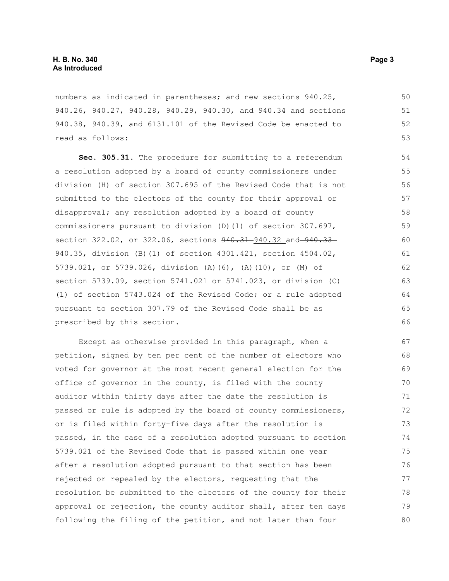numbers as indicated in parentheses; and new sections 940.25, 940.26, 940.27, 940.28, 940.29, 940.30, and 940.34 and sections 940.38, 940.39, and 6131.101 of the Revised Code be enacted to read as follows:

**Sec. 305.31.** The procedure for submitting to a referendum a resolution adopted by a board of county commissioners under division (H) of section 307.695 of the Revised Code that is not submitted to the electors of the county for their approval or disapproval; any resolution adopted by a board of county commissioners pursuant to division (D)(1) of section 307.697, section 322.02, or 322.06, sections  $940.31 - 940.32$  and  $940.33 -$ 940.35, division (B)(1) of section 4301.421, section 4504.02, 5739.021, or 5739.026, division (A)(6), (A)(10), or (M) of section 5739.09, section 5741.021 or 5741.023, or division (C) (1) of section 5743.024 of the Revised Code; or a rule adopted pursuant to section 307.79 of the Revised Code shall be as prescribed by this section. 57

Except as otherwise provided in this paragraph, when a petition, signed by ten per cent of the number of electors who voted for governor at the most recent general election for the office of governor in the county, is filed with the county auditor within thirty days after the date the resolution is passed or rule is adopted by the board of county commissioners, or is filed within forty-five days after the resolution is passed, in the case of a resolution adopted pursuant to section 5739.021 of the Revised Code that is passed within one year after a resolution adopted pursuant to that section has been rejected or repealed by the electors, requesting that the resolution be submitted to the electors of the county for their approval or rejection, the county auditor shall, after ten days following the filing of the petition, and not later than four 67 68 69 70 71 72 73 74 75 76 77 78 79 80

54 55 56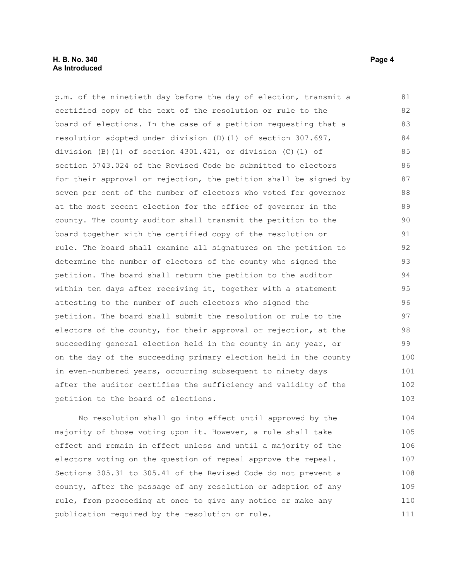#### **H. B. No. 340 Page 4 As Introduced**

p.m. of the ninetieth day before the day of election, transmit a certified copy of the text of the resolution or rule to the board of elections. In the case of a petition requesting that a resolution adopted under division (D)(1) of section 307.697, division (B)(1) of section 4301.421, or division (C)(1) of section 5743.024 of the Revised Code be submitted to electors for their approval or rejection, the petition shall be signed by seven per cent of the number of electors who voted for governor at the most recent election for the office of governor in the county. The county auditor shall transmit the petition to the board together with the certified copy of the resolution or rule. The board shall examine all signatures on the petition to determine the number of electors of the county who signed the petition. The board shall return the petition to the auditor within ten days after receiving it, together with a statement attesting to the number of such electors who signed the petition. The board shall submit the resolution or rule to the electors of the county, for their approval or rejection, at the succeeding general election held in the county in any year, or on the day of the succeeding primary election held in the county in even-numbered years, occurring subsequent to ninety days after the auditor certifies the sufficiency and validity of the petition to the board of elections. 81 82 83 84 85 86 87 88 89 90 91 92 93 94 95 96 97 98 99 100 101 102 103

No resolution shall go into effect until approved by the majority of those voting upon it. However, a rule shall take effect and remain in effect unless and until a majority of the electors voting on the question of repeal approve the repeal. Sections 305.31 to 305.41 of the Revised Code do not prevent a county, after the passage of any resolution or adoption of any rule, from proceeding at once to give any notice or make any publication required by the resolution or rule. 104 105 106 107 108 109 110 111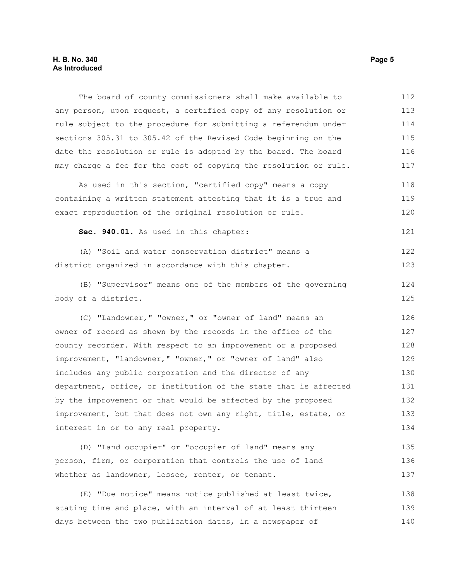The board of county commissioners shall make available to any person, upon request, a certified copy of any resolution or rule subject to the procedure for submitting a referendum under sections 305.31 to 305.42 of the Revised Code beginning on the date the resolution or rule is adopted by the board. The board may charge a fee for the cost of copying the resolution or rule. 112 113 114 115 116 117

As used in this section, "certified copy" means a copy containing a written statement attesting that it is a true and exact reproduction of the original resolution or rule. 118 119 120

**Sec. 940.01.** As used in this chapter: 121

(A) "Soil and water conservation district" means a district organized in accordance with this chapter. 122 123

(B) "Supervisor" means one of the members of the governing body of a district.

(C) "Landowner," "owner," or "owner of land" means an owner of record as shown by the records in the office of the county recorder. With respect to an improvement or a proposed improvement, "landowner," "owner," or "owner of land" also includes any public corporation and the director of any department, office, or institution of the state that is affected by the improvement or that would be affected by the proposed improvement, but that does not own any right, title, estate, or interest in or to any real property. 126 127 128 129 130 131 132 133 134

(D) "Land occupier" or "occupier of land" means any person, firm, or corporation that controls the use of land whether as landowner, lessee, renter, or tenant. 135 136 137

(E) "Due notice" means notice published at least twice, stating time and place, with an interval of at least thirteen days between the two publication dates, in a newspaper of 138 139 140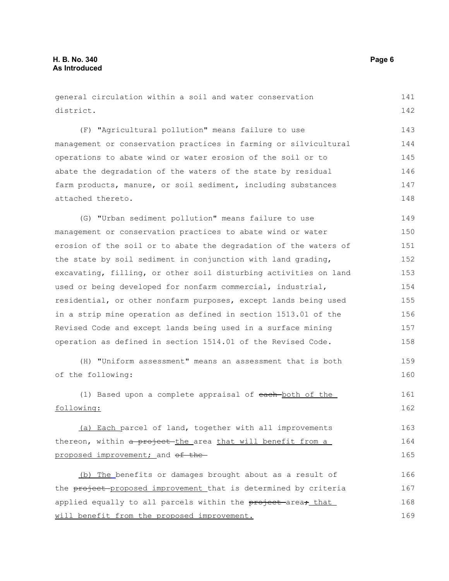general circulation within a soil and water conservation district. (F) "Agricultural pollution" means failure to use management or conservation practices in farming or silvicultural operations to abate wind or water erosion of the soil or to abate the degradation of the waters of the state by residual farm products, manure, or soil sediment, including substances attached thereto. (G) "Urban sediment pollution" means failure to use management or conservation practices to abate wind or water erosion of the soil or to abate the degradation of the waters of the state by soil sediment in conjunction with land grading, excavating, filling, or other soil disturbing activities on land used or being developed for nonfarm commercial, industrial, residential, or other nonfarm purposes, except lands being used in a strip mine operation as defined in section 1513.01 of the Revised Code and except lands being used in a surface mining operation as defined in section 1514.01 of the Revised Code. (H) "Uniform assessment" means an assessment that is both of the following: (1) Based upon a complete appraisal of each both of the following: (a) Each parcel of land, together with all improvements thereon, within a project the area that will benefit from a proposed improvement; and of the (b) The benefits or damages brought about as a result of the project-proposed improvement that is determined by criteria applied equally to all parcels within the project area, that 141 142 143 144 145 146 147 148 149 150 151 152 153 154 155 156 157 158 159 160 161 162 163 164 165 166 167 168

will benefit from the proposed improvement.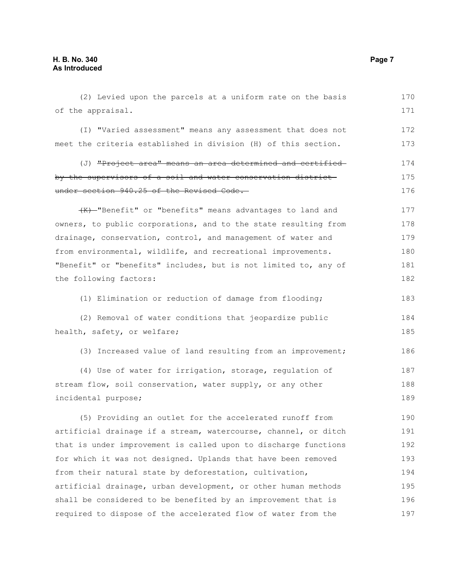| (2) Levied upon the parcels at a uniform rate on the basis      | 170 |
|-----------------------------------------------------------------|-----|
| of the appraisal.                                               | 171 |
| (I) "Varied assessment" means any assessment that does not      | 172 |
| meet the criteria established in division (H) of this section.  | 173 |
| (J) "Project area" means an area determined and certified       | 174 |
| by the supervisors of a soil and water conservation district    | 175 |
| under section 940.25 of the Revised Code.                       | 176 |
| (K)-"Benefit" or "benefits" means advantages to land and        | 177 |
| owners, to public corporations, and to the state resulting from | 178 |
| drainage, conservation, control, and management of water and    | 179 |
| from environmental, wildlife, and recreational improvements.    | 180 |
| "Benefit" or "benefits" includes, but is not limited to, any of | 181 |
| the following factors:                                          | 182 |
| (1) Elimination or reduction of damage from flooding;           | 183 |
| (2) Removal of water conditions that jeopardize public          | 184 |
| health, safety, or welfare;                                     | 185 |
| (3) Increased value of land resulting from an improvement;      | 186 |
| (4) Use of water for irrigation, storage, regulation of         | 187 |
| stream flow, soil conservation, water supply, or any other      | 188 |
| incidental purpose;                                             | 189 |
| (5) Providing an outlet for the accelerated runoff from         | 190 |
| artificial drainage if a stream, watercourse, channel, or ditch | 191 |
| that is under improvement is called upon to discharge functions | 192 |
| for which it was not designed. Uplands that have been removed   | 193 |
| from their natural state by deforestation, cultivation,         | 194 |
| artificial drainage, urban development, or other human methods  | 195 |
| shall be considered to be benefited by an improvement that is   | 196 |
| required to dispose of the accelerated flow of water from the   | 197 |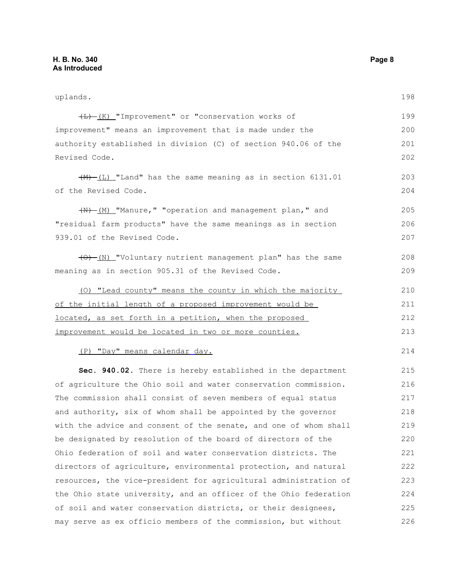uplands. (L) (K) "Improvement" or "conservation works of improvement" means an improvement that is made under the authority established in division (C) of section 940.06 of the Revised Code.  $(\frac{M}{L})$  "Land" has the same meaning as in section 6131.01 of the Revised Code.  $(W)$  (M) "Manure," "operation and management plan," and "residual farm products" have the same meanings as in section 939.01 of the Revised Code. (O) (N) "Voluntary nutrient management plan" has the same meaning as in section 905.31 of the Revised Code. (O) "Lead county" means the county in which the majority of the initial length of a proposed improvement would be located, as set forth in a petition, when the proposed improvement would be located in two or more counties. (P) "Day" means calendar day. **Sec. 940.02.** There is hereby established in the department of agriculture the Ohio soil and water conservation commission. The commission shall consist of seven members of equal status and authority, six of whom shall be appointed by the governor with the advice and consent of the senate, and one of whom shall be designated by resolution of the board of directors of the Ohio federation of soil and water conservation districts. The directors of agriculture, environmental protection, and natural resources, the vice-president for agricultural administration of the Ohio state university, and an officer of the Ohio federation of soil and water conservation districts, or their designees, 198 199 200 201 202 203 204 205 206 207 208 209 210 211 212 213 214 215 216 217 218 219 220 221 222 223 224 225

may serve as ex officio members of the commission, but without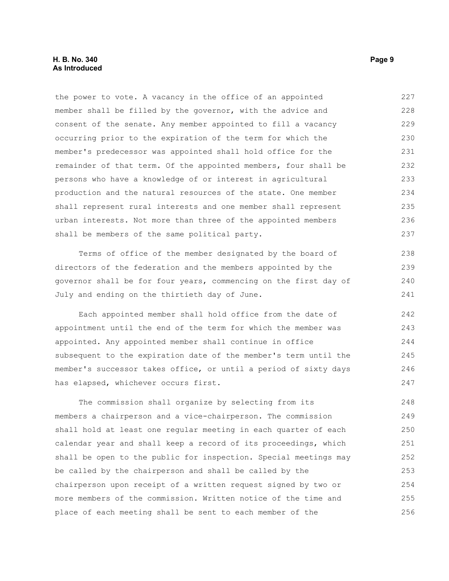the power to vote. A vacancy in the office of an appointed member shall be filled by the governor, with the advice and consent of the senate. Any member appointed to fill a vacancy occurring prior to the expiration of the term for which the member's predecessor was appointed shall hold office for the remainder of that term. Of the appointed members, four shall be persons who have a knowledge of or interest in agricultural production and the natural resources of the state. One member shall represent rural interests and one member shall represent urban interests. Not more than three of the appointed members shall be members of the same political party. 227 228 229 230 231 232 233 234 235 236 237

Terms of office of the member designated by the board of directors of the federation and the members appointed by the governor shall be for four years, commencing on the first day of July and ending on the thirtieth day of June.

Each appointed member shall hold office from the date of appointment until the end of the term for which the member was appointed. Any appointed member shall continue in office subsequent to the expiration date of the member's term until the member's successor takes office, or until a period of sixty days has elapsed, whichever occurs first.

The commission shall organize by selecting from its members a chairperson and a vice-chairperson. The commission shall hold at least one regular meeting in each quarter of each calendar year and shall keep a record of its proceedings, which shall be open to the public for inspection. Special meetings may be called by the chairperson and shall be called by the chairperson upon receipt of a written request signed by two or more members of the commission. Written notice of the time and place of each meeting shall be sent to each member of the 248 249 250 251 252 253 254 255 256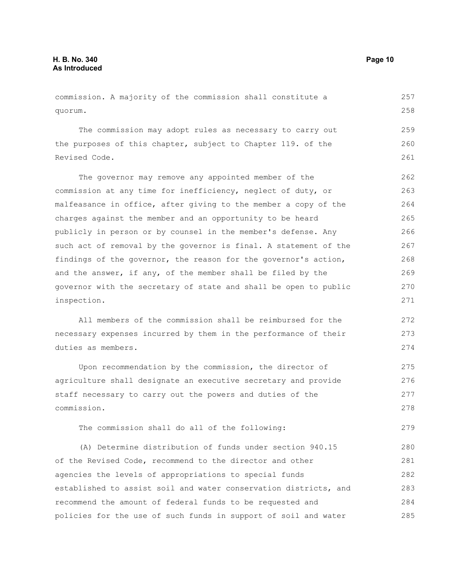commission. A majority of the commission shall constitute a quorum. The commission may adopt rules as necessary to carry out the purposes of this chapter, subject to Chapter 119. of the Revised Code. The governor may remove any appointed member of the commission at any time for inefficiency, neglect of duty, or malfeasance in office, after giving to the member a copy of the charges against the member and an opportunity to be heard publicly in person or by counsel in the member's defense. Any such act of removal by the governor is final. A statement of the findings of the governor, the reason for the governor's action, and the answer, if any, of the member shall be filed by the governor with the secretary of state and shall be open to public inspection. All members of the commission shall be reimbursed for the necessary expenses incurred by them in the performance of their duties as members. Upon recommendation by the commission, the director of agriculture shall designate an executive secretary and provide staff necessary to carry out the powers and duties of the commission. The commission shall do all of the following: (A) Determine distribution of funds under section 940.15 of the Revised Code, recommend to the director and other 257 258 259 260 261 262 263 264 265 266 267 268 269 270 271 272 273 274 275 276 277 278 279 280 281

agencies the levels of appropriations to special funds established to assist soil and water conservation districts, and recommend the amount of federal funds to be requested and policies for the use of such funds in support of soil and water 282 283 284 285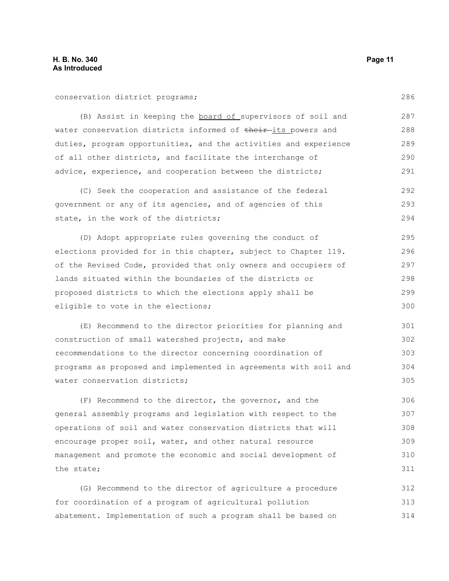conservation district programs;

(B) Assist in keeping the board of supervisors of soil and water conservation districts informed of their-its powers and duties, program opportunities, and the activities and experience of all other districts, and facilitate the interchange of advice, experience, and cooperation between the districts; 287 288 289 290 291

(C) Seek the cooperation and assistance of the federal government or any of its agencies, and of agencies of this state, in the work of the districts; 292 293 294

(D) Adopt appropriate rules governing the conduct of elections provided for in this chapter, subject to Chapter 119. of the Revised Code, provided that only owners and occupiers of lands situated within the boundaries of the districts or proposed districts to which the elections apply shall be eligible to vote in the elections; 295 296 297 298 299 300

(E) Recommend to the director priorities for planning and construction of small watershed projects, and make recommendations to the director concerning coordination of programs as proposed and implemented in agreements with soil and water conservation districts; 301 302 303 304 305

(F) Recommend to the director, the governor, and the general assembly programs and legislation with respect to the operations of soil and water conservation districts that will encourage proper soil, water, and other natural resource management and promote the economic and social development of the state; 306 307 308 309 310 311

(G) Recommend to the director of agriculture a procedure for coordination of a program of agricultural pollution abatement. Implementation of such a program shall be based on 312 313 314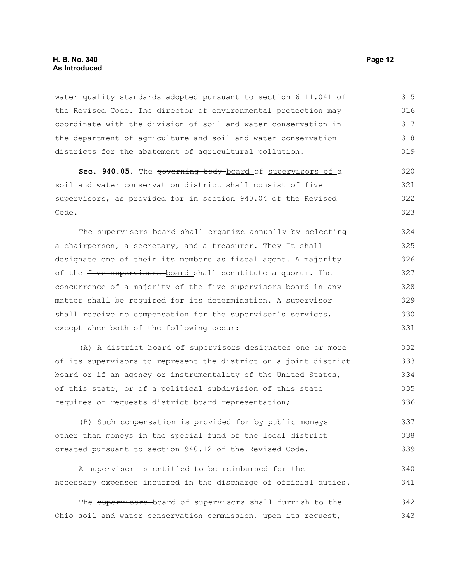water quality standards adopted pursuant to section 6111.041 of the Revised Code. The director of environmental protection may coordinate with the division of soil and water conservation in the department of agriculture and soil and water conservation districts for the abatement of agricultural pollution. 315 316 317 318 319

Sec. 940.05. The governing body board of supervisors of a soil and water conservation district shall consist of five supervisors, as provided for in section 940.04 of the Revised Code. 320 321 322 323

The supervisors board shall organize annually by selecting a chairperson, a secretary, and a treasurer. They-It shall designate one of their its members as fiscal agent. A majority of the five supervisors board shall constitute a quorum. The concurrence of a majority of the five supervisors board in any matter shall be required for its determination. A supervisor shall receive no compensation for the supervisor's services, except when both of the following occur: 324 325 326 327 328 329 330 331

(A) A district board of supervisors designates one or more of its supervisors to represent the district on a joint district board or if an agency or instrumentality of the United States, of this state, or of a political subdivision of this state requires or requests district board representation; 332 333 334 335 336

(B) Such compensation is provided for by public moneys other than moneys in the special fund of the local district created pursuant to section 940.12 of the Revised Code. 337 338 339

A supervisor is entitled to be reimbursed for the necessary expenses incurred in the discharge of official duties. 340 341

The supervisors board of supervisors shall furnish to the Ohio soil and water conservation commission, upon its request, 342 343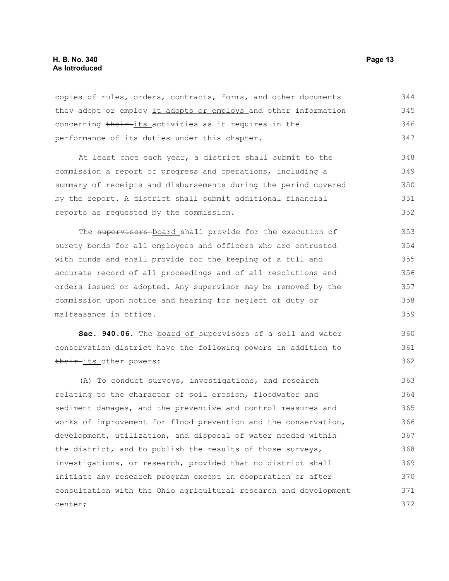copies of rules, orders, contracts, forms, and other documents they adopt or employ it adopts or employs and other information concerning their-its activities as it requires in the performance of its duties under this chapter. 344 345 346 347

At least once each year, a district shall submit to the commission a report of progress and operations, including a summary of receipts and disbursements during the period covered by the report. A district shall submit additional financial reports as requested by the commission. 348 349 350 351 352

The supervisors board shall provide for the execution of surety bonds for all employees and officers who are entrusted with funds and shall provide for the keeping of a full and accurate record of all proceedings and of all resolutions and orders issued or adopted. Any supervisor may be removed by the commission upon notice and hearing for neglect of duty or malfeasance in office. 353 354 355 356 357 358 359

Sec. 940.06. The **board of** supervisors of a soil and water conservation district have the following powers in addition to their its other powers:

(A) To conduct surveys, investigations, and research relating to the character of soil erosion, floodwater and sediment damages, and the preventive and control measures and works of improvement for flood prevention and the conservation, development, utilization, and disposal of water needed within the district, and to publish the results of those surveys, investigations, or research, provided that no district shall initiate any research program except in cooperation or after consultation with the Ohio agricultural research and development center; 363 364 365 366 367 368 369 370 371 372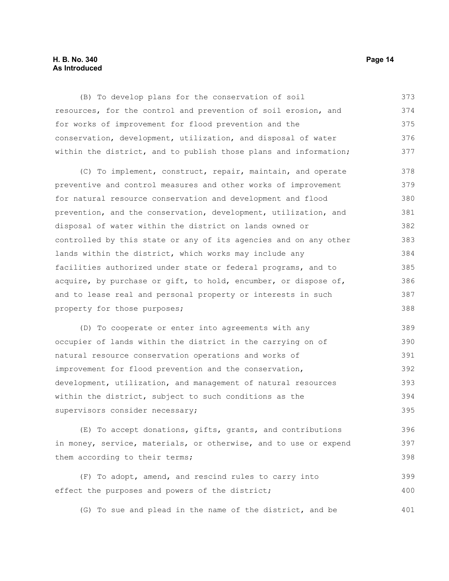#### **H. B. No. 340 Page 14 As Introduced**

(B) To develop plans for the conservation of soil resources, for the control and prevention of soil erosion, and for works of improvement for flood prevention and the conservation, development, utilization, and disposal of water within the district, and to publish those plans and information; 373 374 375 376 377

(C) To implement, construct, repair, maintain, and operate preventive and control measures and other works of improvement for natural resource conservation and development and flood prevention, and the conservation, development, utilization, and disposal of water within the district on lands owned or controlled by this state or any of its agencies and on any other lands within the district, which works may include any facilities authorized under state or federal programs, and to acquire, by purchase or gift, to hold, encumber, or dispose of, and to lease real and personal property or interests in such property for those purposes; 378 379 380 381 382 383 384 385 386 387 388

(D) To cooperate or enter into agreements with any occupier of lands within the district in the carrying on of natural resource conservation operations and works of improvement for flood prevention and the conservation, development, utilization, and management of natural resources within the district, subject to such conditions as the supervisors consider necessary; 389 390 391 392 393 394 395

(E) To accept donations, gifts, grants, and contributions in money, service, materials, or otherwise, and to use or expend them according to their terms;

(F) To adopt, amend, and rescind rules to carry into effect the purposes and powers of the district; 399 400

(G) To sue and plead in the name of the district, and be 401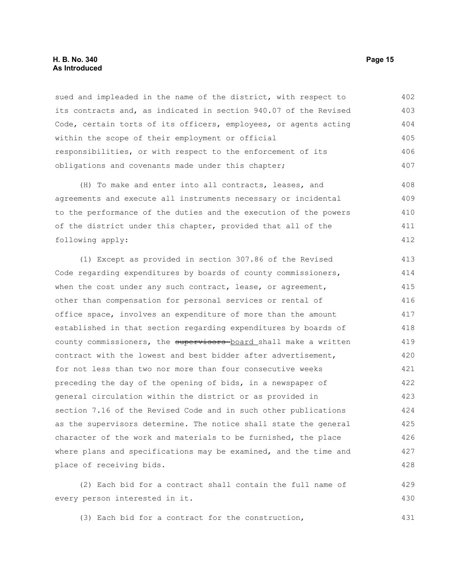#### **H. B. No. 340 Page 15 As Introduced**

sued and impleaded in the name of the district, with respect to its contracts and, as indicated in section 940.07 of the Revised Code, certain torts of its officers, employees, or agents acting within the scope of their employment or official responsibilities, or with respect to the enforcement of its obligations and covenants made under this chapter; 402 403 404 405 406 407

(H) To make and enter into all contracts, leases, and agreements and execute all instruments necessary or incidental to the performance of the duties and the execution of the powers of the district under this chapter, provided that all of the following apply: 408 409 410 411 412

(1) Except as provided in section 307.86 of the Revised Code regarding expenditures by boards of county commissioners, when the cost under any such contract, lease, or agreement, other than compensation for personal services or rental of office space, involves an expenditure of more than the amount established in that section regarding expenditures by boards of county commissioners, the supervisors board shall make a written contract with the lowest and best bidder after advertisement, for not less than two nor more than four consecutive weeks preceding the day of the opening of bids, in a newspaper of general circulation within the district or as provided in section 7.16 of the Revised Code and in such other publications as the supervisors determine. The notice shall state the general character of the work and materials to be furnished, the place where plans and specifications may be examined, and the time and place of receiving bids. 413 414 415 416 417 418 419 420 421 422 423 424 425 426 427 428

(2) Each bid for a contract shall contain the full name of every person interested in it. 429 430

(3) Each bid for a contract for the construction, 431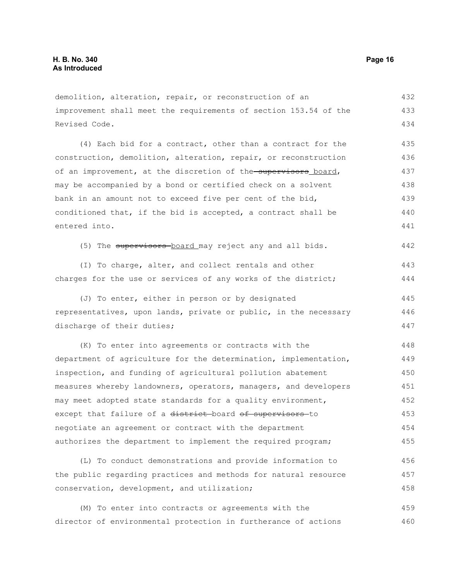demolition, alteration, repair, or reconstruction of an improvement shall meet the requirements of section 153.54 of the Revised Code. 432 433 434

(4) Each bid for a contract, other than a contract for the construction, demolition, alteration, repair, or reconstruction of an improvement, at the discretion of the supervisors board, may be accompanied by a bond or certified check on a solvent bank in an amount not to exceed five per cent of the bid, conditioned that, if the bid is accepted, a contract shall be entered into. 435 436 437 438 439 440 441

(5) The supervisors board may reject any and all bids. 442

(I) To charge, alter, and collect rentals and other charges for the use or services of any works of the district;

(J) To enter, either in person or by designated representatives, upon lands, private or public, in the necessary discharge of their duties; 445 446 447

(K) To enter into agreements or contracts with the department of agriculture for the determination, implementation, inspection, and funding of agricultural pollution abatement measures whereby landowners, operators, managers, and developers may meet adopted state standards for a quality environment, except that failure of a district board of supervisors to negotiate an agreement or contract with the department authorizes the department to implement the required program; 448 449 450 451 452 453 454 455

(L) To conduct demonstrations and provide information to the public regarding practices and methods for natural resource conservation, development, and utilization; 456 457 458

(M) To enter into contracts or agreements with the director of environmental protection in furtherance of actions 459 460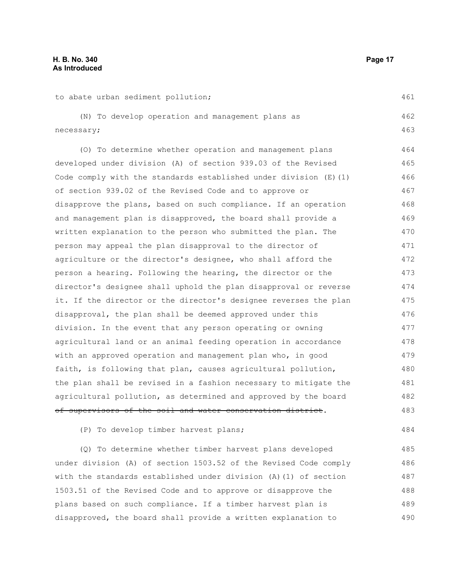| to abate urban sediment pollution;                                  | 461 |
|---------------------------------------------------------------------|-----|
| (N) To develop operation and management plans as                    | 462 |
| necessary;                                                          | 463 |
| (O) To determine whether operation and management plans             | 464 |
| developed under division (A) of section 939.03 of the Revised       | 465 |
| Code comply with the standards established under division $(E)$ (1) | 466 |
| of section 939.02 of the Revised Code and to approve or             | 467 |
| disapprove the plans, based on such compliance. If an operation     | 468 |
| and management plan is disapproved, the board shall provide a       | 469 |
| written explanation to the person who submitted the plan. The       | 470 |
| person may appeal the plan disapproval to the director of           | 471 |
| agriculture or the director's designee, who shall afford the        | 472 |
| person a hearing. Following the hearing, the director or the        | 473 |
| director's designee shall uphold the plan disapproval or reverse    | 474 |
| it. If the director or the director's designee reverses the plan    | 475 |
| disapproval, the plan shall be deemed approved under this           | 476 |
| division. In the event that any person operating or owning          | 477 |
| agricultural land or an animal feeding operation in accordance      | 478 |
| with an approved operation and management plan who, in good         | 479 |
| faith, is following that plan, causes agricultural pollution,       | 480 |
| the plan shall be revised in a fashion necessary to mitigate the    | 481 |
| agricultural pollution, as determined and approved by the board     | 482 |
| of supervisors of the soil and water conservation district.         | 483 |
| (P) To develop timber harvest plans;                                | 484 |
| (Q) To determine whether timber harvest plans developed             | 485 |

under division (A) of section 1503.52 of the Revised Code comply with the standards established under division (A)(1) of section 1503.51 of the Revised Code and to approve or disapprove the plans based on such compliance. If a timber harvest plan is disapproved, the board shall provide a written explanation to 486 487 488 489 490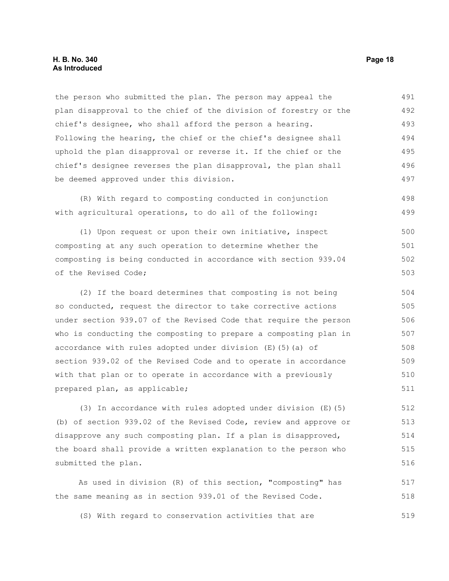#### **H. B. No. 340 Page 18 As Introduced**

the person who submitted the plan. The person may appeal the plan disapproval to the chief of the division of forestry or the chief's designee, who shall afford the person a hearing. Following the hearing, the chief or the chief's designee shall uphold the plan disapproval or reverse it. If the chief or the chief's designee reverses the plan disapproval, the plan shall be deemed approved under this division. 491 492 493 494 495 496 497

(R) With regard to composting conducted in conjunction with agricultural operations, to do all of the following: 498 499

(1) Upon request or upon their own initiative, inspect composting at any such operation to determine whether the composting is being conducted in accordance with section 939.04 of the Revised Code; 500 501 502 503

(2) If the board determines that composting is not being so conducted, request the director to take corrective actions under section 939.07 of the Revised Code that require the person who is conducting the composting to prepare a composting plan in accordance with rules adopted under division (E)(5)(a) of section 939.02 of the Revised Code and to operate in accordance with that plan or to operate in accordance with a previously prepared plan, as applicable; 504 505 506 507 508 509 510 511

(3) In accordance with rules adopted under division (E)(5) (b) of section 939.02 of the Revised Code, review and approve or disapprove any such composting plan. If a plan is disapproved, the board shall provide a written explanation to the person who submitted the plan. 512 513 514 515 516

As used in division (R) of this section, "composting" has the same meaning as in section 939.01 of the Revised Code. 517 518

(S) With regard to conservation activities that are 519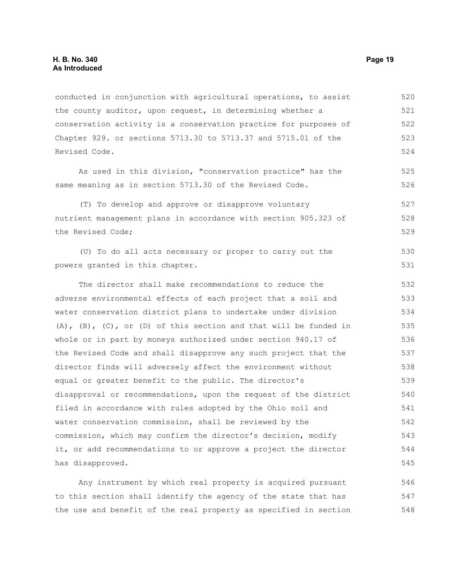conducted in conjunction with agricultural operations, to assist the county auditor, upon request, in determining whether a conservation activity is a conservation practice for purposes of Chapter 929. or sections 5713.30 to 5713.37 and 5715.01 of the Revised Code. 520 521 522 523 524

As used in this division, "conservation practice" has the same meaning as in section 5713.30 of the Revised Code.

(T) To develop and approve or disapprove voluntary nutrient management plans in accordance with section 905.323 of the Revised Code; 527 528 529

(U) To do all acts necessary or proper to carry out the powers granted in this chapter.

The director shall make recommendations to reduce the adverse environmental effects of each project that a soil and water conservation district plans to undertake under division  $(A)$ ,  $(B)$ ,  $(C)$ , or  $(D)$  of this section and that will be funded in whole or in part by moneys authorized under section 940.17 of the Revised Code and shall disapprove any such project that the director finds will adversely affect the environment without equal or greater benefit to the public. The director's disapproval or recommendations, upon the request of the district filed in accordance with rules adopted by the Ohio soil and water conservation commission, shall be reviewed by the commission, which may confirm the director's decision, modify it, or add recommendations to or approve a project the director has disapproved. 532 533 534 535 536 537 538 539 540 541 542 543 544 545

Any instrument by which real property is acquired pursuant to this section shall identify the agency of the state that has the use and benefit of the real property as specified in section 546 547 548

525 526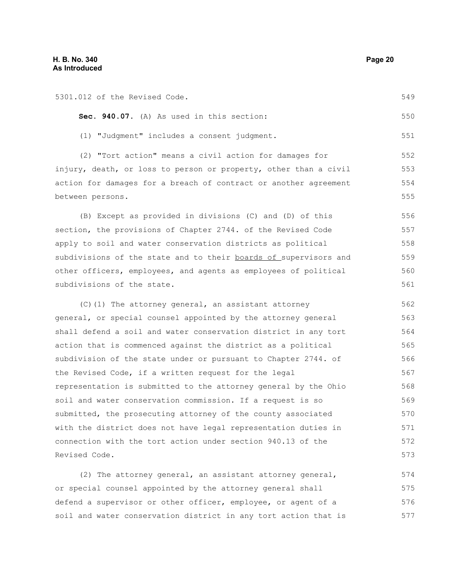| 5301.012 of the Revised Code.                                    | 549 |
|------------------------------------------------------------------|-----|
| Sec. 940.07. (A) As used in this section:                        | 550 |
| (1) "Judgment" includes a consent judgment.                      | 551 |
| (2) "Tort action" means a civil action for damages for           | 552 |
| injury, death, or loss to person or property, other than a civil | 553 |
| action for damages for a breach of contract or another agreement | 554 |
| between persons.                                                 | 555 |
| (B) Except as provided in divisions (C) and (D) of this          | 556 |
| section, the provisions of Chapter 2744. of the Revised Code     | 557 |
| apply to soil and water conservation districts as political      | 558 |
| subdivisions of the state and to their boards of supervisors and | 559 |
| other officers, employees, and agents as employees of political  | 560 |
| subdivisions of the state.                                       | 561 |
| (C)(1) The attorney general, an assistant attorney               | 562 |
| general, or special counsel appointed by the attorney general    | 563 |
| shall defend a soil and water conservation district in any tort  | 564 |
| action that is commenced against the district as a political     | 565 |
| subdivision of the state under or pursuant to Chapter 2744. of   | 566 |
| the Revised Code, if a written request for the legal             | 567 |
| representation is submitted to the attorney general by the Ohio  | 568 |
| soil and water conservation commission. If a request is so       | 569 |
| submitted, the prosecuting attorney of the county associated     | 570 |
| with the district does not have legal representation duties in   | 571 |
| connection with the tort action under section 940.13 of the      | 572 |
| Revised Code.                                                    | 573 |
| (2) The attorney general, an assistant attorney general,         | 574 |
| or special counsel appointed by the attorney general shall       | 575 |

defend a supervisor or other officer, employee, or agent of a soil and water conservation district in any tort action that is 576 577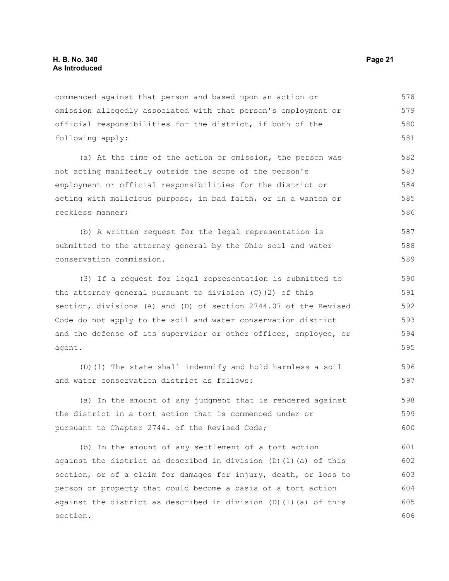commenced against that person and based upon an action or omission allegedly associated with that person's employment or official responsibilities for the district, if both of the following apply: 578 579 580 581

(a) At the time of the action or omission, the person was not acting manifestly outside the scope of the person's employment or official responsibilities for the district or acting with malicious purpose, in bad faith, or in a wanton or reckless manner; 582 583 584 585 586

(b) A written request for the legal representation is submitted to the attorney general by the Ohio soil and water conservation commission. 587 588 589

(3) If a request for legal representation is submitted to the attorney general pursuant to division (C)(2) of this section, divisions (A) and (D) of section 2744.07 of the Revised Code do not apply to the soil and water conservation district and the defense of its supervisor or other officer, employee, or agent.

(D)(1) The state shall indemnify and hold harmless a soil and water conservation district as follows:

(a) In the amount of any judgment that is rendered against the district in a tort action that is commenced under or pursuant to Chapter 2744. of the Revised Code; 598 599 600

(b) In the amount of any settlement of a tort action against the district as described in division  $(D)$  (1)(a) of this section, or of a claim for damages for injury, death, or loss to person or property that could become a basis of a tort action against the district as described in division  $(D)$  (1)(a) of this section. 601 602 603 604 605 606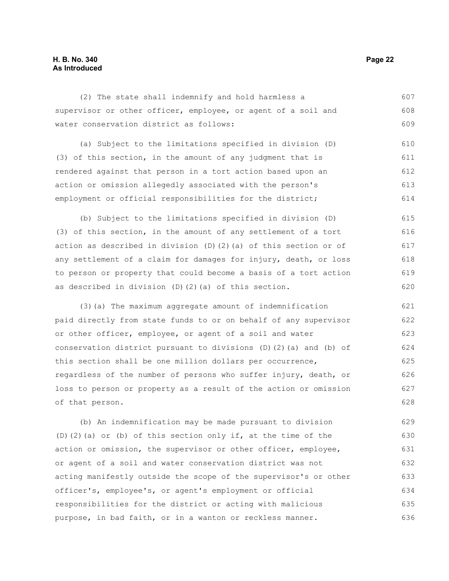### **H. B. No. 340 Page 22 As Introduced**

| (2) The state shall indemnify and hold harmless a                | 607 |
|------------------------------------------------------------------|-----|
| supervisor or other officer, employee, or agent of a soil and    | 608 |
| water conservation district as follows:                          | 609 |
| (a) Subject to the limitations specified in division (D)         | 610 |
| (3) of this section, in the amount of any judgment that is       | 611 |
| rendered against that person in a tort action based upon an      | 612 |
| action or omission allegedly associated with the person's        | 613 |
| employment or official responsibilities for the district;        | 614 |
| (b) Subject to the limitations specified in division (D)         | 615 |
| (3) of this section, in the amount of any settlement of a tort   | 616 |
| action as described in division (D)(2)(a) of this section or of  | 617 |
| any settlement of a claim for damages for injury, death, or loss | 618 |
| to person or property that could become a basis of a tort action | 619 |
| as described in division (D)(2)(a) of this section.              | 620 |
| (3) (a) The maximum aggregate amount of indemnification          | 621 |
| paid directly from state funds to or on behalf of any supervisor | 622 |
| or other officer, employee, or agent of a soil and water         | 623 |
| conservation district pursuant to divisions (D)(2)(a) and (b) of | 624 |
| this section shall be one million dollars per occurrence,        | 625 |
| regardless of the number of persons who suffer injury, death, or | 626 |
| loss to person or property as a result of the action or omission | 627 |
| of that person.                                                  | 628 |
| (b) An indemnification may be made pursuant to division          | 629 |
| $(D)$ (2) (a) or (b) of this section only if, at the time of the | 630 |
| action or omission, the supervisor or other officer, employee,   | 631 |

or agent of a soil and water conservation district was not acting manifestly outside the scope of the supervisor's or other officer's, employee's, or agent's employment or official responsibilities for the district or acting with malicious purpose, in bad faith, or in a wanton or reckless manner. 632 633 634 635 636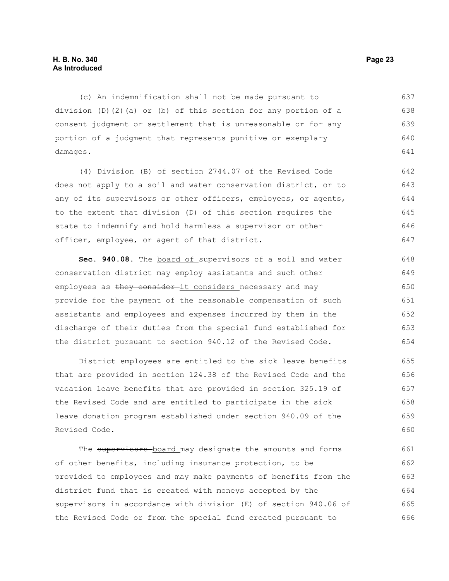#### **H. B. No. 340 Page 23 As Introduced**

(c) An indemnification shall not be made pursuant to division (D)(2)(a) or (b) of this section for any portion of a consent judgment or settlement that is unreasonable or for any portion of a judgment that represents punitive or exemplary damages. 637 638 639 640 641

(4) Division (B) of section 2744.07 of the Revised Code does not apply to a soil and water conservation district, or to any of its supervisors or other officers, employees, or agents, to the extent that division (D) of this section requires the state to indemnify and hold harmless a supervisor or other officer, employee, or agent of that district. 642 643 644 645 646 647

**Sec. 940.08.** The board of supervisors of a soil and water conservation district may employ assistants and such other employees as they consider-it considers necessary and may provide for the payment of the reasonable compensation of such assistants and employees and expenses incurred by them in the discharge of their duties from the special fund established for the district pursuant to section 940.12 of the Revised Code. 648 649 650 651 652 653 654

District employees are entitled to the sick leave benefits that are provided in section 124.38 of the Revised Code and the vacation leave benefits that are provided in section 325.19 of the Revised Code and are entitled to participate in the sick leave donation program established under section 940.09 of the Revised Code. 655 656 657 658 659 660

The supervisors board may designate the amounts and forms of other benefits, including insurance protection, to be provided to employees and may make payments of benefits from the district fund that is created with moneys accepted by the supervisors in accordance with division (E) of section 940.06 of the Revised Code or from the special fund created pursuant to 661 662 663 664 665 666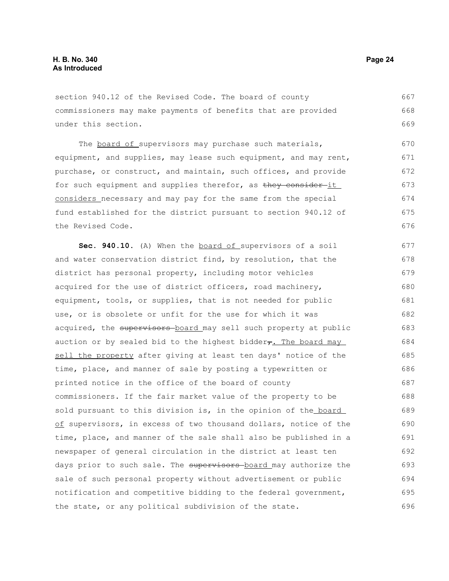section 940.12 of the Revised Code. The board of county commissioners may make payments of benefits that are provided under this section. 667 668 669

The board of supervisors may purchase such materials, equipment, and supplies, may lease such equipment, and may rent, purchase, or construct, and maintain, such offices, and provide for such equipment and supplies therefor, as they consider it considers necessary and may pay for the same from the special fund established for the district pursuant to section 940.12 of the Revised Code. 670 671 672 673 674 675 676

Sec. 940.10. (A) When the board of supervisors of a soil and water conservation district find, by resolution, that the district has personal property, including motor vehicles acquired for the use of district officers, road machinery, equipment, tools, or supplies, that is not needed for public use, or is obsolete or unfit for the use for which it was acquired, the supervisors board may sell such property at public auction or by sealed bid to the highest bidder $\tau$ . The board may sell the property after giving at least ten days' notice of the time, place, and manner of sale by posting a typewritten or printed notice in the office of the board of county commissioners. If the fair market value of the property to be sold pursuant to this division is, in the opinion of the board of supervisors, in excess of two thousand dollars, notice of the time, place, and manner of the sale shall also be published in a newspaper of general circulation in the district at least ten days prior to such sale. The supervisors board may authorize the sale of such personal property without advertisement or public notification and competitive bidding to the federal government, the state, or any political subdivision of the state. 677 678 679 680 681 682 683 684 685 686 687 688 689 690 691 692 693 694 695 696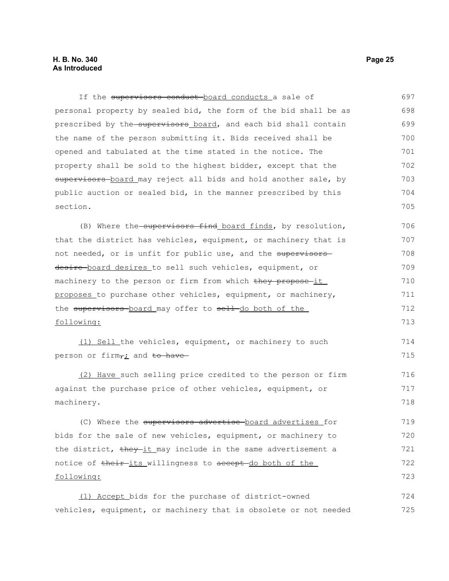#### **H. B. No. 340 Page 25 As Introduced**

If the supervisors conduct-board conducts a sale of personal property by sealed bid, the form of the bid shall be as prescribed by the supervisors board, and each bid shall contain the name of the person submitting it. Bids received shall be opened and tabulated at the time stated in the notice. The property shall be sold to the highest bidder, except that the supervisors board may reject all bids and hold another sale, by public auction or sealed bid, in the manner prescribed by this section. (B) Where the supervisors find board finds, by resolution, that the district has vehicles, equipment, or machinery that is not needed, or is unfit for public use, and the supervisors desire board desires to sell such vehicles, equipment, or machinery to the person or firm from which they propose it proposes to purchase other vehicles, equipment, or machinery, the supervisors board may offer to sell do both of the following: (1) Sell the vehicles, equipment, or machinery to such person or firm $\tau$  and to have (2) Have such selling price credited to the person or firm against the purchase price of other vehicles, equipment, or machinery. (C) Where the supervisors advertise board advertises for bids for the sale of new vehicles, equipment, or machinery to the district, they-it may include in the same advertisement a notice of their its willingness to accept do both of the following: 697 698 699 700 701 702 703 704 705 706 707 708 709 710 711 712 713 714 715 716 717 718 719 720 721 722 723

(1) Accept bids for the purchase of district-owned vehicles, equipment, or machinery that is obsolete or not needed 724 725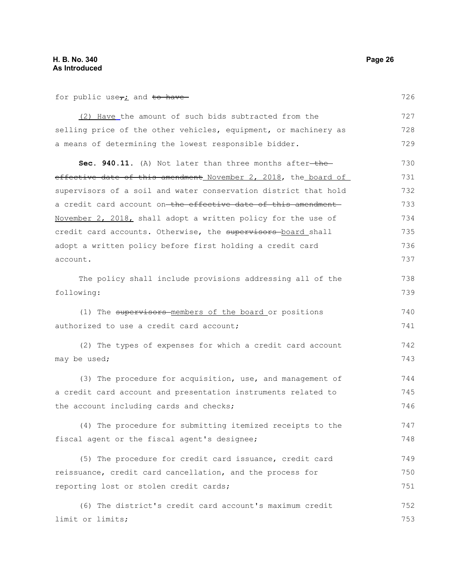for public use $\tau$  and to have

| (2) Have the amount of such bids subtracted from the            | 727 |
|-----------------------------------------------------------------|-----|
| selling price of the other vehicles, equipment, or machinery as | 728 |
| a means of determining the lowest responsible bidder.           | 729 |
| Sec. 940.11. (A) Not later than three months after-the-         | 730 |
| effective date of this amendment November 2, 2018, the board of | 731 |
| supervisors of a soil and water conservation district that hold | 732 |
| a credit card account on-the effective date of this amendment-  | 733 |
| November 2, 2018, shall adopt a written policy for the use of   | 734 |
| credit card accounts. Otherwise, the supervisors board shall    | 735 |
| adopt a written policy before first holding a credit card       | 736 |
| account.                                                        | 737 |
| The policy shall include provisions addressing all of the       | 738 |
| following:                                                      | 739 |
| (1) The supervisors-members of the board or positions           | 740 |
| authorized to use a credit card account;                        | 741 |
| (2) The types of expenses for which a credit card account       | 742 |
| may be used;                                                    | 743 |
| (3) The procedure for acquisition, use, and management of       | 744 |
| a credit card account and presentation instruments related to   | 745 |
| the account including cards and checks;                         | 746 |
| (4) The procedure for submitting itemized receipts to the       | 747 |
| fiscal agent or the fiscal agent's designee;                    | 748 |
| (5) The procedure for credit card issuance, credit card         | 749 |
| reissuance, credit card cancellation, and the process for       | 750 |
| reporting lost or stolen credit cards;                          | 751 |
| (6) The district's credit card account's maximum credit         | 752 |
| limit or limits;                                                | 753 |
|                                                                 |     |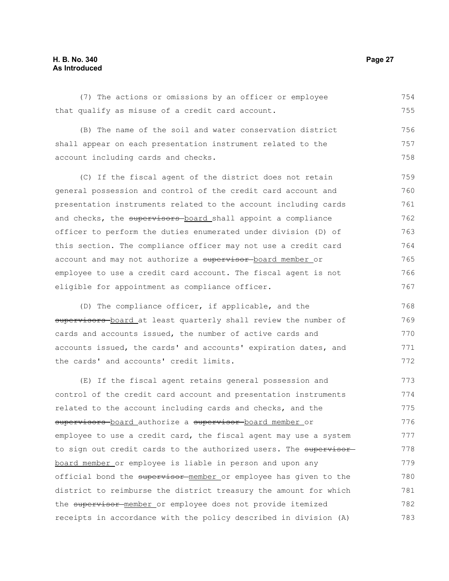#### **H. B. No. 340 Page 27 As Introduced**

(7) The actions or omissions by an officer or employee that qualify as misuse of a credit card account. 754 755

(B) The name of the soil and water conservation district shall appear on each presentation instrument related to the account including cards and checks. 756 757 758

(C) If the fiscal agent of the district does not retain general possession and control of the credit card account and presentation instruments related to the account including cards and checks, the supervisors-board shall appoint a compliance officer to perform the duties enumerated under division (D) of this section. The compliance officer may not use a credit card account and may not authorize a supervisor board member or employee to use a credit card account. The fiscal agent is not eligible for appointment as compliance officer. 759 760 761 762 763 764 765 766 767

(D) The compliance officer, if applicable, and the supervisors board at least quarterly shall review the number of cards and accounts issued, the number of active cards and accounts issued, the cards' and accounts' expiration dates, and the cards' and accounts' credit limits. 768 769 770 771 772

(E) If the fiscal agent retains general possession and control of the credit card account and presentation instruments related to the account including cards and checks, and the supervisors board authorize a supervisor board member or employee to use a credit card, the fiscal agent may use a system to sign out credit cards to the authorized users. The supervisor board member or employee is liable in person and upon any official bond the supervisor member or employee has given to the district to reimburse the district treasury the amount for which the supervisor member or employee does not provide itemized receipts in accordance with the policy described in division (A) 773 774 775 776 777 778 779 780 781 782 783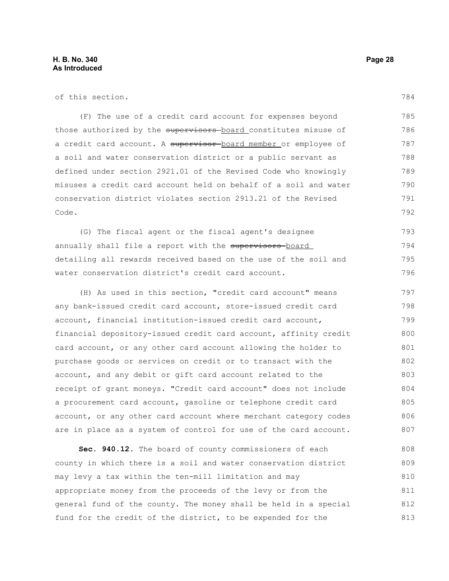of this section.

(F) The use of a credit card account for expenses beyond those authorized by the supervisors board constitutes misuse of a credit card account. A supervisor board member or employee of a soil and water conservation district or a public servant as defined under section 2921.01 of the Revised Code who knowingly misuses a credit card account held on behalf of a soil and water conservation district violates section 2913.21 of the Revised Code. 785 786 787 788 789 790 791 792

(G) The fiscal agent or the fiscal agent's designee annually shall file a report with the supervisors-board detailing all rewards received based on the use of the soil and water conservation district's credit card account. 793 794 795 796

(H) As used in this section, "credit card account" means any bank-issued credit card account, store-issued credit card account, financial institution-issued credit card account, financial depository-issued credit card account, affinity credit card account, or any other card account allowing the holder to purchase goods or services on credit or to transact with the account, and any debit or gift card account related to the receipt of grant moneys. "Credit card account" does not include a procurement card account, gasoline or telephone credit card account, or any other card account where merchant category codes are in place as a system of control for use of the card account. 797 798 799 800 801 802 803 804 805 806 807

**Sec. 940.12.** The board of county commissioners of each county in which there is a soil and water conservation district may levy a tax within the ten-mill limitation and may appropriate money from the proceeds of the levy or from the general fund of the county. The money shall be held in a special fund for the credit of the district, to be expended for the 808 809 810 811 812 813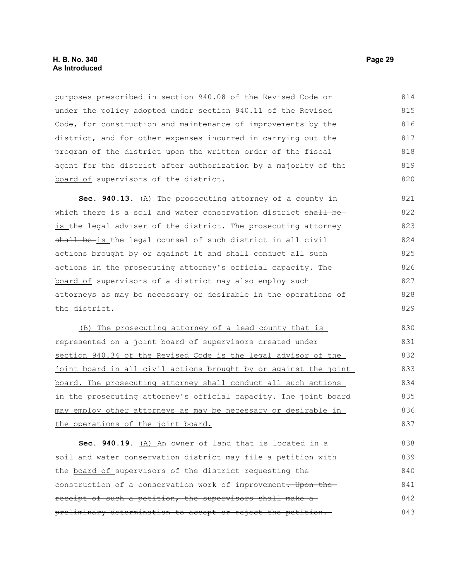#### **H. B. No. 340 Page 29 As Introduced**

purposes prescribed in section 940.08 of the Revised Code or under the policy adopted under section 940.11 of the Revised Code, for construction and maintenance of improvements by the district, and for other expenses incurred in carrying out the program of the district upon the written order of the fiscal agent for the district after authorization by a majority of the board of supervisors of the district. 814 815 816 817 818 819 820

**Sec. 940.13.** (A) The prosecuting attorney of a county in which there is a soil and water conservation district shall beis the legal adviser of the district. The prosecuting attorney shall be-is the legal counsel of such district in all civil actions brought by or against it and shall conduct all such actions in the prosecuting attorney's official capacity. The board of supervisors of a district may also employ such attorneys as may be necessary or desirable in the operations of the district. 821 822 823 824 825 826 827 828 829

(B) The prosecuting attorney of a lead county that is represented on a joint board of supervisors created under section 940.34 of the Revised Code is the legal advisor of the joint board in all civil actions brought by or against the joint board. The prosecuting attorney shall conduct all such actions in the prosecuting attorney's official capacity. The joint board may employ other attorneys as may be necessary or desirable in the operations of the joint board.

**Sec. 940.19.** (A) An owner of land that is located in a soil and water conservation district may file a petition with the board of supervisors of the district requesting the construction of a conservation work of improvement. Upon the receipt of such a petition, the supervisors shall make a preliminary determination to accept or reject the petition. 838 839 840 841 842 843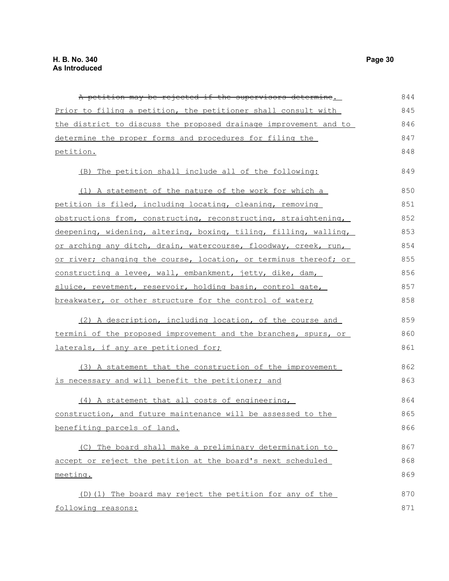| A petition may be rejected if the supervisors determine.         | 844 |
|------------------------------------------------------------------|-----|
|                                                                  |     |
| Prior to filing a petition, the petitioner shall consult with    | 845 |
| the district to discuss the proposed drainage improvement and to | 846 |
| determine the proper forms and procedures for filing the         | 847 |
| petition.                                                        | 848 |
| (B) The petition shall include all of the following:             | 849 |
| (1) A statement of the nature of the work for which a            | 850 |
| petition is filed, including locating, cleaning, removing        | 851 |
| obstructions from, constructing, reconstructing, straightening,  | 852 |
| deepening, widening, altering, boxing, tiling, filling, walling, | 853 |
| or arching any ditch, drain, watercourse, floodway, creek, run,  | 854 |
| or river; changing the course, location, or terminus thereof; or | 855 |
| constructing a levee, wall, embankment, jetty, dike, dam,        | 856 |
| sluice, revetment, reservoir, holding basin, control gate,       | 857 |
| breakwater, or other structure for the control of water;         | 858 |
| (2) A description, including location, of the course and         | 859 |
| termini of the proposed improvement and the branches, spurs, or  | 860 |
| laterals, if any are petitioned for;                             | 861 |
| (3) A statement that the construction of the improvement         | 862 |
| is necessary and will benefit the petitioner; and                | 863 |
| (4) A statement that all costs of engineering,                   | 864 |
| construction, and future maintenance will be assessed to the     | 865 |
| benefiting parcels of land.                                      | 866 |
| (C) The board shall make a preliminary determination to          | 867 |
| accept or reject the petition at the board's next scheduled      | 868 |
| meeting.                                                         | 869 |
| (D) (1) The board may reject the petition for any of the         | 870 |
| following reasons:                                               | 871 |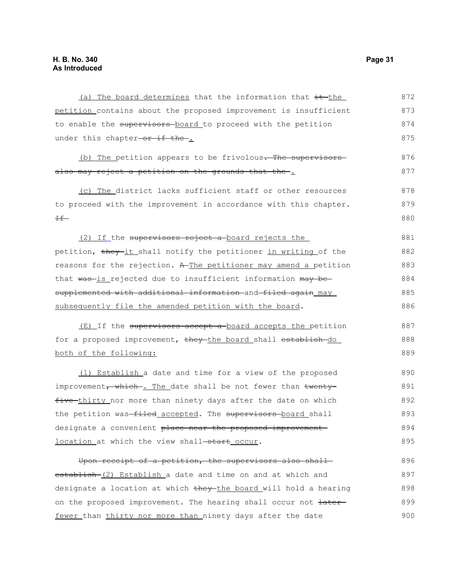(a) The board determines that the information that  $\frac{it - \text{the}}{t}$ petition contains about the proposed improvement is insufficient to enable the supervisors board to proceed with the petition under this chapter-or if the. (b) The petition appears to be frivolous. The supervisors also may reject a petition on the grounds that the. (c) The district lacks sufficient staff or other resources to proceed with the improvement in accordance with this chapter.  $H$  (2) If the supervisors reject a board rejects the petition, they it shall notify the petitioner in writing of the reasons for the rejection. A The petitioner may amend a petition that was-is rejected due to insufficient information may besupplemented with additional information and filed again may subsequently file the amended petition with the board.  $(E)$  If the supervisors accept a board accepts the petition for a proposed improvement, they the board shall establish do both of the following: (1) Establish a date and time for a view of the proposed improvement, which . The date shall be not fewer than twentyfive thirty nor more than ninety days after the date on which the petition was-filed accepted. The supervisors-board shall designate a convenient place near the proposed improvementlocation at which the view shall-start occur. Upon receipt of a petition, the supervisors also shall establish (2) Establish a date and time on and at which and designate a location at which they the board will hold a hearing 872 873 874 875 876 877 878 879 880 881 882 883 884 885 886 887 888 889 890 891 892 893 894 895 896 897 898

on the proposed improvement. The hearing shall occur not  $\frac{1}{1 + \frac{1}{1 + \frac{1}{1}}$ 

fewer than thirty nor more than ninety days after the date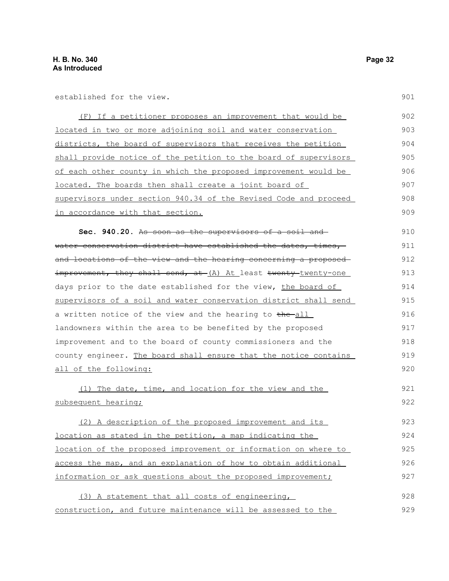established for the view.

(F) If a petitioner proposes an improvement that would be located in two or more adjoining soil and water conservation districts, the board of supervisors that receives the petition shall provide notice of the petition to the board of supervisors of each other county in which the proposed improvement would be located. The boards then shall create a joint board of supervisors under section 940.34 of the Revised Code and proceed in accordance with that section. 902 903 904 905 906 907 908 909

**Sec. 940.20.** As soon as the supervisors of a soil and water conservation district have established the dates, times, and locations of the view and the hearing concerning a proposed improvement, they shall send, at (A) At least twenty-twenty-one days prior to the date established for the view, the board of supervisors of a soil and water conservation district shall send a written notice of the view and the hearing to the all landowners within the area to be benefited by the proposed improvement and to the board of county commissioners and the county engineer. The board shall ensure that the notice contains all of the following: 910 911 912 913 914 915 916 917 918 919 920

(1) The date, time, and location for the view and the subsequent hearing; (2) A description of the proposed improvement and its location as stated in the petition, a map indicating the location of the proposed improvement or information on where to access the map, and an explanation of how to obtain additional 921 922 923 924 925 926

(3) A statement that all costs of engineering, construction, and future maintenance will be assessed to the 928 929

information or ask questions about the proposed improvement;

901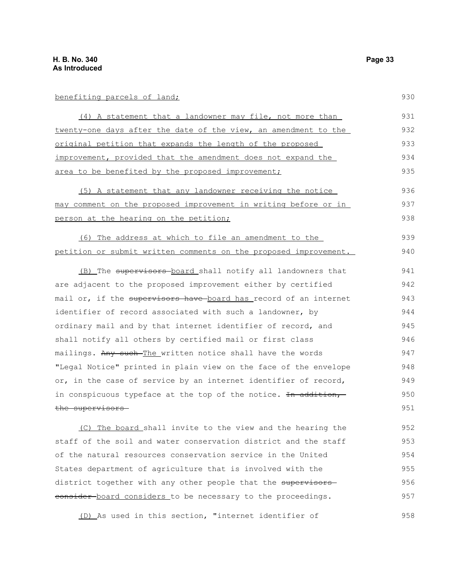### benefiting parcels of land;

| (4) A statement that a landowner may file, not more than         | 931 |
|------------------------------------------------------------------|-----|
| twenty-one days after the date of the view, an amendment to the  | 932 |
| original petition that expands the length of the proposed        | 933 |
| improvement, provided that the amendment does not expand the     | 934 |
| area to be benefited by the proposed improvement;                | 935 |
| (5) A statement that any landowner receiving the notice          | 936 |
| may comment on the proposed improvement in writing before or in  | 937 |
| person at the hearing on the petition;                           | 938 |
| (6) The address at which to file an amendment to the             | 939 |
| petition or submit written comments on the proposed improvement. | 940 |
| (B) The supervisors board shall notify all landowners that       | 941 |
| are adjacent to the proposed improvement either by certified     | 942 |
| mail or, if the supervisors have board has record of an internet | 943 |
| identifier of record associated with such a landowner, by        | 944 |
| ordinary mail and by that internet identifier of record, and     | 945 |
| shall notify all others by certified mail or first class         | 946 |
| mailings. Any such The written notice shall have the words       | 947 |
| "Legal Notice" printed in plain view on the face of the envelope | 948 |
| or, in the case of service by an internet identifier of record,  | 949 |
| in conspicuous typeface at the top of the notice. In addition,   | 950 |
| the supervisors                                                  | 951 |

 (C) The board shall invite to the view and the hearing the staff of the soil and water conservation district and the staff of the natural resources conservation service in the United States department of agriculture that is involved with the district together with any other people that the supervisors consider board considers to be necessary to the proceedings. 952 953 954 955 956 957

(D) As used in this section, "internet identifier of 958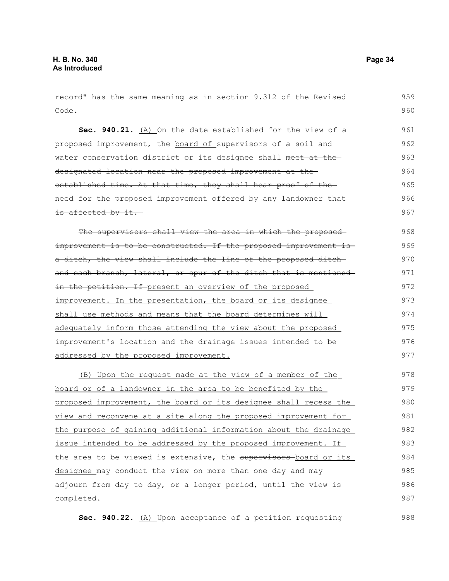| record" has the same meaning as in section 9.312 of the Revised  | 959 |
|------------------------------------------------------------------|-----|
| Code.                                                            | 960 |
| Sec. 940.21. (A) On the date established for the view of a       | 961 |
| proposed improvement, the board of supervisors of a soil and     | 962 |
| water conservation district or its designee shall meet at the    | 963 |
| designated location near the proposed improvement at the         | 964 |
| established time. At that time, they shall hear proof of the     | 965 |
| need for the proposed improvement offered by any landowner that  | 966 |
| is affected by it.                                               | 967 |
| The supervisors shall view the area in which the proposed        | 968 |
| improvement is to be constructed. If the proposed improvement is | 969 |
| a ditch, the view shall include the line of the proposed ditch-  | 970 |
| and each branch, lateral, or spur of the ditch that is mentioned | 971 |
| in the petition. If present an overview of the proposed          | 972 |
| improvement. In the presentation, the board or its designee      | 973 |
| shall use methods and means that the board determines will       | 974 |
| adequately inform those attending the view about the proposed    | 975 |
| improvement's location and the drainage issues intended to be    | 976 |
| addressed by the proposed improvement.                           | 977 |
| (B) Upon the request made at the view of a member of the         | 978 |
| board or of a landowner in the area to be benefited by the       | 979 |
| proposed improvement, the board or its designee shall recess the | 980 |
| view and reconvene at a site along the proposed improvement for  | 981 |
| the purpose of gaining additional information about the drainage | 982 |
| issue intended to be addressed by the proposed improvement. If   | 983 |
| the area to be viewed is extensive, the supervisors-board or its | 984 |
| designee may conduct the view on more than one day and may       | 985 |
| adjourn from day to day, or a longer period, until the view is   | 986 |
| completed.                                                       | 987 |
|                                                                  |     |

**Sec. 940.22.** (A) Upon acceptance of a petition requesting 988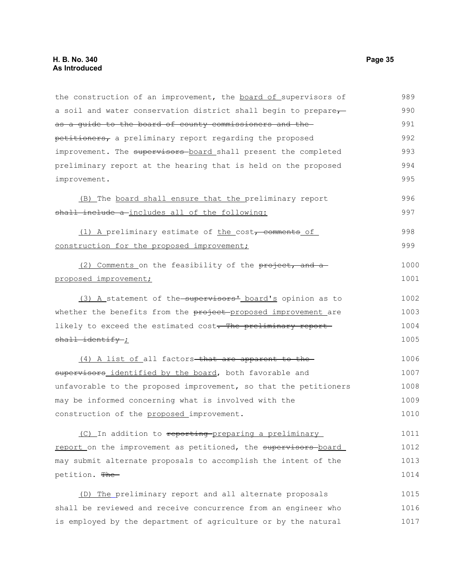| the construction of an improvement, the board of supervisors of  | 989  |
|------------------------------------------------------------------|------|
| a soil and water conservation district shall begin to prepare,   | 990  |
| as a guide to the board of county commissioners and the          | 991  |
| petitioners, a preliminary report regarding the proposed         | 992  |
| improvement. The supervisors board shall present the completed   | 993  |
| preliminary report at the hearing that is held on the proposed   | 994  |
| improvement.                                                     | 995  |
| (B) The board shall ensure that the preliminary report           | 996  |
| shall include a includes all of the following:                   | 997  |
| (1) A preliminary estimate of the cost, comments of              | 998  |
| construction for the proposed improvement;                       | 999  |
| (2) Comments on the feasibility of the project, and a            | 1000 |
| proposed improvement;                                            | 1001 |
| (3) A statement of the supervisors' board's opinion as to        | 1002 |
| whether the benefits from the project-proposed improvement are   | 1003 |
| likely to exceed the estimated cost. The preliminary report      | 1004 |
| shall identify ;                                                 | 1005 |
| (4) A list of all factors-that are apparent to the-              | 1006 |
| supervisors identified by the board, both favorable and          | 1007 |
| unfavorable to the proposed improvement, so that the petitioners | 1008 |
| may be informed concerning what is involved with the             | 1009 |
| construction of the proposed improvement.                        | 1010 |
| (C) In addition to reporting preparing a preliminary             | 1011 |
| report on the improvement as petitioned, the supervisors board   | 1012 |
| may submit alternate proposals to accomplish the intent of the   | 1013 |
| petition. The                                                    | 1014 |
| (D) The preliminary report and all alternate proposals           | 1015 |
| shall be reviewed and receive concurrence from an engineer who   | 1016 |
| is employed by the department of agriculture or by the natural   | 1017 |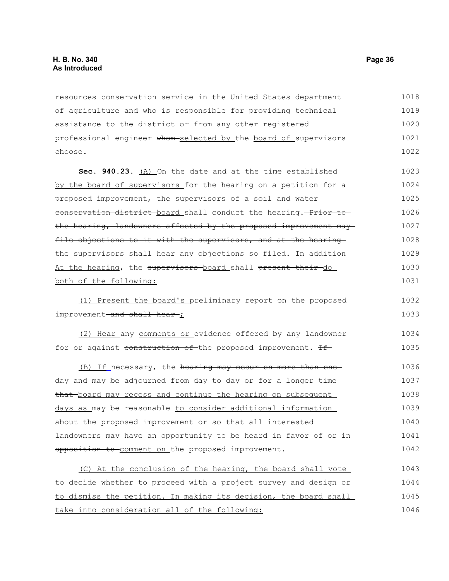resources conservation service in the United States department of agriculture and who is responsible for providing technical assistance to the district or from any other registered professional engineer whom selected by the board of supervisors choose. 1018 1019 1020 1021 1022

**Sec. 940.23.** (A) On the date and at the time established by the board of supervisors for the hearing on a petition for a proposed improvement, the supervisors of a soil and waterconservation district board shall conduct the hearing. Prior to the hearing, landowners affected by the proposed improvement may file objections to it with the supervisors, and at the hearingthe supervisors shall hear any objections so filed. In addition At the hearing, the supervisors board shall present their do both of the following: 1023 1024 1025 1026 1027 1028 1029 1030 1031

(1) Present the board's preliminary report on the proposed improvement-and shall hear-; 1032 1033

(2) Hear any comments or evidence offered by any landowner for or against construction of the proposed improvement. If 1034 1035

(B) If necessary, the hearing may occur on more than oneday and may be adjourned from day to day or for a longer time that board may recess and continue the hearing on subsequent days as may be reasonable to consider additional information about the proposed improvement or so that all interested landowners may have an opportunity to be heard in favor of or inopposition to comment on the proposed improvement. 1036 1037 1038 1039 1040 1041 1042

(C) At the conclusion of the hearing, the board shall vote to decide whether to proceed with a project survey and design or to dismiss the petition. In making its decision, the board shall take into consideration all of the following: 1043 1044 1045 1046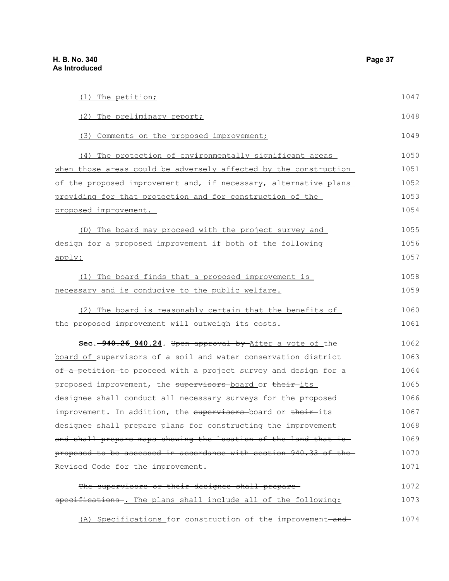| (1) The petition;                                                 | 1047 |
|-------------------------------------------------------------------|------|
| (2) The preliminary report;                                       | 1048 |
| (3) Comments on the proposed improvement;                         | 1049 |
| (4) The protection of environmentally significant areas           | 1050 |
| when those areas could be adversely affected by the construction  | 1051 |
| of the proposed improvement and, if necessary, alternative plans  | 1052 |
| providing for that protection and for construction of the         | 1053 |
| proposed improvement.                                             | 1054 |
| (D) The board may proceed with the project survey and             | 1055 |
| design for a proposed improvement if both of the following        | 1056 |
| apply:                                                            | 1057 |
| (1) The board finds that a proposed improvement is                | 1058 |
| necessary and is conducive to the public welfare.                 | 1059 |
| (2) The board is reasonably certain that the benefits of          | 1060 |
| the proposed improvement will outweigh its costs.                 | 1061 |
| Sec. -940.26 940.24. Upon approval by After a vote of the         | 1062 |
| board of supervisors of a soil and water conservation district    | 1063 |
| of a petition-to proceed with a project survey and design for a   | 1064 |
| proposed improvement, the supervisors board or their its          | 1065 |
| designee shall conduct all necessary surveys for the proposed     | 1066 |
| improvement. In addition, the supervisors board or their its      | 1067 |
| designee shall prepare plans for constructing the improvement     | 1068 |
| and shall prepare maps showing the location of the land that is-  | 1069 |
| proposed to be assessed in accordance with section 940.33 of the- | 1070 |
| Revised Code for the improvement.                                 | 1071 |
| The supervisors or their designee shall prepare-                  | 1072 |
| specifications -. The plans shall include all of the following:   | 1073 |
| (A) Specifications for construction of the improvement-and-       | 1074 |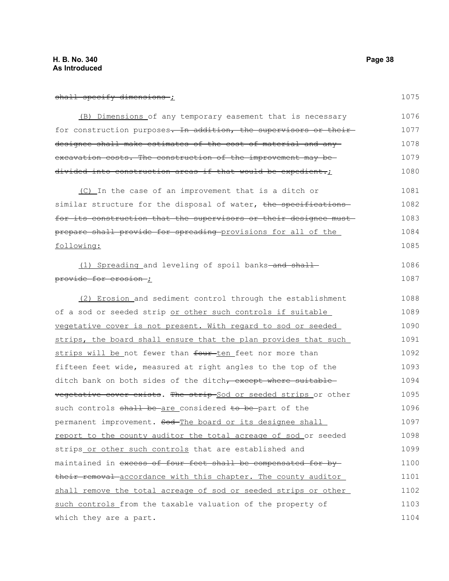### shall specify dimensions;

1086 1087

| (B) Dimensions of any temporary easement that is necessary       | 1076 |
|------------------------------------------------------------------|------|
| for construction purposes. In addition, the supervisors or their | 1077 |
| designee shall make estimates of the cost of material and any-   | 1078 |
| excavation costs. The construction of the improvement may be-    | 1079 |
| divided into construction areas if that would be expedient.;     | 1080 |
|                                                                  |      |

(C) In the case of an improvement that is a ditch or similar structure for the disposal of water, the specifications for its construction that the supervisors or their designee must prepare shall provide for spreading provisions for all of the following: 1081 1082 1083 1084 1085

 $(1)$  Spreading and leveling of spoil banks-and shallprovide for erosion ;

(2) Erosion and sediment control through the establishment of a sod or seeded strip or other such controls if suitable vegetative cover is not present. With regard to sod or seeded strips, the board shall ensure that the plan provides that such strips will be not fewer than four-ten feet nor more than fifteen feet wide, measured at right angles to the top of the ditch bank on both sides of the ditch, except where suitable vegetative cover exists. The strip Sod or seeded strips or other such controls shall be are considered to be part of the permanent improvement. Sod-The board or its designee shall report to the county auditor the total acreage of sod or seeded strips or other such controls that are established and maintained in excess of four feet shall be compensated for bytheir removal accordance with this chapter. The county auditor shall remove the total acreage of sod or seeded strips or other such controls from the taxable valuation of the property of which they are a part. 1088 1089 1090 1091 1092 1093 1094 1095 1096 1097 1098 1099 1100 1101 1102 1103 1104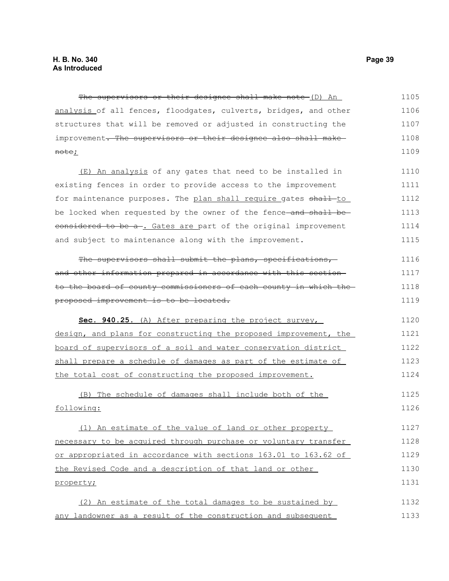The supervisors or their designee shall make note (D) An analysis of all fences, floodgates, culverts, bridges, and other structures that will be removed or adjusted in constructing the improvement. The supervisors or their designee also shall makenote; 1105 1106 1107 1108 1109

(E) An analysis of any gates that need to be installed in existing fences in order to provide access to the improvement for maintenance purposes. The plan shall require gates shall-to be locked when requested by the owner of the fence and shall beeonsidered to be a-. Gates are part of the original improvement and subject to maintenance along with the improvement. 1110 1111 1112 1113 1114 1115

The supervisors shall submit the plans, specifications, and other information prepared in accordance with this section to the board of county commissioners of each county in which the proposed improvement is to be located. 1116 1117 1118 1119

 **Sec. 940.25.** (A) After preparing the project survey, design, and plans for constructing the proposed improvement, the board of supervisors of a soil and water conservation district shall prepare a schedule of damages as part of the estimate of the total cost of constructing the proposed improvement. 1120 1121 1122 1123 1124

(B) The schedule of damages shall include both of the following: 1125 1126

(1) An estimate of the value of land or other property necessary to be acquired through purchase or voluntary transfer or appropriated in accordance with sections 163.01 to 163.62 of the Revised Code and a description of that land or other property; 1127 1128 1129 1130 1131

(2) An estimate of the total damages to be sustained by any landowner as a result of the construction and subsequent 1132 1133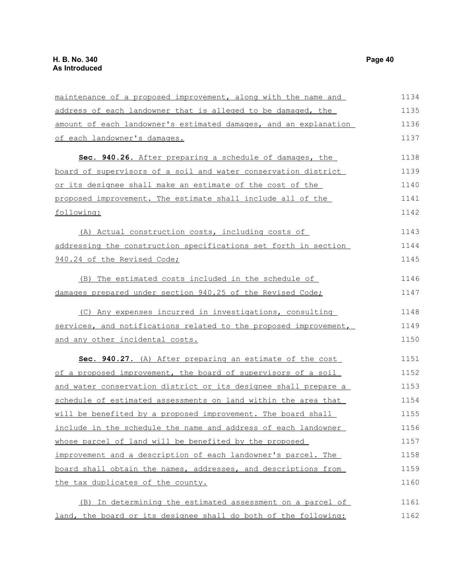| maintenance of a proposed improvement, along with the name and   | 1134 |
|------------------------------------------------------------------|------|
| address of each landowner that is alleged to be damaged, the     | 1135 |
| amount of each landowner's estimated damages, and an explanation | 1136 |
| of each landowner's damages.                                     | 1137 |
| Sec. 940.26. After preparing a schedule of damages, the          | 1138 |
| board of supervisors of a soil and water conservation district   | 1139 |
| or its designee shall make an estimate of the cost of the        | 1140 |
| proposed improvement. The estimate shall include all of the      | 1141 |
| following:                                                       | 1142 |
| (A) Actual construction costs, including costs of                | 1143 |
| addressing the construction specifications set forth in section  | 1144 |
| 940.24 of the Revised Code;                                      | 1145 |
| (B) The estimated costs included in the schedule of              | 1146 |
| damages prepared under section 940.25 of the Revised Code;       | 1147 |
| (C) Any expenses incurred in investigations, consulting          | 1148 |
| services, and notifications related to the proposed improvement, | 1149 |
| and any other incidental costs.                                  | 1150 |
| Sec. 940.27. (A) After preparing an estimate of the cost         | 1151 |
| of a proposed improvement, the board of supervisors of a soil    | 1152 |
| and water conservation district or its designee shall prepare a  | 1153 |
| schedule of estimated assessments on land within the area that   | 1154 |
| will be benefited by a proposed improvement. The board shall     | 1155 |
| include in the schedule the name and address of each landowner   | 1156 |
| whose parcel of land will be benefited by the proposed           | 1157 |
| improvement and a description of each landowner's parcel. The    | 1158 |
| board shall obtain the names, addresses, and descriptions from   | 1159 |
| the tax duplicates of the county.                                | 1160 |
| (B) In determining the estimated assessment on a parcel of       | 1161 |
| land, the board or its designee shall do both of the following:  | 1162 |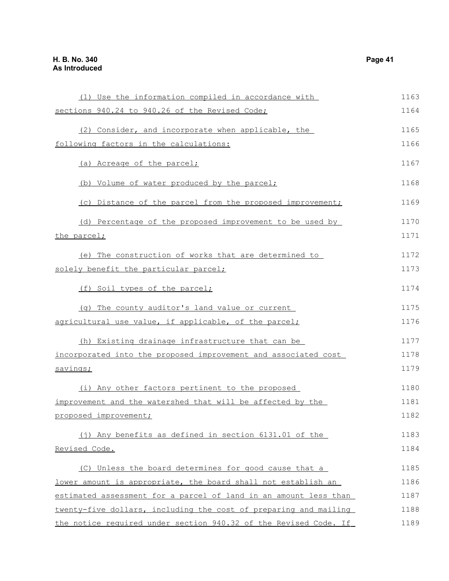| (1) Use the information compiled in accordance with              | 1163 |
|------------------------------------------------------------------|------|
| sections 940.24 to 940.26 of the Revised Code;                   | 1164 |
| (2) Consider, and incorporate when applicable, the               | 1165 |
| following factors in the calculations:                           | 1166 |
|                                                                  |      |
| (a) Acreage of the parcel;                                       | 1167 |
| (b) Volume of water produced by the parcel;                      | 1168 |
| (c) Distance of the parcel from the proposed improvement;        | 1169 |
| (d) Percentage of the proposed improvement to be used by         | 1170 |
| the parcel;                                                      | 1171 |
| (e) The construction of works that are determined to             | 1172 |
| solely benefit the particular parcel;                            | 1173 |
| (f) Soil types of the parcel;                                    | 1174 |
| (q) The county auditor's land value or current                   | 1175 |
| agricultural use value, if applicable, of the parcel;            | 1176 |
| (h) Existing drainage infrastructure that can be                 | 1177 |
| incorporated into the proposed improvement and associated cost   | 1178 |
| savings;                                                         | 1179 |
| (i) Any other factors pertinent to the proposed                  | 1180 |
| improvement and the watershed that will be affected by the       | 1181 |
| proposed improvement;                                            | 1182 |
|                                                                  |      |
| (j) Any benefits as defined in section 6131.01 of the            | 1183 |
| Revised Code.                                                    | 1184 |
| (C) Unless the board determines for good cause that a            | 1185 |
| lower amount is appropriate, the board shall not establish an    | 1186 |
| estimated assessment for a parcel of land in an amount less than | 1187 |
| twenty-five dollars, including the cost of preparing and mailing | 1188 |
| the notice required under section 940.32 of the Revised Code. If | 1189 |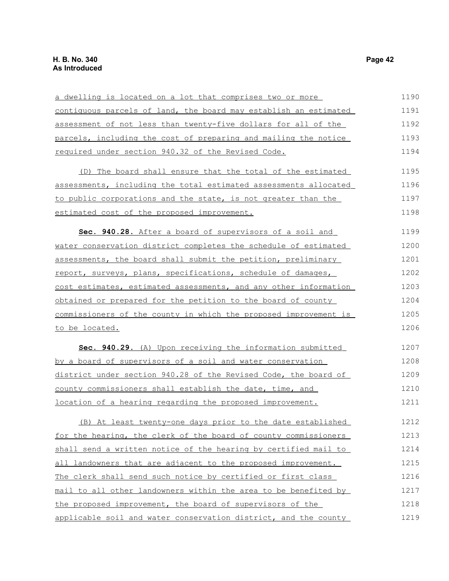| a dwelling is located on a lot that comprises two or more        | 1190 |
|------------------------------------------------------------------|------|
| contiguous parcels of land, the board may establish an estimated | 1191 |
| assessment of not less than twenty-five dollars for all of the   | 1192 |
| parcels, including the cost of preparing and mailing the notice  | 1193 |
| required under section 940.32 of the Revised Code.               | 1194 |
| (D) The board shall ensure that the total of the estimated       | 1195 |
| assessments, including the total estimated assessments allocated | 1196 |
| to public corporations and the state, is not greater than the    | 1197 |
| estimated cost of the proposed improvement.                      | 1198 |
| Sec. 940.28. After a board of supervisors of a soil and          | 1199 |
| water conservation district completes the schedule of estimated  | 1200 |
| assessments, the board shall submit the petition, preliminary    | 1201 |
| report, surveys, plans, specifications, schedule of damages,     | 1202 |
| cost estimates, estimated assessments, and any other information | 1203 |
| obtained or prepared for the petition to the board of county     | 1204 |
| commissioners of the county in which the proposed improvement is | 1205 |
| to be located.                                                   | 1206 |
| Sec. 940.29. (A) Upon receiving the information submitted        | 1207 |
| by a board of supervisors of a soil and water conservation       | 1208 |
| district under section 940.28 of the Revised Code, the board of  | 1209 |
| county commissioners shall establish the date, time, and         | 1210 |
| location of a hearing regarding the proposed improvement.        | 1211 |
| At least twenty-one days prior to the date established<br>(B)    | 1212 |
| for the hearing, the clerk of the board of county commissioners  | 1213 |
| shall send a written notice of the hearing by certified mail to  | 1214 |
| all landowners that are adjacent to the proposed improvement.    | 1215 |
| The clerk shall send such notice by certified or first class     | 1216 |
| mail to all other landowners within the area to be benefited by  | 1217 |
| the proposed improvement, the board of supervisors of the        | 1218 |
| applicable soil and water conservation district, and the county  | 1219 |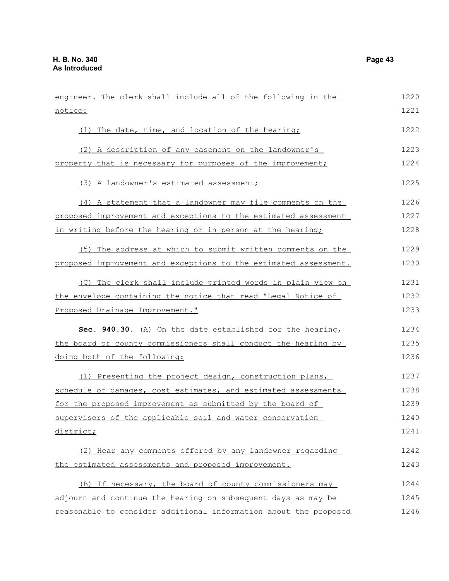| engineer. The clerk shall include all of the following in the    | 1220 |
|------------------------------------------------------------------|------|
| notice:                                                          | 1221 |
| (1) The date, time, and location of the hearing;                 | 1222 |
| (2) A description of any easement on the landowner's             | 1223 |
| property that is necessary for purposes of the improvement;      | 1224 |
| (3) A landowner's estimated assessment;                          | 1225 |
| (4) A statement that a landowner may file comments on the        | 1226 |
| proposed improvement and exceptions to the estimated assessment  | 1227 |
| in writing before the hearing or in person at the hearing;       | 1228 |
| (5) The address at which to submit written comments on the       | 1229 |
| proposed improvement and exceptions to the estimated assessment. | 1230 |
| (C) The clerk shall include printed words in plain view on       | 1231 |
| the envelope containing the notice that read "Legal Notice of    | 1232 |
| Proposed Drainage Improvement."                                  | 1233 |
| Sec. 940.30. (A) On the date established for the hearing,        | 1234 |
| the board of county commissioners shall conduct the hearing by   | 1235 |
| doing both of the following:                                     | 1236 |
| (1) Presenting the project design, construction plans,           | 1237 |
| schedule of damages, cost estimates, and estimated assessments   | 1238 |
| for the proposed improvement as submitted by the board of        | 1239 |
| supervisors of the applicable soil and water conservation        | 1240 |
| district;                                                        | 1241 |
| (2) Hear any comments offered by any landowner regarding         | 1242 |
| the estimated assessments and proposed improvement.              | 1243 |
| (B) If necessary, the board of county commissioners may          | 1244 |
| adjourn and continue the hearing on subsequent days as may be    | 1245 |
| reasonable to consider additional information about the proposed | 1246 |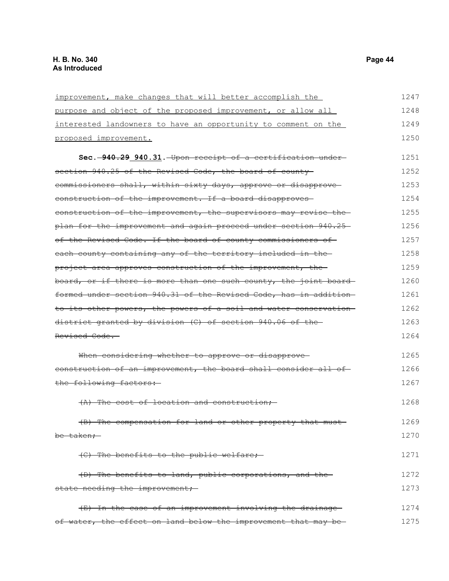improvement, make changes that will better accomplish the purpose and object of the proposed improvement, or allow all interested landowners to have an opportunity to comment on the proposed improvement. **Sec. 940.29 940.31.** Upon receipt of a certification under section 940.25 of the Revised Code, the board of county commissioners shall, within sixty days, approve or disapprove construction of the improvement. If a board disapproves construction of the improvement, the supervisors may revise the plan for the improvement and again proceed under section 940.25 of the Revised Code. If the board of county commissioners of each county containing any of the territory included in the project area approves construction of the improvement, the board, or if there is more than one such county, the joint board formed under section 940.31 of the Revised Code, has in addition to its other powers, the powers of a soil and water conservation district granted by division (C) of section 940.06 of the Revised Code. When considering whether to approve or disapproveconstruction of an improvement, the board shall consider all ofthe following factors: (A) The cost of location and construction; (B) The compensation for land or other property that must be taken; (C) The benefits to the public welfare; (D) The benefits to land, public corporations, and the state needing the improvement; (E) In the case of an improvement involving the drainage of water, the effect on land below the improvement that may be 1247 1248 1249 1250 1251 1252 1253 1254 1255 1256 1257 1258 1259 1260 1261 1262 1263 1264 1265 1266 1267 1268 1269 1270 1271 1272 1273 1274 1275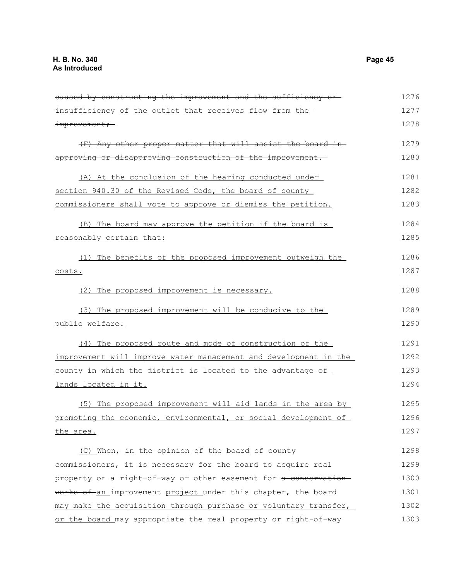caused by constructing the improvement and the sufficiency or insufficiency of the outlet that receives flow from the improvement; (F) Any other proper matter that will assist the board in approving or disapproving construction of the improvement. (A) At the conclusion of the hearing conducted under section 940.30 of the Revised Code, the board of county commissioners shall vote to approve or dismiss the petition. (B) The board may approve the petition if the board is reasonably certain that: (1) The benefits of the proposed improvement outweigh the costs. (2) The proposed improvement is necessary. (3) The proposed improvement will be conducive to the public welfare. (4) The proposed route and mode of construction of the improvement will improve water management and development in the county in which the district is located to the advantage of lands located in it. (5) The proposed improvement will aid lands in the area by promoting the economic, environmental, or social development of the area. (C) When, in the opinion of the board of county commissioners, it is necessary for the board to acquire real property or a right-of-way or other easement for a conservationworks of an improvement project under this chapter, the board may make the acquisition through purchase or voluntary transfer, or the board may appropriate the real property or right-of-way 1276 1277 1278 1279 1280 1281 1282 1283 1284 1285 1286 1287 1288 1289 1290 1291 1292 1293 1294 1295 1296 1297 1298 1299 1300 1301 1302 1303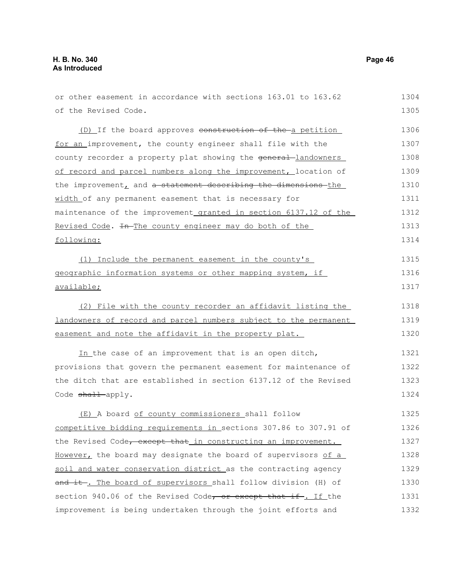| or other easement in accordance with sections 163.01 to 163.62   | 1304 |
|------------------------------------------------------------------|------|
| of the Revised Code.                                             | 1305 |
| (D) If the board approves construction of the a petition         | 1306 |
| for an improvement, the county engineer shall file with the      | 1307 |
| county recorder a property plat showing the general-landowners   | 1308 |
| of record and parcel numbers along the improvement, location of  | 1309 |
| the improvement, and a statement describing the dimensions the   | 1310 |
| width of any permanent easement that is necessary for            | 1311 |
| maintenance of the improvement granted in section 6137.12 of the | 1312 |
| Revised Code. In The county engineer may do both of the          | 1313 |
| following:                                                       | 1314 |
| (1) Include the permanent easement in the county's               | 1315 |
| geographic information systems or other mapping system, if       | 1316 |
| <u>available;</u>                                                | 1317 |
| (2) File with the county recorder an affidavit listing the       | 1318 |
| landowners of record and parcel numbers subject to the permanent | 1319 |
| easement and note the affidavit in the property plat.            | 1320 |
| In the case of an improvement that is an open ditch,             | 1321 |
| provisions that govern the permanent easement for maintenance of | 1322 |
| the ditch that are established in section 6137.12 of the Revised | 1323 |
| Code shall apply.                                                | 1324 |
| (E) A board of county commissioners shall follow                 | 1325 |
| competitive bidding requirements in sections 307.86 to 307.91 of | 1326 |
| the Revised Code, except that in constructing an improvement.    | 1327 |
| However, the board may designate the board of supervisors of a   | 1328 |
| soil and water conservation district as the contracting agency   | 1329 |
| and it. The board of supervisors shall follow division (H) of    | 1330 |
| section 940.06 of the Revised Code, or except that if. If the    | 1331 |
| improvement is being undertaken through the joint efforts and    | 1332 |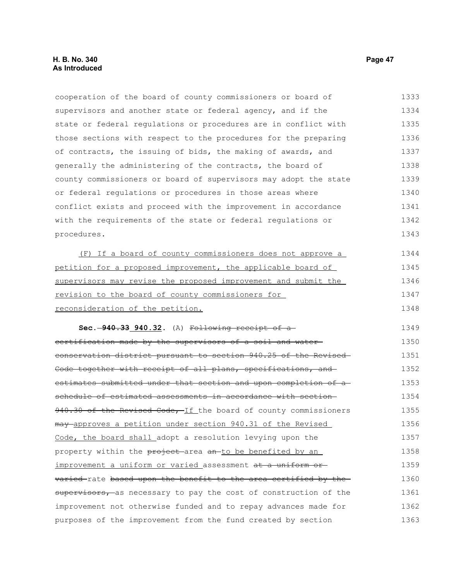cooperation of the board of county commissioners or board of supervisors and another state or federal agency, and if the state or federal regulations or procedures are in conflict with those sections with respect to the procedures for the preparing of contracts, the issuing of bids, the making of awards, and generally the administering of the contracts, the board of county commissioners or board of supervisors may adopt the state or federal regulations or procedures in those areas where conflict exists and proceed with the improvement in accordance with the requirements of the state or federal regulations or procedures. (F) If a board of county commissioners does not approve a petition for a proposed improvement, the applicable board of supervisors may revise the proposed improvement and submit the revision to the board of county commissioners for reconsideration of the petition. **Sec. 940.33 940.32.** (A) Following receipt of a certification made by the supervisors of a soil and water conservation district pursuant to section 940.25 of the Revised Code together with receipt of all plans, specifications, and estimates submitted under that section and upon completion of a schedule of estimated assessments in accordance with section-940.30 of the Revised Code, If the board of county commissioners may approves a petition under section 940.31 of the Revised Code, the board shall adopt a resolution levying upon the property within the project area an to be benefited by an improvement a uniform or varied assessment at a uniform or varied rate based upon the benefit to the area certified by the-1333 1334 1335 1336 1337 1338 1339 1340 1341 1342 1343 1344 1345 1346 1347 1348 1349 1350 1351 1352 1353 1354 1355 1356 1357 1358 1359 1360

supervisors, as necessary to pay the cost of construction of the improvement not otherwise funded and to repay advances made for purposes of the improvement from the fund created by section 1361 1362 1363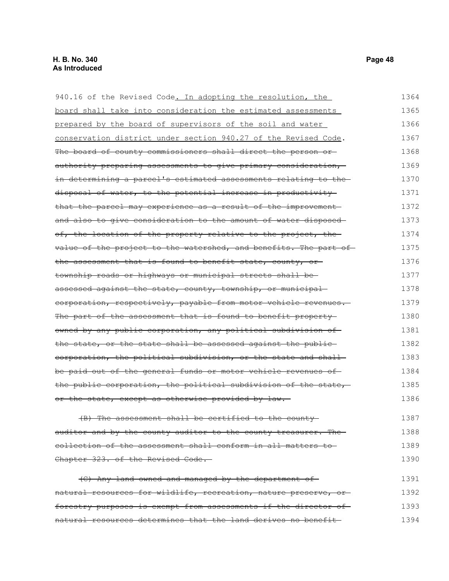940.16 of the Revised Code. In adopting the resolution, the board shall take into consideration the estimated assessments prepared by the board of supervisors of the soil and water conservation district under section 940.27 of the Revised Code. The board of county commissioners shall direct the person or authority preparing assessments to give primary consideration, in determining a parcel's estimated assessments relating to the disposal of water, to the potential increase in productivity that the parcel may experience as a result of the improvement and also to give consideration to the amount of water disposedof, the location of the property relative to the project, the value of the project to the watershed, and benefits. The part of the assessment that is found to benefit state, county, or township roads or highways or municipal streets shall be assessed against the state, county, township, or municipal corporation, respectively, payable from motor vehicle revenues. The part of the assessment that is found to benefit property owned by any public corporation, any political subdivision of the state, or the state shall be assessed against the publiccorporation, the political subdivision, or the state and shall be paid out of the general funds or motor vehicle revenues of the public corporation, the political subdivision of the state, or the state, except as otherwise provided by law. (B) The assessment shall be certified to the county auditor and by the county auditor to the county treasurer. The collection of the assessment shall conform in all matters to Chapter 323. of the Revised Code. (C) Any land owned and managed by the department of natural resources for wildlife, recreation, nature preserve, or 1364 1365 1366 1367 1368 1369 1370 1371 1372 1373 1374 1375 1376 1377 1378 1379 1380 1381 1382 1383 1384 1385 1386 1387 1388 1389 1390 1391 1392

forestry purposes is exempt from assessments if the director of natural resources determines that the land derives no benefit 1393 1394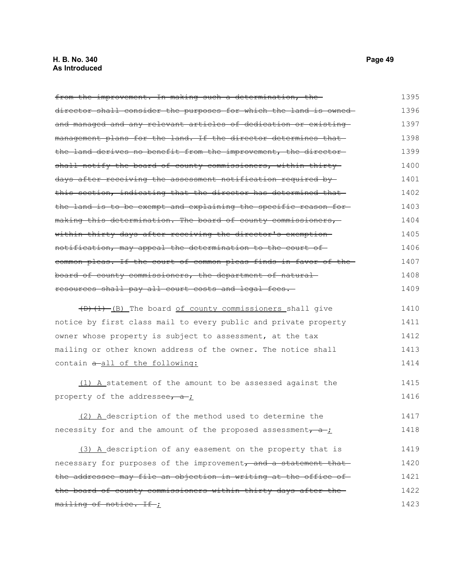# **H. B. No. 340 Page 49 As Introduced**

from the improvement. In making such a determination, thedirector shall consider the purposes for which the land is owned and managed and any relevant articles of dedication or existing management plans for the land. If the director determines that the land derives no benefit from the improvement, the director shall notify the board of county commissioners, within thirtydays after receiving the assessment notification required by this section, indicating that the director has determined that the land is to be exempt and explaining the specific reason for making this determination. The board of county commissioners, within thirty days after receiving the director's exemption notification, may appeal the determination to the court of common pleas. If the court of common pleas finds in favor of the board of county commissioners, the department of natural resources shall pay all court costs and legal fees. 1395 1396 1397 1398 1399 1400 1401 1402 1403 1404 1405 1406 1407 1408 1409

 $(D)$   $(1)$   $(B)$  The board of county commissioners shall give notice by first class mail to every public and private property owner whose property is subject to assessment, at the tax mailing or other known address of the owner. The notice shall contain a-all of the following: 1410 1411 1412 1413 1414

(1) A statement of the amount to be assessed against the property of the addressee,  $a$ ; 1415 1416

(2) A description of the method used to determine the necessity for and the amount of the proposed assessment,  $a$ ; 1417 1418

(3) A description of any easement on the property that is necessary for purposes of the improvement, and a statement that the addressee may file an objection in writing at the office ofthe board of county commissioners within thirty days after the mailing of notice. If ; 1419 1420 1421 1422 1423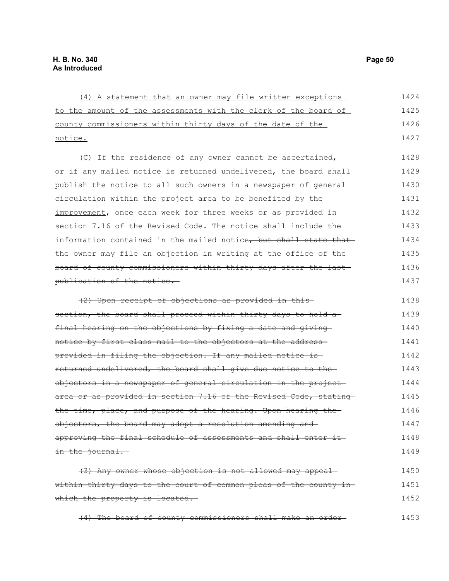| (4) A statement that an owner may file written exceptions                  | 1424 |
|----------------------------------------------------------------------------|------|
| to the amount of the assessments with the clerk of the board of            | 1425 |
| county commissioners within thirty days of the date of the                 | 1426 |
| <u>notice.</u>                                                             | 1427 |
| (C) If the residence of any owner cannot be ascertained,                   | 1428 |
| or if any mailed notice is returned undelivered, the board shall           | 1429 |
| publish the notice to all such owners in a newspaper of general            | 1430 |
| circulation within the <del>project a</del> rea to be benefited by the     | 1431 |
| improvement, once each week for three weeks or as provided in              | 1432 |
| section 7.16 of the Revised Code. The notice shall include the             | 1433 |
| information contained in the mailed notice, but shall state that           | 1434 |
| the owner may file an objection in writing at the office of the-           | 1435 |
| board of county commissioners within thirty days after the last-           | 1436 |
| <del>publication of the notice.</del>                                      | 1437 |
|                                                                            |      |
| (2) Upon receipt of objections as provided in this-                        | 1438 |
| <del>section, the board shall proceed within thirty days to hold a-</del>  | 1439 |
| final hearing on the objections by fixing a date and giving                | 1440 |
| notice by first class mail to the objectors at the address-                | 1441 |
| provided in filing the objection. If any mailed notice is-                 | 1442 |
| returned undelivered, the board shall give due notice to the               | 1443 |
| objectors in a newspaper of general circulation in the project-            | 1444 |
| area or as provided in section 7.16 of the Revised Code, stating-          | 1445 |
| <del>the time, place, and purpose of the hearing. Upon hearing the -</del> | 1446 |
| objectors, the board may adopt a resolution amending and-                  | 1447 |
| approving the final schedule of assessments and shall enter it-            | 1448 |
| in the journal.                                                            | 1449 |
|                                                                            |      |
| (3) Any owner whose objection is not allowed may appeal                    | 1450 |
| within thirty days to the court of common pleas of the county in-          | 1451 |
| which the property is located.                                             | 1452 |
| (4) The board of county commissioners shall make an order-                 | 1453 |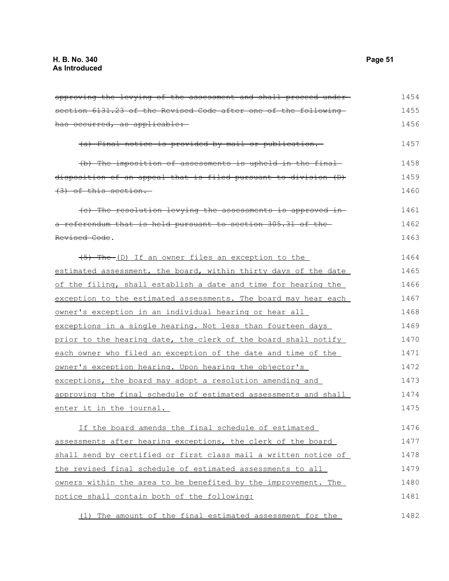### approving the levying of the assessment and shall proceed under section 6131.23 of the Revised Code after one of the following has occurred, as applicable: (a) Final notice is provided by mail or publication. (b) The imposition of assessments is upheld in the final disposition of an appeal that is filed pursuant to division (D) (3) of this section. (c) The resolution levying the assessments is approved in a referendum that is held pursuant to section 305.31 of the Revised Code.  $(5)$  The (D) If an owner files an exception to the estimated assessment, the board, within thirty days of the date of the filing, shall establish a date and time for hearing the exception to the estimated assessments. The board may hear each owner's exception in an individual hearing or hear all exceptions in a single hearing. Not less than fourteen days prior to the hearing date, the clerk of the board shall notify each owner who filed an exception of the date and time of the owner's exception hearing. Upon hearing the objector's exceptions, the board may adopt a resolution amending and approving the final schedule of estimated assessments and shall enter it in the journal. If the board amends the final schedule of estimated assessments after hearing exceptions, the clerk of the board shall send by certified or first class mail a written notice of the revised final schedule of estimated assessments to all owners within the area to be benefited by the improvement. The notice shall contain both of the following: 1454 1455 1456 1457 1458 1459 1460 1461 1462 1463 1464 1465 1466 1467 1468 1469 1470 1471 1472 1473 1474 1475 1476 1477 1478 1479 1480 1481

(1) The amount of the final estimated assessment for the 1482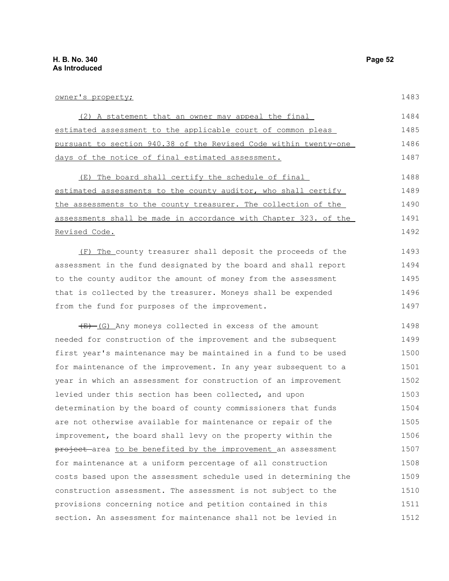1483

| owner's property;                                                | 1483 |
|------------------------------------------------------------------|------|
| (2) A statement that an owner may appeal the final               | 1484 |
| estimated assessment to the applicable court of common pleas     | 1485 |
| pursuant to section 940.38 of the Revised Code within twenty-one | 1486 |
| days of the notice of final estimated assessment.                | 1487 |
| (E) The board shall certify the schedule of final                | 1488 |
| estimated assessments to the county auditor, who shall certify   | 1489 |
| the assessments to the county treasurer. The collection of the   | 1490 |
| assessments shall be made in accordance with Chapter 323. of the | 1491 |
| Revised Code.                                                    | 1492 |
| (F) The county treasurer shall deposit the proceeds of the       | 1493 |
| assessment in the fund designated by the board and shall report  | 1494 |

to the county auditor the amount of money from the assessment that is collected by the treasurer. Moneys shall be expended from the fund for purposes of the improvement. 1495 1496 1497

 $(E)$  (G) Any moneys collected in excess of the amount needed for construction of the improvement and the subsequent first year's maintenance may be maintained in a fund to be used for maintenance of the improvement. In any year subsequent to a year in which an assessment for construction of an improvement levied under this section has been collected, and upon determination by the board of county commissioners that funds are not otherwise available for maintenance or repair of the improvement, the board shall levy on the property within the project area to be benefited by the improvement an assessment for maintenance at a uniform percentage of all construction costs based upon the assessment schedule used in determining the construction assessment. The assessment is not subject to the provisions concerning notice and petition contained in this section. An assessment for maintenance shall not be levied in 1498 1499 1500 1501 1502 1503 1504 1505 1506 1507 1508 1509 1510 1511 1512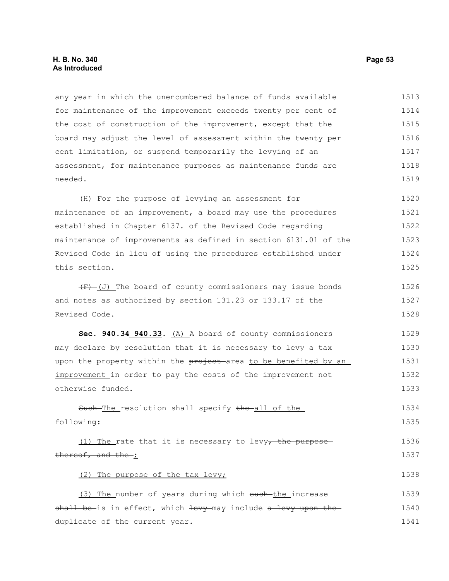any year in which the unencumbered balance of funds available for maintenance of the improvement exceeds twenty per cent of the cost of construction of the improvement, except that the board may adjust the level of assessment within the twenty per cent limitation, or suspend temporarily the levying of an assessment, for maintenance purposes as maintenance funds are needed. 1513 1514 1515 1516 1517 1518 1519

(H) For the purpose of levying an assessment for maintenance of an improvement, a board may use the procedures established in Chapter 6137. of the Revised Code regarding maintenance of improvements as defined in section 6131.01 of the Revised Code in lieu of using the procedures established under this section. 1520 1521 1522 1523 1524 1525

 $(F)$  (J) The board of county commissioners may issue bonds and notes as authorized by section 131.23 or 133.17 of the Revised Code. 1526 1527 1528

**Sec. 940.34 940.33.** (A) A board of county commissioners may declare by resolution that it is necessary to levy a tax upon the property within the project area to be benefited by an improvement in order to pay the costs of the improvement not otherwise funded. 1529 1530 1531 1532 1533

Such-The resolution shall specify the all of the following:

(1) The rate that it is necessary to levy, the purposethereof, and the ;

### (2) The purpose of the tax levy;

(3) The\_number of years during which such-the\_increase shall be-is in effect, which levy-may include a levy upon theduplicate of the current year. 1539 1540 1541

1534 1535

1536 1537

1538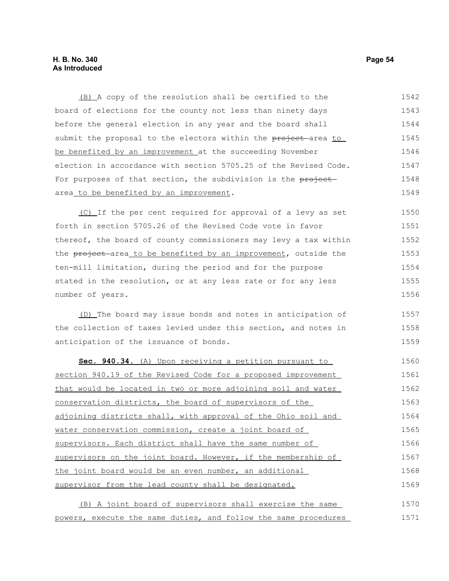# **H. B. No. 340 Page 54 As Introduced**

(B) A copy of the resolution shall be certified to the board of elections for the county not less than ninety days before the general election in any year and the board shall submit the proposal to the electors within the project area to be benefited by an improvement at the succeeding November election in accordance with section 5705.25 of the Revised Code. For purposes of that section, the subdivision is the projectarea to be benefited by an improvement. 1542 1543 1544 1545 1546 1547 1548 1549

(C) If the per cent required for approval of a levy as set forth in section 5705.26 of the Revised Code vote in favor thereof, the board of county commissioners may levy a tax within the project area to be benefited by an improvement, outside the ten-mill limitation, during the period and for the purpose stated in the resolution, or at any less rate or for any less number of years. 1550 1551 1552 1553 1554 1555 1556

(D) The board may issue bonds and notes in anticipation of the collection of taxes levied under this section, and notes in anticipation of the issuance of bonds. 1557 1558 1559

 **Sec. 940.34.** (A) Upon receiving a petition pursuant to section 940.19 of the Revised Code for a proposed improvement that would be located in two or more adjoining soil and water conservation districts, the board of supervisors of the adjoining districts shall, with approval of the Ohio soil and water conservation commission, create a joint board of supervisors. Each district shall have the same number of supervisors on the joint board. However, if the membership of the joint board would be an even number, an additional supervisor from the lead county shall be designated. 1560 1561 1562 1563 1564 1565 1566 1567 1568 1569

(B) A joint board of supervisors shall exercise the same powers, execute the same duties, and follow the same procedures 1570 1571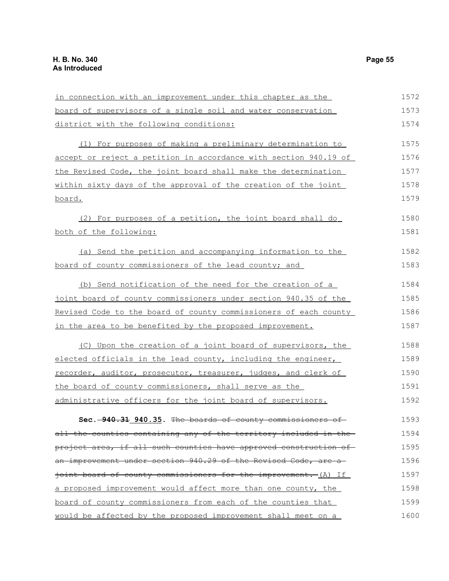in connection with an improvement under this chapter as the board of supervisors of a single soil and water conservation district with the following conditions: (1) For purposes of making a preliminary determination to accept or reject a petition in accordance with section 940.19 of the Revised Code, the joint board shall make the determination within sixty days of the approval of the creation of the joint board. (2) For purposes of a petition, the joint board shall do both of the following: (a) Send the petition and accompanying information to the board of county commissioners of the lead county; and (b) Send notification of the need for the creation of a joint board of county commissioners under section 940.35 of the Revised Code to the board of county commissioners of each county in the area to be benefited by the proposed improvement. (C) Upon the creation of a joint board of supervisors, the elected officials in the lead county, including the engineer, recorder, auditor, prosecutor, treasurer, judges, and clerk of the board of county commissioners, shall serve as the administrative officers for the joint board of supervisors. **Sec. 940.31 940.35.** The boards of county commissioners of all the counties containing any of the territory included in the project area, if all such counties have approved construction of an improvement under section 940.29 of the Revised Code, are a joint board of county commissioners for the improvement. (A) If a proposed improvement would affect more than one county, the board of county commissioners from each of the counties that 1572 1573 1574 1575 1576 1577 1578 1579 1580 1581 1582 1583 1584 1585 1586 1587 1588 1589 1590 1591 1592 1593 1594 1595 1596 1597 1598 1599

would be affected by the proposed improvement shall meet on a

1600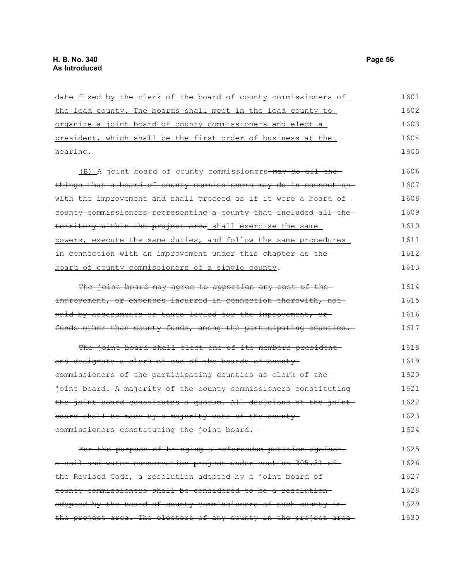| date fixed by the clerk of the board of county commissioners of   | 1601 |
|-------------------------------------------------------------------|------|
| the lead county. The boards shall meet in the lead county to      | 1602 |
| organize a joint board of county commissioners and elect a        | 1603 |
| president, which shall be the first order of business at the      | 1604 |
| hearing.                                                          | 1605 |
| (B) A joint board of county commissioners-may do all the-         | 1606 |
| things that a board of county commissioners may do in connection  | 1607 |
| with the improvement and shall proceed as if it were a board of   | 1608 |
| county commissioners representing a county that included all the- | 1609 |
| territory within the project area shall exercise the same         | 1610 |
| powers, execute the same duties, and follow the same procedures   | 1611 |
| in connection with an improvement under this chapter as the       | 1612 |
| board of county commissioners of a single county.                 | 1613 |
| The joint board may agree to apportion any cost of the-           | 1614 |
| improvement, or expenses incurred in connection therewith, not-   | 1615 |
| paid by assessments or taxes levied for the improvement, or       | 1616 |
| funds other than county funds, among the participating counties.  | 1617 |
| The joint board shall elect one of its members president          | 1618 |
| and designate a clerk of one of the boards of county-             | 1619 |
| commissioners of the participating counties as clerk of the-      | 1620 |
| joint board. A majority of the county commissioners constituting  | 1621 |
| the joint board constitutes a quorum. All decisions of the joint  | 1622 |
| board shall be made by a majority vote of the county-             | 1623 |
| commissioners constituting the joint board.                       | 1624 |
| For the purpose of bringing a referendum petition against         | 1625 |
| a soil and water conservation project under section 305.31 of-    | 1626 |
| the Revised Code, a resolution adopted by a joint board of        | 1627 |
| county commissioners shall be considered to be a resolution-      | 1628 |
| adopted by the board of county commissioners of each county in    | 1629 |
| the project area. The electors of any county in the project area- | 1630 |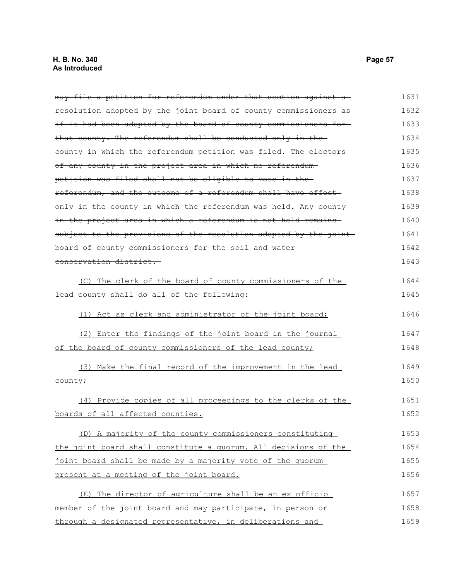may file a petition for referendum under that section against a resolution adopted by the joint board of county commissioners as if it had been adopted by the board of county commissioners forthat county. The referendum shall be conducted only in the county in which the referendum petition was filed. The electors of any county in the project area in which no referendum petition was filed shall not be eligible to vote in the referendum, and the outcome of a referendum shall have effect only in the county in which the referendum was held. Any county in the project area in which a referendum is not held remains subject to the provisions of the resolution adopted by the jointboard of county commissioners for the soil and water conservation district. (C) The clerk of the board of county commissioners of the lead county shall do all of the following: (1) Act as clerk and administrator of the joint board; (2) Enter the findings of the joint board in the journal of the board of county commissioners of the lead county; (3) Make the final record of the improvement in the lead county; (4) Provide copies of all proceedings to the clerks of the boards of all affected counties. (D) A majority of the county commissioners constituting the joint board shall constitute a quorum. All decisions of the joint board shall be made by a majority vote of the quorum present at a meeting of the joint board. (E) The director of agriculture shall be an ex officio member of the joint board and may participate, in person or through a designated representative, in deliberations and 1631 1632 1633 1634 1635 1636 1637 1638 1639 1640 1641 1642 1643 1644 1645 1646 1647 1648 1649 1650 1651 1652 1653 1654 1655 1656 1657 1658 1659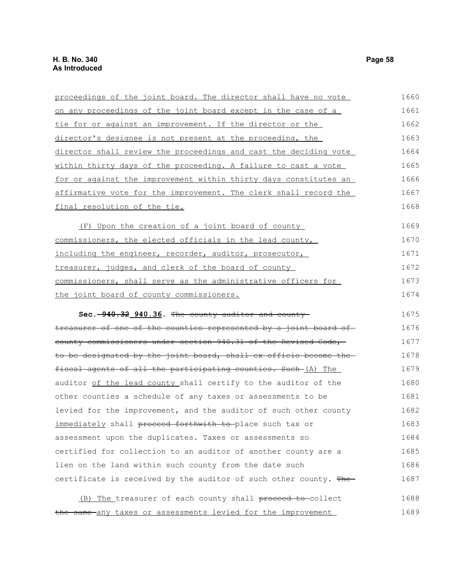| proceedings of the joint board. The director shall have no vote   | 1660 |
|-------------------------------------------------------------------|------|
| on any proceedings of the joint board except in the case of a     | 1661 |
| tie for or against an improvement. If the director or the         | 1662 |
| director's designee is not present at the proceeding, the         | 1663 |
| director shall review the proceedings and cast the deciding vote  | 1664 |
| within thirty days of the proceeding. A failure to cast a vote    | 1665 |
| for or against the improvement within thirty days constitutes an  | 1666 |
| affirmative vote for the improvement. The clerk shall record the  | 1667 |
| final resolution of the tie.                                      | 1668 |
| (F) Upon the creation of a joint board of county                  | 1669 |
| commissioners, the elected officials in the lead county,          | 1670 |
| including the engineer, recorder, auditor, prosecutor,            | 1671 |
| treasurer, judges, and clerk of the board of county               | 1672 |
| commissioners, shall serve as the administrative officers for     | 1673 |
| the joint board of county commissioners.                          | 1674 |
| Sec. -940.32 940.36. The county auditor and county-               | 1675 |
| treasurer of one of the counties represented by a joint board of  | 1676 |
| county commissioners under section 940.31 of the Revised Code,    | 1677 |
| to be designated by the joint board, shall ex officio become the  | 1678 |
| fiscal agents of all the participating counties. Such (A) The     | 1679 |
| auditor of the lead county shall certify to the auditor of the    | 1680 |
| other counties a schedule of any taxes or assessments to be       | 1681 |
| levied for the improvement, and the auditor of such other county  | 1682 |
| immediately shall proceed forthwith to-place such tax or          | 1683 |
| assessment upon the duplicates. Taxes or assessments so           | 1684 |
| certified for collection to an auditor of another county are a    | 1685 |
| lien on the land within such county from the date such            | 1686 |
| certificate is received by the auditor of such other county. The- | 1687 |
|                                                                   |      |
| (B) The treasurer of each county shall proceed to collect         | 1688 |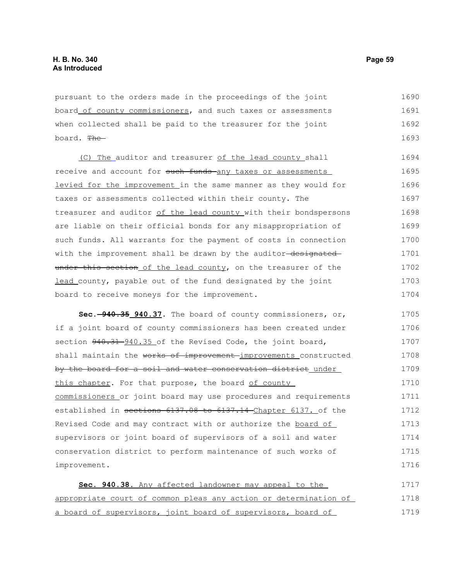pursuant to the orders made in the proceedings of the joint board of county commissioners, and such taxes or assessments when collected shall be paid to the treasurer for the joint board. The 1690 1691 1692 1693

(C) The auditor and treasurer of the lead county shall receive and account for such funds any taxes or assessments levied for the improvement in the same manner as they would for taxes or assessments collected within their county. The treasurer and auditor of the lead county with their bondspersons are liable on their official bonds for any misappropriation of such funds. All warrants for the payment of costs in connection with the improvement shall be drawn by the auditor-designatedunder this section of the lead county, on the treasurer of the lead county, payable out of the fund designated by the joint board to receive moneys for the improvement. 1694 1695 1696 1697 1698 1699 1700 1701 1702 1703 1704

**Sec. 940.35 940.37.** The board of county commissioners, or, if a joint board of county commissioners has been created under section  $940.31 - 940.35$  of the Revised Code, the joint board, shall maintain the works of improvement improvements constructed by the board for a soil and water conservation district under this chapter. For that purpose, the board of county commissioners or joint board may use procedures and requirements established in sections 6137.08 to 6137.14 Chapter 6137. of the Revised Code and may contract with or authorize the board of supervisors or joint board of supervisors of a soil and water conservation district to perform maintenance of such works of improvement. 1705 1706 1707 1708 1709 1710 1711 1712 1713 1714 1715 1716

 **Sec. 940.38.** Any affected landowner may appeal to the appropriate court of common pleas any action or determination of a board of supervisors, joint board of supervisors, board of 1717 1718 1719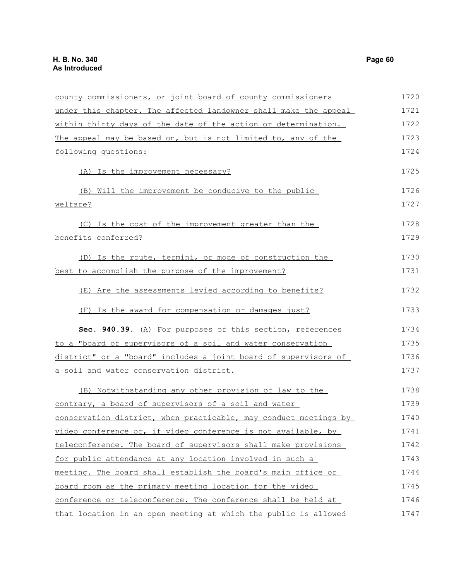| county commissioners, or joint board of county commissioners     | 1720 |
|------------------------------------------------------------------|------|
| under this chapter. The affected landowner shall make the appeal | 1721 |
| within thirty days of the date of the action or determination.   | 1722 |
| The appeal may be based on, but is not limited to, any of the    | 1723 |
| following questions:                                             | 1724 |
| (A) Is the improvement necessary?                                | 1725 |
| (B) Will the improvement be conducive to the public              | 1726 |
| welfare?                                                         | 1727 |
| (C) Is the cost of the improvement greater than the              | 1728 |
| benefits conferred?                                              | 1729 |
| (D) Is the route, termini, or mode of construction the           | 1730 |
| best to accomplish the purpose of the improvement?               | 1731 |
| (E) Are the assessments levied according to benefits?            | 1732 |
| (F) Is the award for compensation or damages just?               | 1733 |
| Sec. 940.39. (A) For purposes of this section, references        | 1734 |
| to a "board of supervisors of a soil and water conservation      | 1735 |
| district" or a "board" includes a joint board of supervisors of  | 1736 |
| a soil and water conservation district.                          | 1737 |
| (B) Notwithstanding any other provision of law to the            | 1738 |
| contrary, a board of supervisors of a soil and water             | 1739 |
| conservation district, when practicable, may conduct meetings by | 1740 |
| video conference or, if video conference is not available, by    | 1741 |
| teleconference. The board of supervisors shall make provisions   | 1742 |
| for public attendance at any location involved in such a         | 1743 |
| meeting. The board shall establish the board's main office or    | 1744 |
| board room as the primary meeting location for the video         | 1745 |
| conference or teleconference. The conference shall be held at    | 1746 |
| that location in an open meeting at which the public is allowed  | 1747 |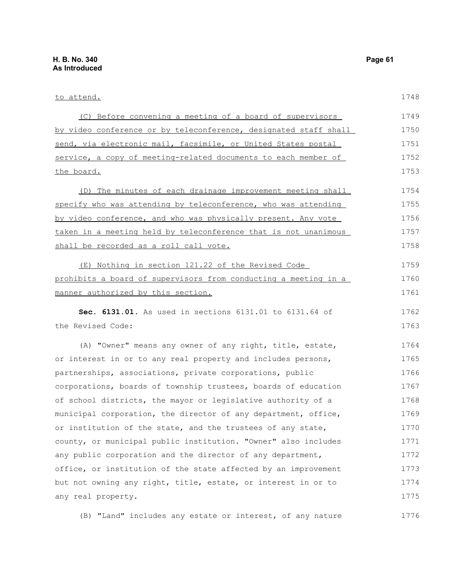to attend. (C) Before convening a meeting of a board of supervisors by video conference or by teleconference, designated staff shall send, via electronic mail, facsimile, or United States postal service, a copy of meeting-related documents to each member of the board. (D) The minutes of each drainage improvement meeting shall specify who was attending by teleconference, who was attending by video conference, and who was physically present. Any vote taken in a meeting held by teleconference that is not unanimous shall be recorded as a roll call vote. (E) Nothing in section 121.22 of the Revised Code prohibits a board of supervisors from conducting a meeting in a manner authorized by this section. **Sec. 6131.01.** As used in sections 6131.01 to 6131.64 of the Revised Code: (A) "Owner" means any owner of any right, title, estate, or interest in or to any real property and includes persons, 1748 1749 1750 1751 1752 1753 1754 1755 1756 1757 1758 1759 1760 1761 1762 1763 1764 1765 1766

partnerships, associations, private corporations, public corporations, boards of township trustees, boards of education of school districts, the mayor or legislative authority of a municipal corporation, the director of any department, office, or institution of the state, and the trustees of any state, county, or municipal public institution. "Owner" also includes any public corporation and the director of any department, office, or institution of the state affected by an improvement but not owning any right, title, estate, or interest in or to any real property. 1767 1768 1769 1770 1771 1772 1773 1774 1775

(B) "Land" includes any estate or interest, of any nature 1776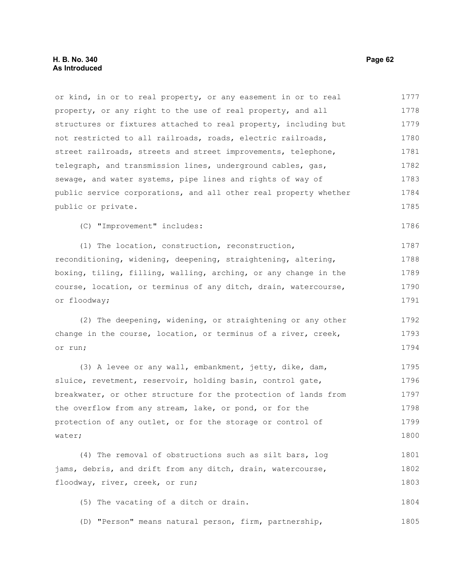# **H. B. No. 340 Page 62 As Introduced**

or kind, in or to real property, or any easement in or to real property, or any right to the use of real property, and all structures or fixtures attached to real property, including but not restricted to all railroads, roads, electric railroads, street railroads, streets and street improvements, telephone, telegraph, and transmission lines, underground cables, gas, sewage, and water systems, pipe lines and rights of way of public service corporations, and all other real property whether public or private. 1777 1778 1779 1780 1781 1782 1783 1784 1785

(C) "Improvement" includes:

(1) The location, construction, reconstruction, reconditioning, widening, deepening, straightening, altering, boxing, tiling, filling, walling, arching, or any change in the course, location, or terminus of any ditch, drain, watercourse, or floodway; 1787 1788 1789 1790 1791

(2) The deepening, widening, or straightening or any other change in the course, location, or terminus of a river, creek, or run; 1792 1793 1794

(3) A levee or any wall, embankment, jetty, dike, dam, sluice, revetment, reservoir, holding basin, control gate, breakwater, or other structure for the protection of lands from the overflow from any stream, lake, or pond, or for the protection of any outlet, or for the storage or control of water; 1795 1796 1797 1798 1799 1800

(4) The removal of obstructions such as silt bars, log jams, debris, and drift from any ditch, drain, watercourse, floodway, river, creek, or run; 1801 1802 1803

(5) The vacating of a ditch or drain. 1804

(D) "Person" means natural person, firm, partnership, 1805

1786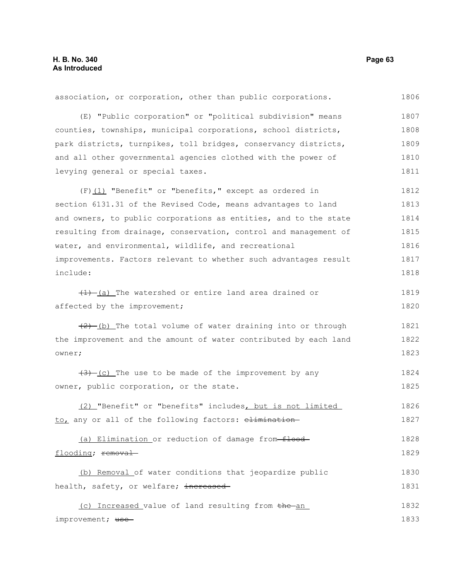association, or corporation, other than public corporations. (E) "Public corporation" or "political subdivision" means counties, townships, municipal corporations, school districts, park districts, turnpikes, toll bridges, conservancy districts, and all other governmental agencies clothed with the power of levying general or special taxes. (F)(1) "Benefit" or "benefits," except as ordered in section 6131.31 of the Revised Code, means advantages to land and owners, to public corporations as entities, and to the state resulting from drainage, conservation, control and management of water, and environmental, wildlife, and recreational improvements. Factors relevant to whether such advantages result include:  $(1)$  (a) The watershed or entire land area drained or affected by the improvement;  $(2)$  (b) The total volume of water draining into or through the improvement and the amount of water contributed by each land owner;  $(3)$  (c) The use to be made of the improvement by any owner, public corporation, or the state. (2) "Benefit" or "benefits" includes, but is not limited to, any or all of the following factors: elimination-(a) Elimination or reduction of damage from-floodflooding; removal (b) Removal of water conditions that jeopardize public health, safety, or welfare; increased (c) Increased value of land resulting from the an improvement; use-1806 1807 1808 1809 1810 1811 1812 1813 1814 1815 1816 1817 1818 1819 1820 1821 1822 1823 1824 1825 1826 1827 1828 1829 1830 1831 1832 1833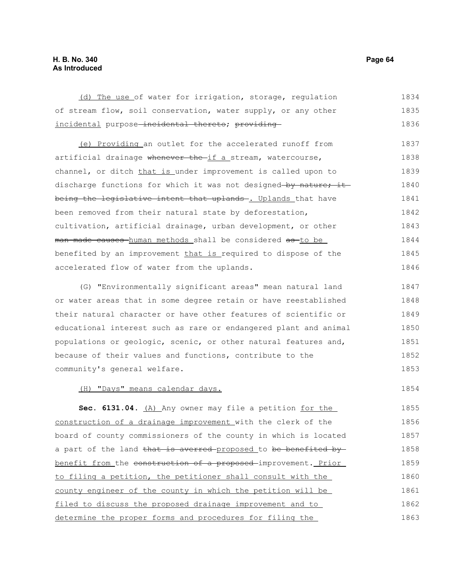# **H. B. No. 340 Page 64 As Introduced**

(d) The use of water for irrigation, storage, regulation of stream flow, soil conservation, water supply, or any other incidental purpose-incidental thereto; providing-1834 1835 1836

 (e) Providing an outlet for the accelerated runoff from artificial drainage whenever the-if a stream, watercourse, channel, or ditch that is under improvement is called upon to discharge functions for which it was not designed by nature; it being the legislative intent that uplands. Uplands that have been removed from their natural state by deforestation, cultivation, artificial drainage, urban development, or other man-made causes human methods shall be considered as to be benefited by an improvement that is required to dispose of the accelerated flow of water from the uplands. 1837 1838 1839 1840 1841 1842 1843 1844 1845 1846

(G) "Environmentally significant areas" mean natural land or water areas that in some degree retain or have reestablished their natural character or have other features of scientific or educational interest such as rare or endangered plant and animal populations or geologic, scenic, or other natural features and, because of their values and functions, contribute to the community's general welfare. 1847 1848 1849 1850 1851 1852 1853

(H) "Days" means calendar days.

1854

Sec. 6131.04. (A) Any owner may file a petition for the construction of a drainage improvement with the clerk of the board of county commissioners of the county in which is located a part of the land that is averred-proposed to be benefited bybenefit from the construction of a proposed-improvement. Prior to filing a petition, the petitioner shall consult with the county engineer of the county in which the petition will be filed to discuss the proposed drainage improvement and to determine the proper forms and procedures for filing the 1855 1856 1857 1858 1859 1860 1861 1862 1863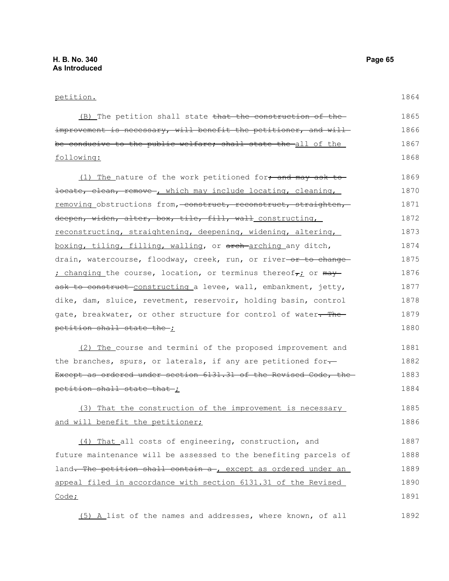### petition.

(B) The petition shall state that the construction of the improvement is necessary, will benefit the petitioner, and willbe conducive to the public welfare; shall state the all of the following: 1865 1866 1867 1868

(1) The nature of the work petitioned for, and may ask to locate, clean, remove , which may include locating, cleaning, removing obstructions from, construct, reconstruct, straighten, deepen, widen, alter, box, tile, fill, wall constructing, reconstructing, straightening, deepening, widening, altering, boxing, tiling, filling, walling, or arch-arching any ditch, drain, watercourse, floodway, creek, run, or river-or to change-; changing the course, location, or terminus thereof $\tau_L$  or  $\text{may}$ ask to construct-constructing a levee, wall, embankment, jetty, dike, dam, sluice, revetment, reservoir, holding basin, control gate, breakwater, or other structure for control of water. The petition shall state the ; 1869 1870 1871 1872 1873 1874 1875 1876 1877 1878 1879 1880

(2) The course and termini of the proposed improvement and the branches, spurs, or laterals, if any are petitioned for-Except as ordered under section 6131.31 of the Revised Code, the petition shall state that ; 1881 1882 1883 1884

### (3) That the construction of the improvement is necessary and will benefit the petitioner; 1885 1886

(4) That all costs of engineering, construction, and future maintenance will be assessed to the benefiting parcels of land. The petition shall contain a-, except as ordered under an appeal filed in accordance with section 6131.31 of the Revised Code; 1887 1888 1889 1890 1891

 (5) A list of the names and addresses, where known, of all 1892

1864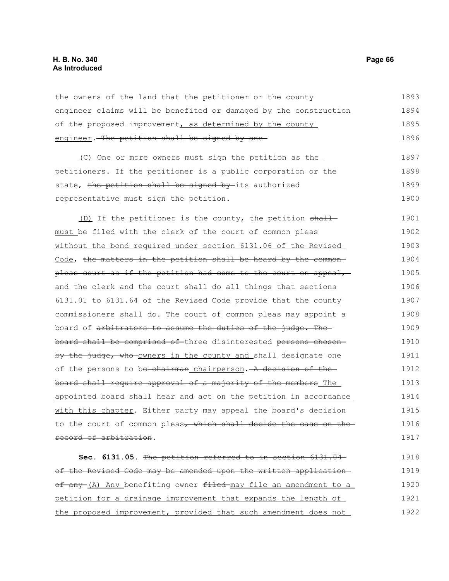# **H. B. No. 340 Page 66 As Introduced**

the owners of the land that the petitioner or the county engineer claims will be benefited or damaged by the construction of the proposed improvement, as determined by the county engineer. The petition shall be signed by one 1893 1894 1895 1896

(C) One or more owners must sign the petition as the petitioners. If the petitioner is a public corporation or the state, the petition shall be signed by its authorized representative must sign the petition. 1897 1898 1899 1900

(D) If the petitioner is the county, the petition shallmust be filed with the clerk of the court of common pleas without the bond required under section 6131.06 of the Revised Code, the matters in the petition shall be heard by the commonpleas court as if the petition had come to the court on appeal, and the clerk and the court shall do all things that sections 6131.01 to 6131.64 of the Revised Code provide that the county commissioners shall do. The court of common pleas may appoint a board of arbitrators to assume the duties of the judge. The board shall be comprised of three disinterested persons chosen by the judge, who owners in the county and shall designate one of the persons to be chairman chairperson. A decision of the board shall require approval of a majority of the members The appointed board shall hear and act on the petition in accordance with this chapter. Either party may appeal the board's decision to the court of common pleas, which shall decide the case on the record of arbitration. 1901 1902 1903 1904 1905 1906 1907 1908 1909 1910 1911 1912 1913 1914 1915 1916 1917

**Sec. 6131.05.** The petition referred to in section 6131.04 of the Revised Code may be amended upon the written application of any (A) Any benefiting owner filed may file an amendment to a petition for a drainage improvement that expands the length of the proposed improvement, provided that such amendment does not 1918 1919 1920 1921 1922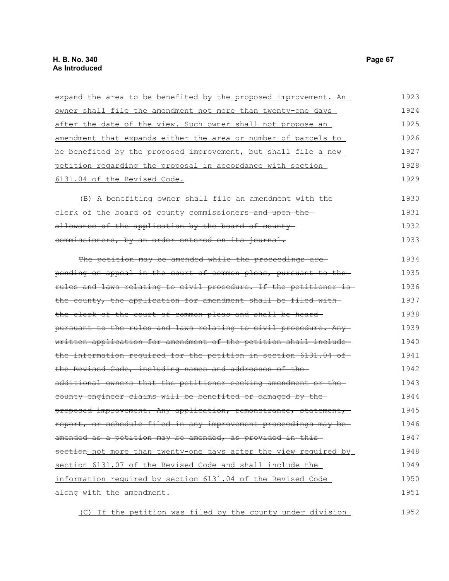| expand the area to be benefited by the proposed improvement. An   | 1923 |
|-------------------------------------------------------------------|------|
| owner shall file the amendment not more than twenty-one days      | 1924 |
| after the date of the view. Such owner shall not propose an       | 1925 |
| amendment that expands either the area or number of parcels to    | 1926 |
| be benefited by the proposed improvement, but shall file a new    | 1927 |
| petition regarding the proposal in accordance with section        | 1928 |
| 6131.04 of the Revised Code.                                      | 1929 |
| (B) A benefiting owner shall file an amendment with the           | 1930 |
| clerk of the board of county commissioners-and upon the-          | 1931 |
| allowance of the application by the board of county-              | 1932 |
| commissioners, by an order entered on its journal.                | 1933 |
| The petition may be amended while the proceedings are-            | 1934 |
| pending on appeal in the court of common pleas, pursuant to the   | 1935 |
| rules and laws relating to civil procedure. If the petitioner is- | 1936 |
| the county, the application for amendment shall be filed with     | 1937 |
| the clerk of the court of common pleas and shall be heard-        | 1938 |
| pursuant to the rules and laws relating to civil procedure. Any   | 1939 |
| written application for amendment of the petition shall include-  | 1940 |
| the information required for the petition in section 6131.04 of   | 1941 |
| the Revised Code, including names and addresses of the-           | 1942 |
| additional owners that the petitioner seeking amendment or the    | 1943 |
| county engineer claims will be benefited or damaged by the-       | 1944 |
| proposed improvement. Any application, remonstrance, statement,   | 1945 |
| report, or schedule filed in any improvement proceedings may be-  | 1946 |
| amended as a petition may be amended, as provided in this-        | 1947 |
| section not more than twenty-one days after the view required by  | 1948 |
| section 6131.07 of the Revised Code and shall include the         | 1949 |
| information required by section 6131.04 of the Revised Code       | 1950 |
| along with the amendment.                                         | 1951 |

(C) If the petition was filed by the county under division 1952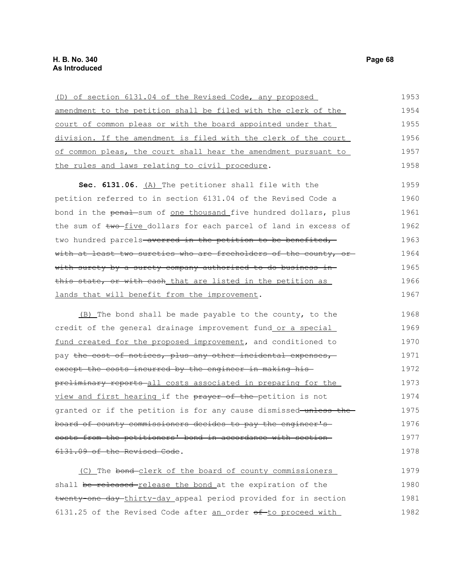| (D) of section 6131.04 of the Revised Code, any proposed                | 1953 |
|-------------------------------------------------------------------------|------|
| amendment to the petition shall be filed with the clerk of the          | 1954 |
| court of common pleas or with the board appointed under that            | 1955 |
| division. If the amendment is filed with the clerk of the court         | 1956 |
| of common pleas, the court shall hear the amendment pursuant to         | 1957 |
| the rules and laws relating to civil procedure.                         | 1958 |
| Sec. 6131.06. (A) The petitioner shall file with the                    | 1959 |
| petition referred to in section 6131.04 of the Revised Code a           | 1960 |
| bond in the penal sum of <u>one thousand</u> five hundred dollars, plus | 1961 |
| the sum of two-five dollars for each parcel of land in excess of        | 1962 |
| two hundred parcels-averred in the petition to be benefited,            | 1963 |
| with at least two sureties who are freeholders of the county, or-       | 1964 |
| with surety by a surety company authorized to do business in-           | 1965 |
| this state, or with cash that are listed in the petition as             | 1966 |
| lands that will benefit from the improvement.                           | 1967 |
|                                                                         |      |

(B) The bond shall be made payable to the county, to the credit of the general drainage improvement fund or a special fund created for the proposed improvement, and conditioned to pay the cost of notices, plus any other incidental expenses, except the costs incurred by the engineer in making hispreliminary reports all costs associated in preparing for the view and first hearing if the prayer of the petition is not granted or if the petition is for any cause dismissed unless the board of county commissioners decides to pay the engineer's costs from the petitioners' bond in accordance with section 6131.09 of the Revised Code. 1968 1969 1970 1971 1972 1973 1974 1975 1976 1977 1978

(C) The bond clerk of the board of county commissioners shall be released-release the bond at the expiration of the twenty-one day thirty-day appeal period provided for in section 6131.25 of the Revised Code after an order of to proceed with 1979 1980 1981 1982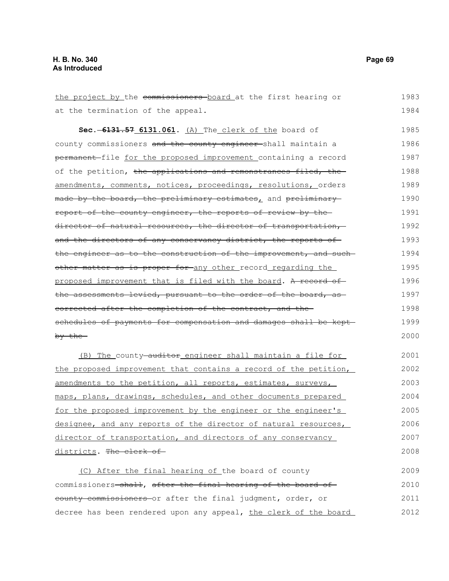| the project by the commissioners board at the first hearing or    | 1983 |
|-------------------------------------------------------------------|------|
| at the termination of the appeal.                                 | 1984 |
| Sec. -6131.57 6131.061. (A) The clerk of the board of             | 1985 |
| county commissioners and the county engineer-shall maintain a     | 1986 |
| permanent file for the proposed improvement containing a record   | 1987 |
| of the petition, the applications and remonstrances filed, the    | 1988 |
| amendments, comments, notices, proceedings, resolutions, orders   | 1989 |
| made by the board, the preliminary estimates, and preliminary-    | 1990 |
| report of the county engineer, the reports of review by the       | 1991 |
| director of natural resources, the director of transportation,    | 1992 |
| and the directors of any conservancy district, the reports of     | 1993 |
| the engineer as to the construction of the improvement, and such- | 1994 |
| other matter as is proper for any other record regarding the      | 1995 |
| proposed improvement that is filed with the board. A record of    | 1996 |
| the assessments levied, pursuant to the order of the board, as    | 1997 |
| corrected after the completion of the contract, and the           | 1998 |
| schedules of payments for compensation and damages shall be kept- | 1999 |
| by the                                                            | 2000 |
| (B) The county auditor engineer shall maintain a file for         | 2001 |
| the proposed improvement that contains a record of the petition,  | 2002 |
| amendments to the petition, all reports, estimates, surveys,      | 2003 |
| maps, plans, drawings, schedules, and other documents prepared    | 2004 |
| for the proposed improvement by the engineer or the engineer's    | 2005 |
| designee, and any reports of the director of natural resources,   | 2006 |
| director of transportation, and directors of any conservancy      | 2007 |
| districts. The clerk of                                           | 2008 |
| (C) After the final hearing of the board of county                | 2009 |
| commissioners-shall, after the final hearing of the board of      | 2010 |
| eounty commissioners or after the final judgment, order, or       | 2011 |
| decree has been rendered upon any appeal, the clerk of the board  | 2012 |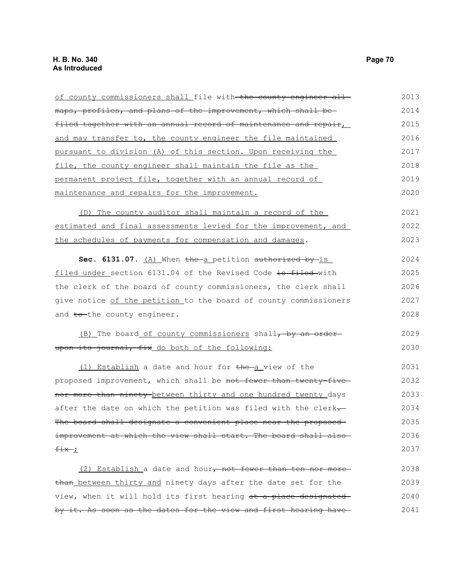| of county commissioners shall file with the county engineer all  | 2013 |
|------------------------------------------------------------------|------|
| maps, profiles, and plans of the improvement, which shall be     | 2014 |
| filed together with an annual record of maintenance and repair,  | 2015 |
| and may transfer to, the county engineer the file maintained     | 2016 |
| pursuant to division (A) of this section. Upon receiving the     | 2017 |
| file, the county engineer shall maintain the file as the         | 2018 |
| permanent project file, together with an annual record of        | 2019 |
| maintenance and repairs for the improvement.                     | 2020 |
| (D) The county auditor shall maintain a record of the            | 2021 |
| estimated and final assessments levied for the improvement, and  | 2022 |
| the schedules of payments for compensation and damages.          | 2023 |
| Sec. 6131.07. (A) When the a petition authorized by is           | 2024 |
| filed under section 6131.04 of the Revised Code is filed-with    | 2025 |
| the clerk of the board of county commissioners, the clerk shall  | 2026 |
| give notice of the petition to the board of county commissioners | 2027 |
| and to the county engineer.                                      | 2028 |
| (B) The board of county commissioners shall, by an order-        | 2029 |
| upon its journal, fix do both of the following:                  | 2030 |
| (1) Establish a date and hour for the a view of the              | 2031 |
| proposed improvement, which shall be not fewer than twenty-five- | 2032 |
| nor more than ninety between thirty and one hundred twenty days  | 2033 |
| after the date on which the petition was filed with the clerk-   | 2034 |
| The board shall designate a convenient place near the proposed-  | 2035 |
| improvement at which the view shall start. The board shall also- | 2036 |
| $f$ ix $L$                                                       | 2037 |
| (2) Establish a date and hour, not fewer than ten nor more       | 2038 |
| than between thirty and ninety days after the date set for the   | 2039 |
| view, when it will hold its first hearing at a place designated  | 2040 |
| by it. As soon as the dates for the view and first hearing have- | 2041 |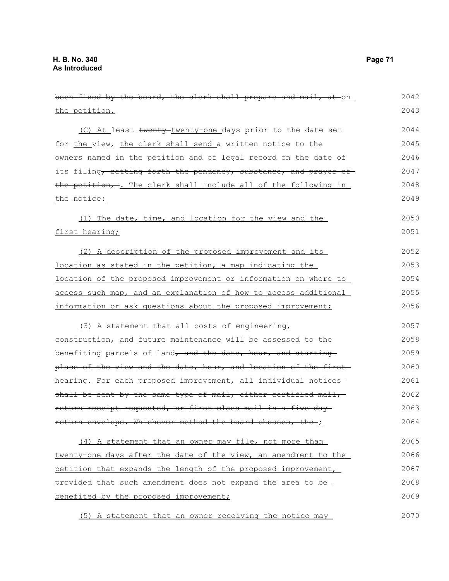been fixed by the board, the clerk shall prepare and mail, at on the petition. (C) At least twenty-twenty-one days prior to the date set for the view, the clerk shall send a written notice to the owners named in the petition and of legal record on the date of its filing, setting forth the pendency, substance, and prayer of the petition, . The clerk shall include all of the following in the notice: (1) The date, time, and location for the view and the first hearing; (2) A description of the proposed improvement and its location as stated in the petition, a map indicating the location of the proposed improvement or information on where to access such map, and an explanation of how to access additional information or ask questions about the proposed improvement; (3) A statement that all costs of engineering, construction, and future maintenance will be assessed to the benefiting parcels of land, and the date, hour, and starting place of the view and the date, hour, and location of the first hearing. For each proposed improvement, all individual notices shall be sent by the same type of mail, either certified mail, return receipt requested, or first-class mail in a five-day return envelope. Whichever method the board chooses, the ; (4) A statement that an owner may file, not more than twenty-one days after the date of the view, an amendment to the petition that expands the length of the proposed improvement, provided that such amendment does not expand the area to be benefited by the proposed improvement; 2042 2043 2044 2045 2046 2047 2048 2049 2050 2051 2052 2053 2054 2055 2056 2057 2058 2059 2060 2061 2062 2063 2064 2065 2066 2067 2068 2069

(5) A statement that an owner receiving the notice may 2070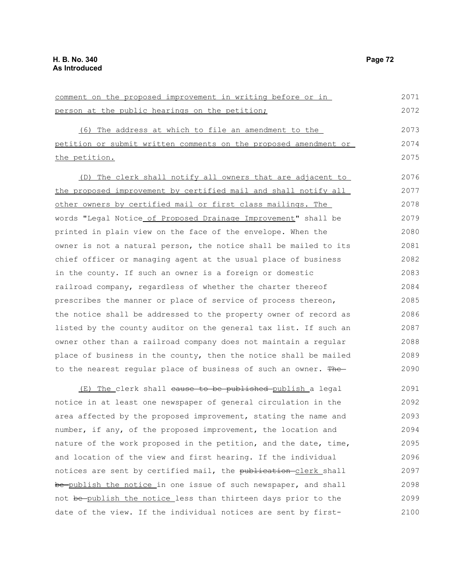comment on the proposed improvement in writing before or in person at the public hearings on the petition; (6) The address at which to file an amendment to the petition or submit written comments on the proposed amendment or the petition. (D) The clerk shall notify all owners that are adjacent to the proposed improvement by certified mail and shall notify all other owners by certified mail or first class mailings. The words "Legal Notice of Proposed Drainage Improvement" shall be printed in plain view on the face of the envelope. When the owner is not a natural person, the notice shall be mailed to its chief officer or managing agent at the usual place of business in the county. If such an owner is a foreign or domestic railroad company, regardless of whether the charter thereof prescribes the manner or place of service of process thereon, the notice shall be addressed to the property owner of record as listed by the county auditor on the general tax list. If such an owner other than a railroad company does not maintain a regular place of business in the county, then the notice shall be mailed to the nearest regular place of business of such an owner. The-(E) The clerk shall cause to be published publish a legal notice in at least one newspaper of general circulation in the area affected by the proposed improvement, stating the name and number, if any, of the proposed improvement, the location and nature of the work proposed in the petition, and the date, time, 2071 2072 2073 2074 2075 2076 2077 2078 2079 2080 2081 2082 2083 2084 2085 2086 2087 2088 2089 2090 2091 2092 2093 2094 2095

and location of the view and first hearing. If the individual notices are sent by certified mail, the publication-clerk shall be publish the notice in one issue of such newspaper, and shall not be publish the notice less than thirteen days prior to the date of the view. If the individual notices are sent by first-2096 2097 2098 2099 2100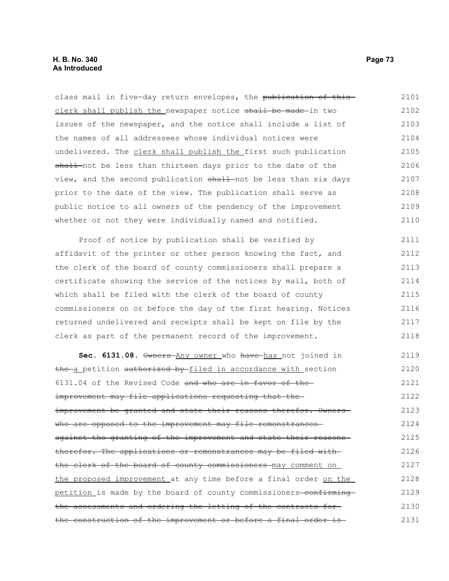class mail in five-day return envelopes, the publication of thisclerk shall publish the newspaper notice shall be made-in two issues of the newspaper, and the notice shall include a list of the names of all addressees whose individual notices were undelivered. The clerk shall publish the first such publication shall not be less than thirteen days prior to the date of the view, and the second publication shall not be less than six days prior to the date of the view. The publication shall serve as public notice to all owners of the pendency of the improvement whether or not they were individually named and notified. 2101 2102 2103 2104 2105 2106 2107 2108 2109 2110

Proof of notice by publication shall be verified by affidavit of the printer or other person knowing the fact, and the clerk of the board of county commissioners shall prepare a certificate showing the service of the notices by mail, both of which shall be filed with the clerk of the board of county commissioners on or before the day of the first hearing. Notices returned undelivered and receipts shall be kept on file by the clerk as part of the permanent record of the improvement. 2111 2112 2113 2114 2115 2116 2117 2118

Sec. 6131.08. Owners Any owner who have has not joined in the a petition authorized by filed in accordance with section 6131.04 of the Revised Code and who are in favor of the improvement may file applications requesting that the improvement be granted and state their reasons therefor. Ownerswho are opposed to the improvement may file remonstrancesagainst the granting of the improvement and state their reasons therefor. The applications or remonstrances may be filed with the clerk of the board of county commissioners may comment on the proposed improvement at any time before a final order on the petition is made by the board of county commissioners-confirmingthe assessments and ordering the letting of the contracts for the construction of the improvement or before a final order is 2119 2120 2121 2122 2123 2124 2125 2126 2127 2128 2129 2130 2131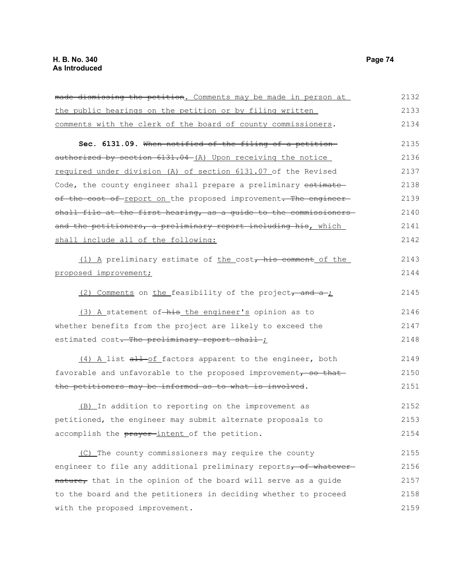| made dismissing the petition. Comments may be made in person at  | 2132 |
|------------------------------------------------------------------|------|
| the public hearings on the petition or by filing written         | 2133 |
| comments with the clerk of the board of county commissioners.    | 2134 |
| Sec. 6131.09. When notified of the filing of a petition-         | 2135 |
| authorized by section 6131.04-(A) Upon receiving the notice      | 2136 |
| required under division (A) of section 6131.07 of the Revised    | 2137 |
| Code, the county engineer shall prepare a preliminary estimate   | 2138 |
| of the cost of report on the proposed improvement. The engineer  | 2139 |
| shall file at the first hearing, as a guide to the commissioners | 2140 |
| and the petitioners, a preliminary report including his, which   | 2141 |
| shall include all of the following:                              | 2142 |
| (1) A preliminary estimate of the cost, his comment of the       | 2143 |
| proposed improvement;                                            | 2144 |
| (2) Comments on the feasibility of the project, and a ;          | 2145 |
| (3) A statement of-his the engineer's opinion as to              | 2146 |
| whether benefits from the project are likely to exceed the       | 2147 |
| estimated cost. The preliminary report shall ;                   | 2148 |
| (4) A list all-of factors apparent to the engineer, both         | 2149 |
| favorable and unfavorable to the proposed improvement, so that   | 2150 |
| the petitioners may be informed as to what is involved.          | 2151 |
| (B) In addition to reporting on the improvement as               | 2152 |
| petitioned, the engineer may submit alternate proposals to       | 2153 |
| accomplish the prayer-intent of the petition.                    | 2154 |
| (C) The county commissioners may require the county              | 2155 |
| engineer to file any additional preliminary reports, of whatever | 2156 |
| nature, that in the opinion of the board will serve as a guide   | 2157 |
| to the board and the petitioners in deciding whether to proceed  | 2158 |
| with the proposed improvement.                                   | 2159 |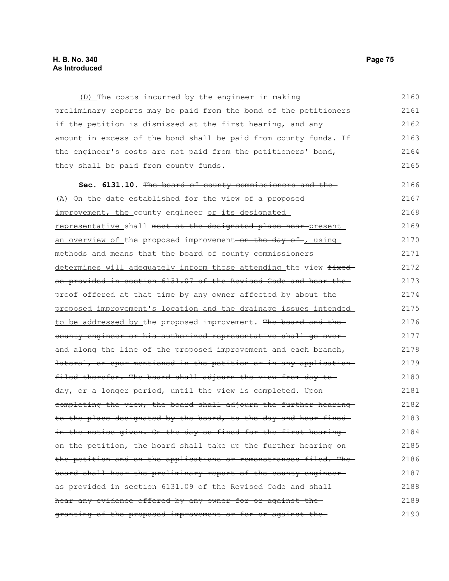## **H. B. No. 340 Page 75 As Introduced**

(D) The costs incurred by the engineer in making preliminary reports may be paid from the bond of the petitioners if the petition is dismissed at the first hearing, and any amount in excess of the bond shall be paid from county funds. If the engineer's costs are not paid from the petitioners' bond, they shall be paid from county funds. 2160 2161 2162 2163 2164 2165

**Sec. 6131.10.** The board of county commissioners and the (A) On the date established for the view of a proposed improvement, the county engineer or its designated representative shall meet at the designated place near present an overview of the proposed improvement-on the day of , using methods and means that the board of county commissioners determines will adequately inform those attending the view fixedas provided in section 6131.07 of the Revised Code and hear the proof offered at that time by any owner affected by about the proposed improvement's location and the drainage issues intended to be addressed by the proposed improvement. The board and the county engineer or his authorized representative shall go over and along the line of the proposed improvement and each branch, lateral, or spur mentioned in the petition or in any application filed therefor. The board shall adjourn the view from day to day, or a longer period, until the view is completed. Uponcompleting the view, the board shall adjourn the further hearing to the place designated by the board, to the day and hour fixed in the notice given. On the day so fixed for the first hearing on the petition, the board shall take up the further hearing onthe petition and on the applications or remonstrances filed. The board shall hear the preliminary report of the county engineer as provided in section 6131.09 of the Revised Code and shall hear any evidence offered by any owner for or against thegranting of the proposed improvement or for or against the 2166 2167 2168 2169 2170 2171 2172 2173 2174 2175 2176 2177 2178 2179 2180 2181 2182 2183 2184 2185 2186 2187 2188 2189 2190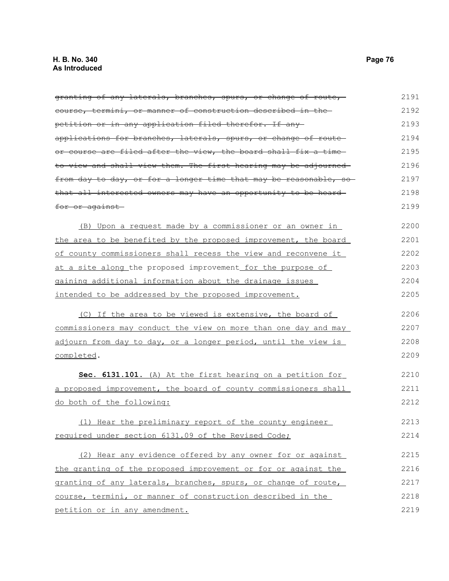granting of any laterals, branches, spurs, or change of route, course, termini, or manner of construction described in the petition or in any application filed therefor. If any applications for branches, laterals, spurs, or change of route or course are filed after the view, the board shall fix a timeto view and shall view them. The first hearing may be adjourned from day to day, or for a longer time that may be reasonable, so that all interested owners may have an opportunity to be heard for or against (B) Upon a request made by a commissioner or an owner in the area to be benefited by the proposed improvement, the board of county commissioners shall recess the view and reconvene it at a site along the proposed improvement for the purpose of gaining additional information about the drainage issues intended to be addressed by the proposed improvement. (C) If the area to be viewed is extensive, the board of commissioners may conduct the view on more than one day and may adjourn from day to day, or a longer period, until the view is completed. **Sec. 6131.101.** (A) At the first hearing on a petition for a proposed improvement, the board of county commissioners shall do both of the following: (1) Hear the preliminary report of the county engineer required under section 6131.09 of the Revised Code; (2) Hear any evidence offered by any owner for or against the granting of the proposed improvement or for or against the granting of any laterals, branches, spurs, or change of route, course, termini, or manner of construction described in the petition or in any amendment. 2191 2192 2193 2194 2195 2196 2197 2198 2199 2200 2201 2202 2203 2204 2205 2206 2207 2208 2209 2210 2211 2212 2213 2214 2215 2216 2217 2218 2219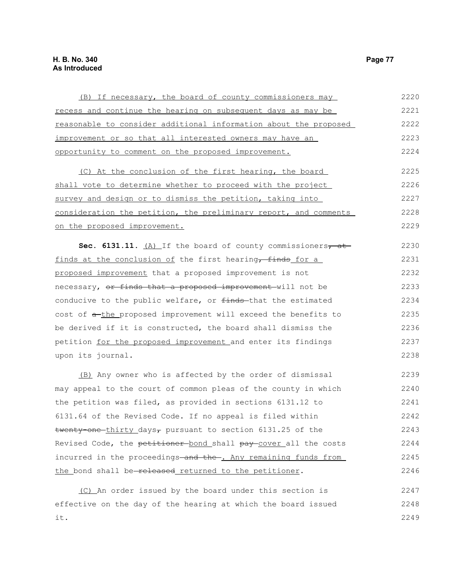it.

| (B) If necessary, the board of county commissioners may          | 2220 |
|------------------------------------------------------------------|------|
| recess and continue the hearing on subsequent days as may be     | 2221 |
| reasonable to consider additional information about the proposed | 2222 |
| improvement or so that all interested owners may have an         | 2223 |
| opportunity to comment on the proposed improvement.              | 2224 |
| (C) At the conclusion of the first hearing, the board            | 2225 |
| shall vote to determine whether to proceed with the project      | 2226 |
| survey and design or to dismiss the petition, taking into        | 2227 |
| consideration the petition, the preliminary report, and comments | 2228 |
| on the proposed improvement.                                     | 2229 |
| Sec. 6131.11. (A) If the board of county commissioners, at       | 2230 |
| finds at the conclusion of the first hearing, finds for a        | 2231 |
| proposed improvement that a proposed improvement is not          | 2232 |
| necessary, or finds that a proposed improvement will not be      | 2233 |
| conducive to the public welfare, or finds-that the estimated     | 2234 |
| cost of a-the proposed improvement will exceed the benefits to   | 2235 |
| be derived if it is constructed, the board shall dismiss the     | 2236 |
| petition for the proposed improvement and enter its findings     | 2237 |
| upon its journal.                                                | 2238 |
| (B) Any owner who is affected by the order of dismissal          | 2239 |
| may appeal to the court of common pleas of the county in which   | 2240 |
| the petition was filed, as provided in sections 6131.12 to       | 2241 |
| 6131.64 of the Revised Code. If no appeal is filed within        | 2242 |
| twenty one thirty days, pursuant to section 6131.25 of the       | 2243 |
| Revised Code, the petitioner-bond shall pay-cover all the costs  | 2244 |
| incurred in the proceedings-and the-. Any remaining funds from   | 2245 |
| the bond shall be released returned to the petitioner.           | 2246 |
| (C) An order issued by the board under this section is           | 2247 |
| effective on the day of the hearing at which the board issued    | 2248 |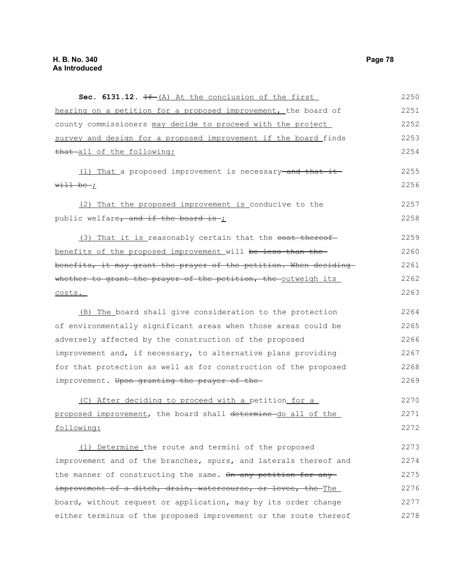| Sec. $6131.12$ . $H_{-}(A)$ At the conclusion of the first       | 2250 |
|------------------------------------------------------------------|------|
| hearing on a petition for a proposed improvement, the board of   | 2251 |
| county commissioners may decide to proceed with the project      | 2252 |
| survey and design for a proposed improvement if the board finds  | 2253 |
| that all of the following:                                       | 2254 |
| (1) That a proposed improvement is necessary-and that it         | 2255 |
| $w$ ill be ;                                                     | 2256 |
| (2) That the proposed improvement is conducive to the            | 2257 |
| public welfare, and if the board is ;                            | 2258 |
| (3) That it is reasonably certain that the cost thereof          | 2259 |
| benefits of the proposed improvement will be less than the-      | 2260 |
| benefits, it may grant the prayer of the petition. When deciding | 2261 |
| whether to grant the prayer of the petition, the outweigh its    | 2262 |
| costs.                                                           | 2263 |
| (B) The board shall give consideration to the protection         | 2264 |
| of environmentally significant areas when those areas could be   | 2265 |
| adversely affected by the construction of the proposed           | 2266 |
| improvement and, if necessary, to alternative plans providing    | 2267 |
| for that protection as well as for construction of the proposed  | 2268 |
| improvement. Upon granting the prayer of the                     | 2269 |
| (C) After deciding to proceed with a petition for a              | 2270 |
| proposed improvement, the board shall determine do all of the    | 2271 |
| following:                                                       | 2272 |
| (1) Determine the route and termini of the proposed              | 2273 |
| improvement and of the branches, spurs, and laterals thereof and | 2274 |
| the manner of constructing the same. On any petition for any     | 2275 |
| improvement of a ditch, drain, watercourse, or levee, the The    | 2276 |
| board, without request or application, may by its order change   | 2277 |
| either terminus of the proposed improvement or the route thereof | 2278 |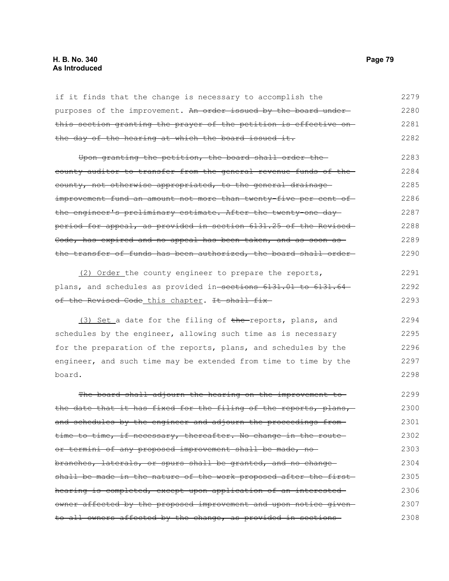## **H. B. No. 340 Page 79 As Introduced**

if it finds that the change is necessary to accomplish the purposes of the improvement. An order issued by the board underthis section granting the prayer of the petition is effective on the day of the hearing at which the board issued it. 2279 2280 2281 2282

Upon granting the petition, the board shall order the county auditor to transfer from the general revenue funds of the county, not otherwise appropriated, to the general drainage improvement fund an amount not more than twenty-five per cent of the engineer's preliminary estimate. After the twenty one dayperiod for appeal, as provided in section 6131.25 of the Revised Code, has expired and no appeal has been taken, and as soon as the transfer of funds has been authorized, the board shall order 2283 2284 2285 2286 2287 2288 2289 2290

 (2) Order the county engineer to prepare the reports, plans, and schedules as provided in sections 6131.01 to 6131.64 of the Revised Code this chapter. It shall fix-2291 2292 2293

(3) Set a date for the filing of the reports, plans, and schedules by the engineer, allowing such time as is necessary for the preparation of the reports, plans, and schedules by the engineer, and such time may be extended from time to time by the board. 2294 2295 2296 2297 2298

The board shall adjourn the hearing on the improvement tothe date that it has fixed for the filing of the reports, plans, and schedules by the engineer and adjourn the proceedings fromtime to time, if necessary, thereafter. No change in the routeor termini of any proposed improvement shall be made, no branches, laterals, or spurs shall be granted, and no change shall be made in the nature of the work proposed after the firsthearing is completed, except upon application of an interested owner affected by the proposed improvement and upon notice given to all owners affected by the change, as provided in sections 2299 2300 2301 2302 2303 2304 2305 2306 2307 2308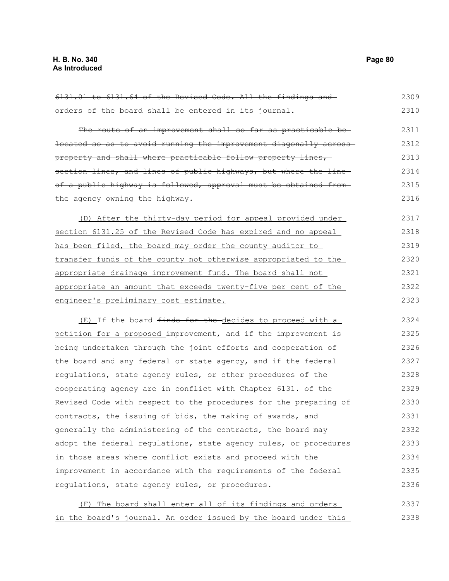orders of the board shall be entered in its journal. The route of an improvement shall so far as practicable belocated so as to avoid running the improvement diagonally across property and shall where practicable follow property lines, section lines, and lines of public highways, but where the lineof a public highway is followed, approval must be obtained from the agency owning the highway. (D) After the thirty-day period for appeal provided under section 6131.25 of the Revised Code has expired and no appeal has been filed, the board may order the county auditor to transfer funds of the county not otherwise appropriated to the appropriate drainage improvement fund. The board shall not appropriate an amount that exceeds twenty-five per cent of the engineer's preliminary cost estimate. (E) If the board finds for the decides to proceed with a petition for a proposed improvement, and if the improvement is being undertaken through the joint efforts and cooperation of the board and any federal or state agency, and if the federal regulations, state agency rules, or other procedures of the cooperating agency are in conflict with Chapter 6131. of the Revised Code with respect to the procedures for the preparing of contracts, the issuing of bids, the making of awards, and generally the administering of the contracts, the board may adopt the federal regulations, state agency rules, or procedures in those areas where conflict exists and proceed with the improvement in accordance with the requirements of the federal regulations, state agency rules, or procedures. (F) The board shall enter all of its findings and orders 2310 2311 2312 2313 2314 2315 2316 2317 2318 2319 2320 2321 2322 2323 2324 2325 2326 2327 2328 2329 2330 2331 2332 2333 2334 2335 2336 2337

6131.01 to 6131.64 of the Revised Code. All the findings and

in the board's journal. An order issued by the board under this 2338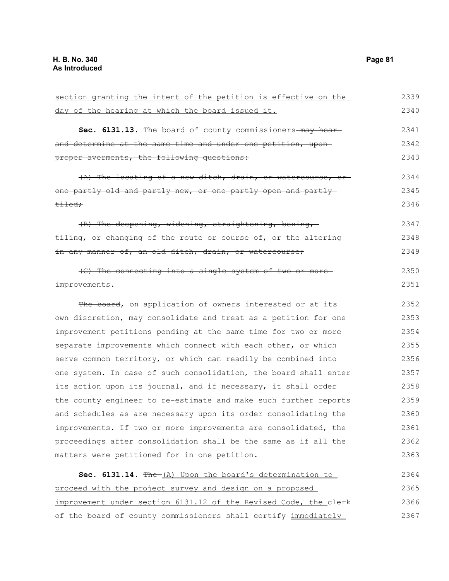| section granting the intent of the petition is effective on the  | 2339 |
|------------------------------------------------------------------|------|
| day of the hearing at which the board issued it.                 | 2340 |
| Sec. 6131.13. The board of county commissioners-may hear-        | 2341 |
| and determine at the same time and under one petition, upon-     | 2342 |
| proper averments, the following questions:                       | 2343 |
| $(A)$ The locating of a new ditch, drain, or watercourse, or     | 2344 |
| one partly old and partly new, or one partly open and partly     | 2345 |
| <del>tiled;</del>                                                | 2346 |
| (B) The deepening, widening, straightening, boxing,              | 2347 |
| tiling, or changing of the route or course of, or the altering-  | 2348 |
| in any manner of, an old ditch, drain, or watercourse;           | 2349 |
| (C) The connecting into a single system of two or more-          | 2350 |
| improvements.                                                    | 2351 |
| The board, on application of owners interested or at its         | 2352 |
| own discretion, may consolidate and treat as a petition for one  | 2353 |
| improvement petitions pending at the same time for two or more   | 2354 |
| separate improvements which connect with each other, or which    | 2355 |
| serve common territory, or which can readily be combined into    | 2356 |
| one system. In case of such consolidation, the board shall enter | 2357 |
| its action upon its journal, and if necessary, it shall order    | 2358 |
| the county engineer to re-estimate and make such further reports | 2359 |
| and schedules as are necessary upon its order consolidating the  | 2360 |
| improvements. If two or more improvements are consolidated, the  | 2361 |
| proceedings after consolidation shall be the same as if all the  | 2362 |
| matters were petitioned for in one petition.                     | 2363 |
| Sec. 6131.14. The (A) Upon the board's determination to          | 2364 |
| proceed with the project survey and design on a proposed         | 2365 |
| improvement under section 6131.12 of the Revised Code, the clerk | 2366 |
| of the board of county commissioners shall eertify immediately   | 2367 |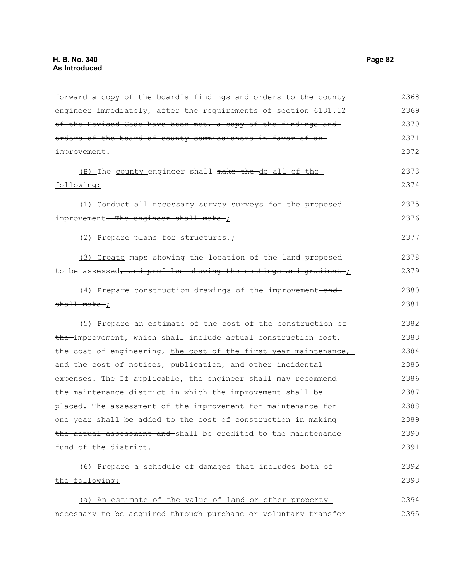| forward a copy of the board's findings and orders to the county  | 2368 |
|------------------------------------------------------------------|------|
| engineer-immediately, after the requirements of section 6131.12- | 2369 |
| of the Revised Code have been met, a copy of the findings and    | 2370 |
| orders of the board of county commissioners in favor of an-      | 2371 |
| improvement.                                                     | 2372 |
| (B) The county engineer shall make the do all of the             | 2373 |
| following:                                                       | 2374 |
| (1) Conduct all necessary survey-surveys for the proposed        | 2375 |
| improvement <del>. The engineer shall make</del>                 | 2376 |
| (2) Prepare plans for structures <sub>7</sub>                    | 2377 |
| (3) Create maps showing the location of the land proposed        | 2378 |
| to be assessed, and profiles showing the cuttings and gradient;  | 2379 |
| (4) Prepare construction drawings of the improvement-and-        | 2380 |
| shall make ;                                                     | 2381 |
| (5) Prepare an estimate of the cost of the construction of       | 2382 |
| the improvement, which shall include actual construction cost,   | 2383 |
| the cost of engineering, the cost of the first year maintenance, | 2384 |
| and the cost of notices, publication, and other incidental       | 2385 |
| expenses. The If applicable, the engineer shall may recommend    | 2386 |
| the maintenance district in which the improvement shall be       | 2387 |
| placed. The assessment of the improvement for maintenance for    | 2388 |
| one year shall be added to the cost of construction in making    | 2389 |
| the actual assessment and shall be credited to the maintenance   | 2390 |
| fund of the district.                                            | 2391 |
| (6) Prepare a schedule of damages that includes both of          | 2392 |
| the following:                                                   | 2393 |
| (a) An estimate of the value of land or other property           | 2394 |
| necessary to be acquired through purchase or voluntary transfer  | 2395 |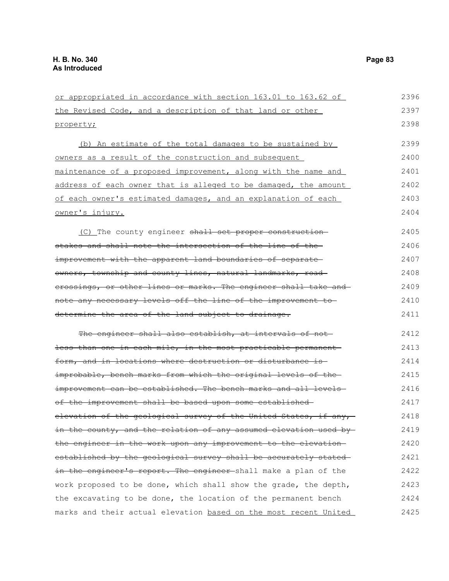or appropriated in accordance with section 163.01 to 163.62 of the Revised Code, and a description of that land or other property; (b) An estimate of the total damages to be sustained by owners as a result of the construction and subsequent maintenance of a proposed improvement, along with the name and address of each owner that is alleged to be damaged, the amount of each owner's estimated damages, and an explanation of each owner's injury.  $(C)$  The county engineer shall set proper construction stakes and shall note the intersection of the line of the improvement with the apparent land boundaries of separateowners, township and county lines, natural landmarks, road crossings, or other lines or marks. The engineer shall take and note any necessary levels off the line of the improvement to determine the area of the land subject to drainage. The engineer shall also establish, at intervals of notless than one in each mile, in the most practicable permanent form, and in locations where destruction or disturbance is improbable, bench marks from which the original levels of the improvement can be established. The bench marks and all levelsof the improvement shall be based upon some established elevation of the geological survey of the United States, if any, in the county, and the relation of any assumed elevation used bythe engineer in the work upon any improvement to the elevationestablished by the geological survey shall be accurately stated in the engineer's report. The engineer shall make a plan of the work proposed to be done, which shall show the grade, the depth, the excavating to be done, the location of the permanent bench marks and their actual elevation based on the most recent United 2396 2397 2398 2399 2400 2401 2402 2403 2404 2405 2406 2407 2408 2409 2410 2411 2412 2413 2414 2415 2416 2417 2418 2419 2420 2421 2422 2423 2424 2425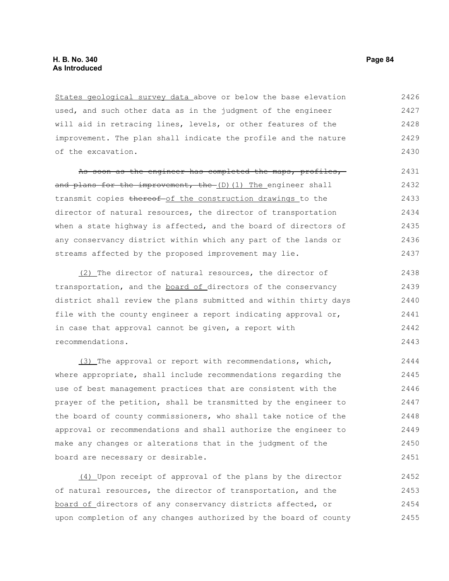States geological survey data above or below the base elevation used, and such other data as in the judgment of the engineer will aid in retracing lines, levels, or other features of the improvement. The plan shall indicate the profile and the nature of the excavation. 2426 2427 2428 2429 2430

As soon as the engineer has completed the maps, profiles, and plans for the improvement, the  $(D)$  (1) The engineer shall transmit copies thereof-of the construction drawings to the director of natural resources, the director of transportation when a state highway is affected, and the board of directors of any conservancy district within which any part of the lands or streams affected by the proposed improvement may lie. 2431 2432 2433 2434 2435 2436 2437

(2) The director of natural resources, the director of transportation, and the board of directors of the conservancy district shall review the plans submitted and within thirty days file with the county engineer a report indicating approval or, in case that approval cannot be given, a report with recommendations. 2438 2439 2440 2441 2442 2443

(3) The approval or report with recommendations, which, where appropriate, shall include recommendations regarding the use of best management practices that are consistent with the prayer of the petition, shall be transmitted by the engineer to the board of county commissioners, who shall take notice of the approval or recommendations and shall authorize the engineer to make any changes or alterations that in the judgment of the board are necessary or desirable. 2444 2445 2446 2447 2448 2449 2450 2451

(4) Upon receipt of approval of the plans by the director of natural resources, the director of transportation, and the board of directors of any conservancy districts affected, or upon completion of any changes authorized by the board of county 2452 2453 2454 2455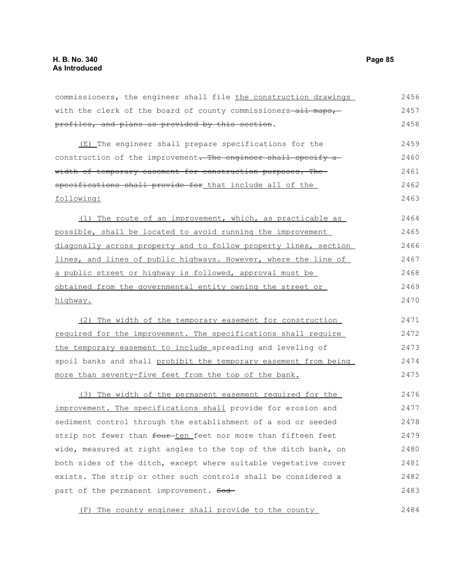commissioners, the engineer shall file the construction drawings with the clerk of the board of county commissioners-all maps,profiles, and plans as provided by this section. 2456 2457 2458

(E) The engineer shall prepare specifications for the construction of the improvement. The engineer shall specify a width of temporary easement for construction purposes. Thespecifications shall provide for that include all of the following: 2459 2460 2461 2462 2463

(1) The route of an improvement, which, as practicable as possible, shall be located to avoid running the improvement diagonally across property and to follow property lines, section lines, and lines of public highways. However, where the line of a public street or highway is followed, approval must be obtained from the governmental entity owning the street or highway. 2464 2465 2466 2467 2468 2469 2470

(2) The width of the temporary easement for construction required for the improvement. The specifications shall require the temporary easement to include spreading and leveling of spoil banks and shall prohibit the temporary easement from being more than seventy-five feet from the top of the bank. 2471 2472 2473 2474 2475

(3) The width of the permanent easement required for the improvement. The specifications shall provide for erosion and sediment control through the establishment of a sod or seeded strip not fewer than four ten feet nor more than fifteen feet wide, measured at right angles to the top of the ditch bank, on both sides of the ditch, except where suitable vegetative cover exists. The strip or other such controls shall be considered a part of the permanent improvement. Sod-2476 2477 2478 2479 2480 2481 2482 2483

(F) The county engineer shall provide to the county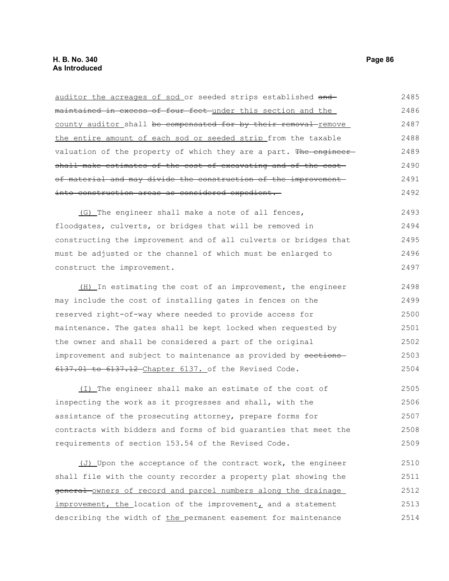maintained in excess of four feet under this section and the county auditor shall be compensated for by their removal remove the entire amount of each sod or seeded strip from the taxable valuation of the property of which they are a part. The engineershall make estimates of the cost of excavating and of the costof material and may divide the construction of the improvement into construction areas as considered expedient. (G) The engineer shall make a note of all fences, floodgates, culverts, or bridges that will be removed in constructing the improvement and of all culverts or bridges that must be adjusted or the channel of which must be enlarged to construct the improvement. (H) In estimating the cost of an improvement, the engineer may include the cost of installing gates in fences on the reserved right-of-way where needed to provide access for maintenance. The gates shall be kept locked when requested by the owner and shall be considered a part of the original improvement and subject to maintenance as provided by sections-6137.01 to 6137.12 Chapter 6137. of the Revised Code. (I) The engineer shall make an estimate of the cost of inspecting the work as it progresses and shall, with the assistance of the prosecuting attorney, prepare forms for contracts with bidders and forms of bid guaranties that meet the requirements of section 153.54 of the Revised Code. (J) Upon the acceptance of the contract work, the engineer shall file with the county recorder a property plat showing the general owners of record and parcel numbers along the drainage improvement, the location of the improvement, and a statement 2486 2487 2488 2489 2490 2491 2492 2493 2494 2495 2496 2497 2498 2499 2500 2501 2502 2503 2504 2505 2506 2507 2508 2509 2510 2511 2512 2513

describing the width of the permanent easement for maintenance

auditor the acreages of sod or seeded strips established and-

2485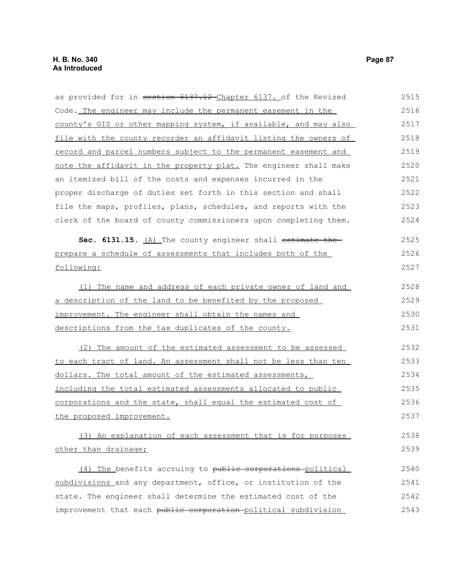as provided for in section 6137.12 Chapter 6137. of the Revised Code. The engineer may include the permanent easement in the county's GIS or other mapping system, if available, and may also file with the county recorder an affidavit listing the owners of record and parcel numbers subject to the permanent easement and note the affidavit in the property plat. The engineer shall make an itemized bill of the costs and expenses incurred in the proper discharge of duties set forth in this section and shall file the maps, profiles, plans, schedules, and reports with the clerk of the board of county commissioners upon completing them. **Sec. 6131.15.** (A) The county engineer shall estimate the prepare a schedule of assessments that includes both of the following: (1) The name and address of each private owner of land and a description of the land to be benefited by the proposed improvement. The engineer shall obtain the names and descriptions from the tax duplicates of the county. (2) The amount of the estimated assessment to be assessed to each tract of land. An assessment shall not be less than ten dollars. The total amount of the estimated assessments, including the total estimated assessments allocated to public corporations and the state, shall equal the estimated cost of the proposed improvement. 2515 2516 2517 2518 2519 2520 2521 2522 2523 2524 2525 2526 2527 2528 2529 2530 2531 2532 2533 2534 2535 2536 2537

(3) An explanation of each assessment that is for purposes other than drainage; 2538 2539

(4) The benefits accruing to public corporations political subdivisions and any department, office, or institution of the state. The engineer shall determine the estimated cost of the improvement that each public corporation political subdivision 2540 2541 2542 2543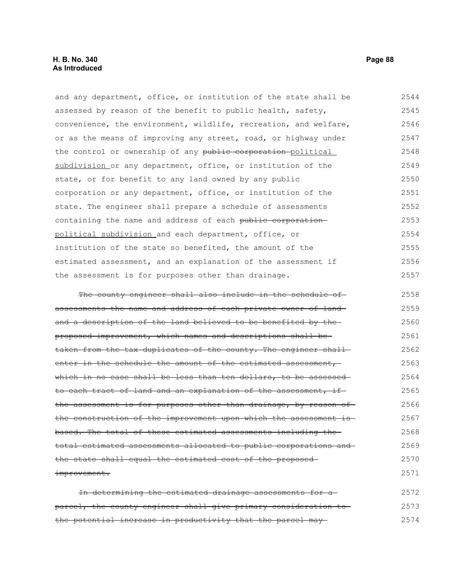and any department, office, or institution of the state shall be assessed by reason of the benefit to public health, safety, convenience, the environment, wildlife, recreation, and welfare, or as the means of improving any street, road, or highway under the control or ownership of any public corporation political subdivision or any department, office, or institution of the state, or for benefit to any land owned by any public corporation or any department, office, or institution of the state. The engineer shall prepare a schedule of assessments containing the name and address of each public corporation political subdivision and each department, office, or institution of the state so benefited, the amount of the estimated assessment, and an explanation of the assessment if the assessment is for purposes other than drainage. 2544 2545 2546 2547 2548 2549 2550 2551 2552 2553 2554 2555 2556 2557

The county engineer shall also include in the schedule of assessments the name and address of each private owner of land and a description of the land believed to be benefited by theproposed improvement, which names and descriptions shall be taken from the tax duplicates of the county. The engineer shallenter in the schedule the amount of the estimated assessment, which in no case shall be less than ten dollars, to be assessed to each tract of land and an explanation of the assessment, ifthe assessment is for purposes other than drainage, by reason of the construction of the improvement upon which the assessment is based. The total of these estimated assessments including the total estimated assessments allocated to public corporations and the state shall equal the estimated cost of the proposed improvement. 2558 2559 2560 2561 2562 2563 2564 2565 2566 2567 2568 2569 2570 2571

In determining the estimated drainage assessments for a parcel, the county engineer shall give primary consideration to the potential increase in productivity that the parcel may 2572 2573 2574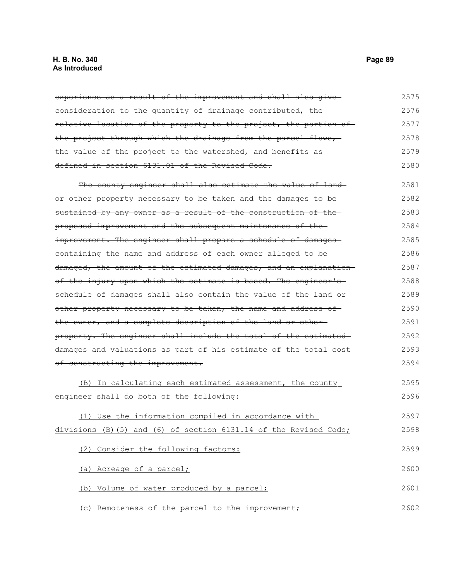## **H. B. No. 340 Page 89 As Introduced**

experience as a result of the improvement and shall also giveconsideration to the quantity of drainage contributed, the relative location of the property to the project, the portion of the project through which the drainage from the parcel flows, the value of the project to the watershed, and benefits as defined in section 6131.01 of the Revised Code. The county engineer shall also estimate the value of landor other property necessary to be taken and the damages to be sustained by any owner as a result of the construction of the proposed improvement and the subsequent maintenance of the improvement. The engineer shall prepare a schedule of damages containing the name and address of each owner alleged to be damaged, the amount of the estimated damages, and an explanation of the injury upon which the estimate is based. The engineer's schedule of damages shall also contain the value of the land orother property necessary to be taken, the name and address of the owner, and a complete description of the land or otherproperty. The engineer shall include the total of the estimated damages and valuations as part of his estimate of the total cost of constructing the improvement. (B) In calculating each estimated assessment, the county engineer shall do both of the following: (1) Use the information compiled in accordance with divisions (B)(5) and (6) of section 6131.14 of the Revised Code; (2) Consider the following factors: (a) Acreage of a parcel; (b) Volume of water produced by a parcel; (c) Remoteness of the parcel to the improvement; 2575 2576 2577 2578 2579 2580 2581 2582 2583 2584 2585 2586 2587 2588 2589 2590 2591 2592 2593 2594 2595 2596 2597 2598 2599 2600 2601 2602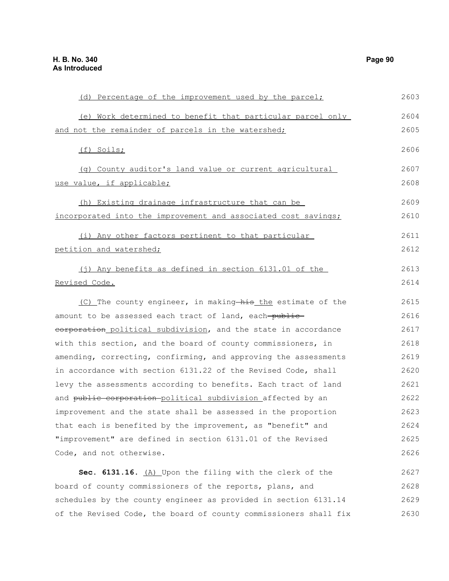(e) Work determined to benefit that particular parcel only and not the remainder of parcels in the watershed; (f) Soils; (g) County auditor's land value or current agricultural use value, if applicable; (h) Existing drainage infrastructure that can be incorporated into the improvement and associated cost savings; (i) Any other factors pertinent to that particular petition and watershed; (j) Any benefits as defined in section 6131.01 of the Revised Code. (C) The county engineer, in making-his the estimate of the amount to be assessed each tract of land, each-publiceorporation political subdivision, and the state in accordance with this section, and the board of county commissioners, in amending, correcting, confirming, and approving the assessments in accordance with section 6131.22 of the Revised Code, shall levy the assessments according to benefits. Each tract of land and public corporation-political subdivision affected by an improvement and the state shall be assessed in the proportion that each is benefited by the improvement, as "benefit" and "improvement" are defined in section 6131.01 of the Revised Code, and not otherwise. **Sec. 6131.16.** (A) Upon the filing with the clerk of the board of county commissioners of the reports, plans, and schedules by the county engineer as provided in section 6131.14 2604 2605 2606 2607 2608 2609 2610 2611 2612 2613 2614 2615 2616 2617 2618 2619 2620 2621 2622 2623 2624 2625 2626 2627 2628 2629

of the Revised Code, the board of county commissioners shall fix

(d) Percentage of the improvement used by the parcel;

2603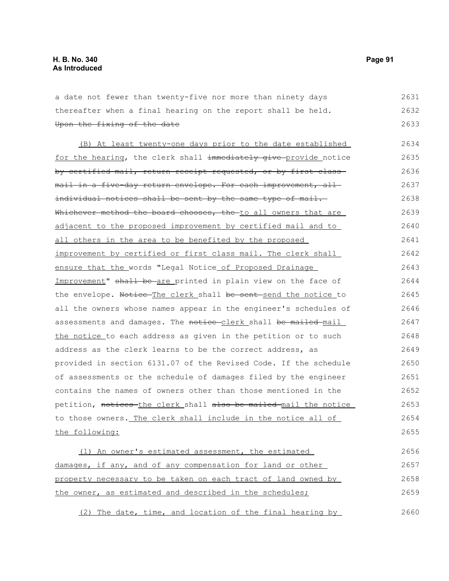| a date not fewer than twenty-five nor more than ninety days           | 2631 |
|-----------------------------------------------------------------------|------|
| thereafter when a final hearing on the report shall be held.          | 2632 |
| Upon the fixing of the date                                           | 2633 |
| (B) At least twenty-one days prior to the date established            | 2634 |
| for the hearing, the clerk shall immediately give provide notice      | 2635 |
| by certified mail, return receipt requested, or by first-class-       | 2636 |
| <u>mail in a five-day return envelope. For each improvement, all-</u> | 2637 |
| individual notices shall be sent by the same type of mail.            | 2638 |
| Whichever method the board chooses, the to all owners that are        | 2639 |
| adjacent to the proposed improvement by certified mail and to         | 2640 |
| all others in the area to be benefited by the proposed                | 2641 |
| improvement by certified or first class mail. The clerk shall         | 2642 |
| ensure that the words "Legal Notice of Proposed Drainage              | 2643 |
| Improvement" shall be are printed in plain view on the face of        | 2644 |
| the envelope. Notice The clerk shall be sent-send the notice to       | 2645 |
| all the owners whose names appear in the engineer's schedules of      | 2646 |
| assessments and damages. The notice-clerk shall be mailed mail        | 2647 |
| the notice to each address as given in the petition or to such        | 2648 |
| address as the clerk learns to be the correct address, as             | 2649 |
| provided in section 6131.07 of the Revised Code. If the schedule      | 2650 |
| of assessments or the schedule of damages filed by the engineer       | 2651 |
| contains the names of owners other than those mentioned in the        | 2652 |
| petition, notices-the clerk shall also be mailed-mail the notice      | 2653 |
| to those owners. The clerk shall include in the notice all of         | 2654 |
| the following:                                                        | 2655 |
| (1) An owner's estimated assessment, the estimated                    | 2656 |
| damages, if any, and of any compensation for land or other            | 2657 |
| property necessary to be taken on each tract of land owned by         | 2658 |
| the owner, as estimated and described in the schedules;               | 2659 |
|                                                                       |      |

(2) The date, time, and location of the final hearing by 2660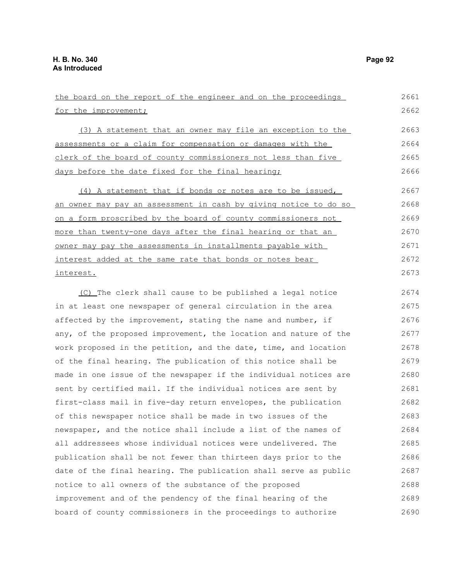| the board on the report of the engineer and on the proceedings   | 2661 |
|------------------------------------------------------------------|------|
| for the improvement;                                             | 2662 |
| (3) A statement that an owner may file an exception to the       | 2663 |
| assessments or a claim for compensation or damages with the      | 2664 |
| clerk of the board of county commissioners not less than five    | 2665 |
| days before the date fixed for the final hearing;                | 2666 |
| (4) A statement that if bonds or notes are to be issued,         | 2667 |
| an owner may pay an assessment in cash by giving notice to do so | 2668 |
| on a form proscribed by the board of county commissioners not    | 2669 |
| more than twenty-one days after the final hearing or that an     | 2670 |
| owner may pay the assessments in installments payable with       | 2671 |
| interest added at the same rate that bonds or notes bear         | 2672 |
| interest.                                                        | 2673 |
| (C) The clerk shall cause to be published a legal notice         | 2674 |
| in at least one newspaper of general circulation in the area     | 2675 |
| affected by the improvement, stating the name and number, if     | 2676 |
| any, of the proposed improvement, the location and nature of the | 2677 |
| work proposed in the petition, and the date, time, and location  | 2678 |
| of the final hearing. The publication of this notice shall be    | 2679 |
| made in one issue of the newspaper if the individual notices are | 2680 |
| sent by certified mail. If the individual notices are sent by    | 2681 |
| first-class mail in five-day return envelopes, the publication   | 2682 |
| of this newspaper notice shall be made in two issues of the      | 2683 |
| newspaper, and the notice shall include a list of the names of   | 2684 |
| all addressees whose individual notices were undelivered. The    | 2685 |
| publication shall be not fewer than thirteen days prior to the   | 2686 |
| date of the final hearing. The publication shall serve as public | 2687 |
| notice to all owners of the substance of the proposed            | 2688 |
| improvement and of the pendency of the final hearing of the      | 2689 |
| board of county commissioners in the proceedings to authorize    | 2690 |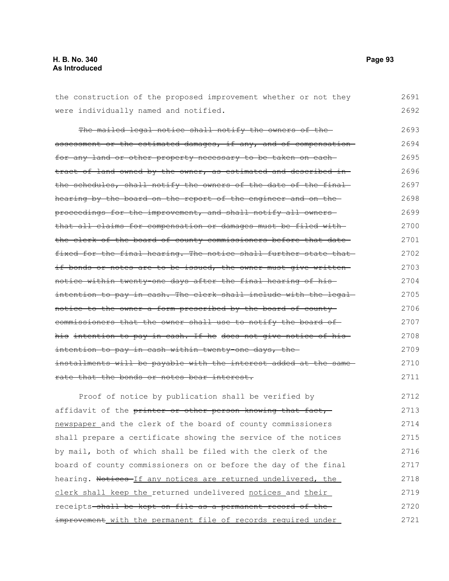# **H. B. No. 340 Page 93 As Introduced**

| the construction of the proposed improvement whether or not they  | 2691 |
|-------------------------------------------------------------------|------|
| were individually named and notified.                             | 2692 |
| The mailed legal notice shall notify the owners of the-           | 2693 |
| assessment or the estimated damages, if any, and of compensation  | 2694 |
| for any land or other property necessary to be taken on each-     | 2695 |
| tract of land owned by the owner, as estimated and described in-  | 2696 |
| the schedules, shall notify the owners of the date of the final-  | 2697 |
| hearing by the board on the report of the engineer and on the     | 2698 |
| proceedings for the improvement, and shall notify all owners-     | 2699 |
| that all claims for compensation or damages must be filed with-   | 2700 |
| the clerk of the board of county commissioners before that date-  | 2701 |
| fixed for the final hearing. The notice shall further state that  | 2702 |
| if bonds or notes are to be issued, the owner must give written-  | 2703 |
| notice within twenty one days after the final hearing of his-     | 2704 |
| intention to pay in cash. The clerk shall include with the legal- | 2705 |
| notice to the owner a form prescribed by the board of county      | 2706 |
| eommissioners that the owner shall use to notify the board of     | 2707 |
| his intention to pay in cash. If he does not give notice of his-  | 2708 |
| intention to pay in cash within twenty-one days, the-             | 2709 |
| installments will be payable with the interest added at the same  | 2710 |
| rate that the bonds or notes bear interest.                       | 2711 |
| Proof of notice by publication shall be verified by               | 2712 |
| affidavit of the printer or other person knowing that fact,       | 2713 |
| newspaper and the clerk of the board of county commissioners      | 2714 |
| shall prepare a certificate showing the service of the notices    | 2715 |
| by mail, both of which shall be filed with the clerk of the       | 2716 |
| board of county commissioners on or before the day of the final   | 2717 |
| hearing. Notices If any notices are returned undelivered, the     | 2718 |
| clerk shall keep the returned undelivered notices and their       | 2719 |
| receipts shall be kept on file as a permanent record of the       | 2720 |
| improvement with the permanent file of records required under     | 2721 |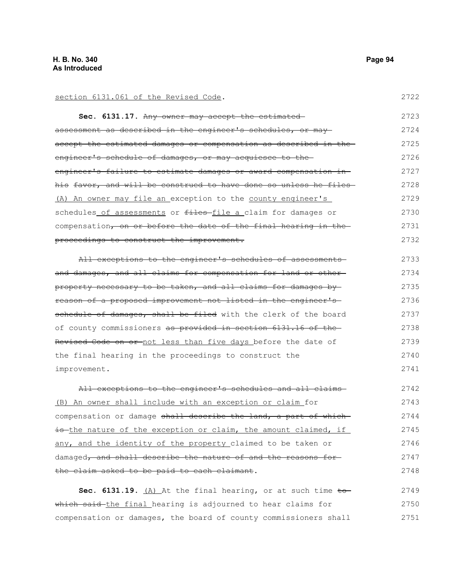section 6131.061 of the Revised Code.

**Sec. 6131.17.** Any owner may accept the estimated assessment as described in the engineer's schedules, or may accept the estimated damages or compensation as described in the engineer's schedule of damages, or may acquiesce to theengineer's failure to estimate damages or award compensation in his favor, and will be construed to have done so unless he files- (A) An owner may file an exception to the county engineer's schedules of assessments or files-file a claim for damages or compensation, on or before the date of the final hearing in theproceedings to construct the improvement. 2723 2724 2725 2726 2727 2728 2729 2730 2731 2732

All exceptions to the engineer's schedules of assessmentsand damages, and all claims for compensation for land or otherproperty necessary to be taken, and all claims for damages by reason of a proposed improvement not listed in the engineer's schedule of damages, shall be filed with the clerk of the board of county commissioners as provided in section 6131.16 of the Revised Code on or not less than five days before the date of the final hearing in the proceedings to construct the improvement. 2733 2734 2735 2736 2737 2738 2739 2740 2741

All exceptions to the engineer's schedules and all claims-(B) An owner shall include with an exception or claim for compensation or damage shall describe the land, a part of whichis the nature of the exception or claim, the amount claimed, if any, and the identity of the property claimed to be taken or damaged, and shall describe the nature of and the reasons for the claim asked to be paid to each claimant. 2742 2743 2744 2745 2746 2747 2748

**Sec. 6131.19.** (A) At the final hearing, or at such time  $\pm$ owhich said the final hearing is adjourned to hear claims for compensation or damages, the board of county commissioners shall 2749 2750 2751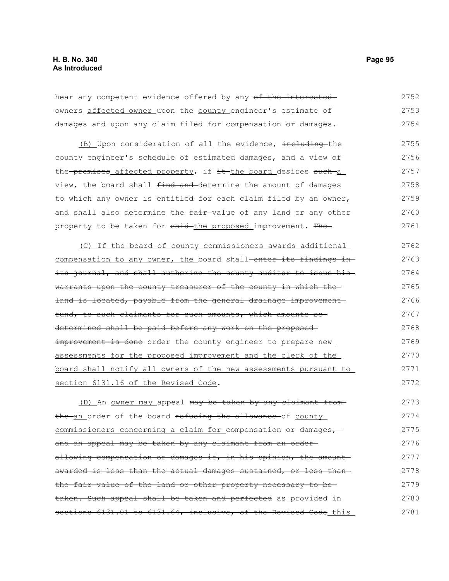hear any competent evidence offered by any of the interested owners affected owner upon the county engineer's estimate of damages and upon any claim filed for compensation or damages. 2752 2753 2754

(B) Upon consideration of all the evidence, including the county engineer's schedule of estimated damages, and a view of the premises affected property, if it the board desires such a view, the board shall find and determine the amount of damages to which any owner is entitled for each claim filed by an owner, and shall also determine the fair-value of any land or any other property to be taken for said-the proposed improvement. The 2755 2756 2757 2758 2759 2760 2761

(C) If the board of county commissioners awards additional compensation to any owner, the board shall-enter its findings inits journal, and shall authorize the county auditor to issue his warrants upon the county treasurer of the county in which the land is located, payable from the general drainage improvement fund, to such claimants for such amounts, which amounts sodetermined shall be paid before any work on the proposed improvement is done order the county engineer to prepare new assessments for the proposed improvement and the clerk of the board shall notify all owners of the new assessments pursuant to section 6131.16 of the Revised Code. 2762 2763 2764 2765 2766 2767 2768 2769 2770 2771 2772

(D) An owner may appeal may be taken by any claimant fromthe an order of the board refusing the allowance of county commissioners concerning a claim for compensation or damages, and an appeal may be taken by any claimant from an order allowing compensation or damages if, in his opinion, the amount awarded is less than the actual damages sustained, or less than the fair value of the land or other property necessary to be taken. Such appeal shall be taken and perfected as provided in sections 6131.01 to 6131.64, inclusive, of the Revised Code this 2773 2774 2775 2776 2777 2778 2779 2780 2781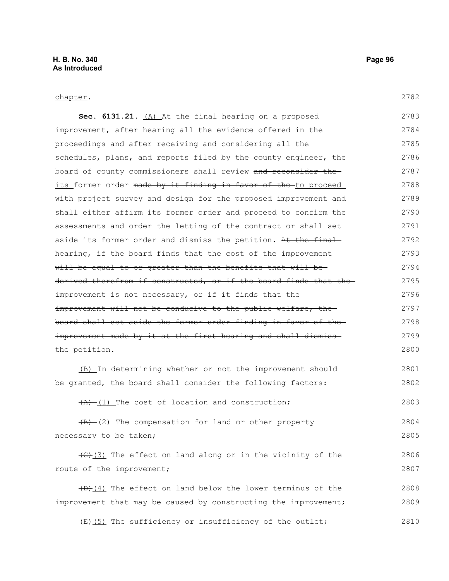## chapter.

2803

| Sec. 6131.21. $(A)$ At the final hearing on a proposed                           | 2783 |
|----------------------------------------------------------------------------------|------|
| improvement, after hearing all the evidence offered in the                       | 2784 |
| proceedings and after receiving and considering all the                          | 2785 |
| schedules, plans, and reports filed by the county engineer, the                  | 2786 |
| board of county commissioners shall review and reconsider the                    | 2787 |
| <u>its former order <del>made by it finding in favor of the </del>to proceed</u> | 2788 |
| with project survey and design for the proposed improvement and                  | 2789 |
| shall either affirm its former order and proceed to confirm the                  | 2790 |
| assessments and order the letting of the contract or shall set                   | 2791 |
| aside its former order and dismiss the petition. At the final                    | 2792 |
| hearing, if the board finds that the cost of the improvement-                    | 2793 |
| will be equal to or greater than the benefits that will be-                      | 2794 |
| derived therefrom if constructed, or if the board finds that the-                | 2795 |
| <del>improvement is not necessary, or if it finds that the-</del>                | 2796 |
| <del>improvement will not be conducive to the public welfare, the -</del>        | 2797 |
| board shall set aside the former order finding in favor of the-                  | 2798 |
| improvement made by it at the first hearing and shall dismiss-                   | 2799 |
| the petition.                                                                    | 2800 |
|                                                                                  |      |

(B) In determining whether or not the improvement should be granted, the board shall consider the following factors: 2801 2802

 $(A)$  (1) The cost of location and construction;

 $(B)$  (2) The compensation for land or other property necessary to be taken; 2804 2805

(C)(3) The effect on land along or in the vicinity of the route of the improvement; 2806 2807

 $(D)$  (4) The effect on land below the lower terminus of the improvement that may be caused by constructing the improvement; 2808 2809

 $(E+(5))$  The sufficiency or insufficiency of the outlet; 2810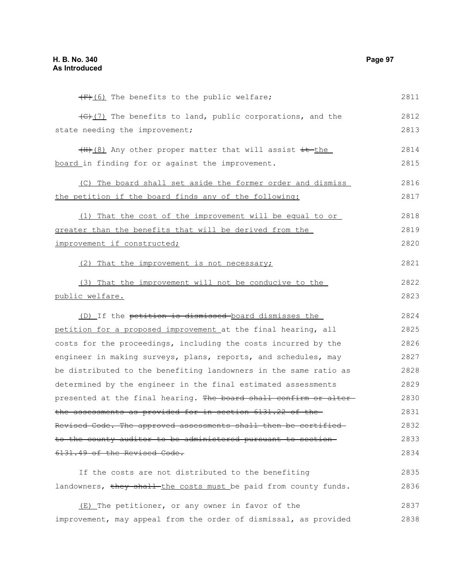$(F+(6))$  The benefits to the public welfare; (G)(7) The benefits to land, public corporations, and the state needing the improvement;  $(H+(8)$  Any other proper matter that will assist it the board in finding for or against the improvement. (C) The board shall set aside the former order and dismiss the petition if the board finds any of the following: (1) That the cost of the improvement will be equal to or greater than the benefits that will be derived from the improvement if constructed; (2) That the improvement is not necessary; (3) That the improvement will not be conducive to the public welfare. (D) If the petition is dismissed board dismisses the petition for a proposed improvement at the final hearing, all costs for the proceedings, including the costs incurred by the engineer in making surveys, plans, reports, and schedules, may be distributed to the benefiting landowners in the same ratio as determined by the engineer in the final estimated assessments presented at the final hearing. The board shall confirm or alterthe assessments as provided for in section 6131.22 of the Revised Code. The approved assessments shall then be certified to the county auditor to be administered pursuant to section 6131.49 of the Revised Code. If the costs are not distributed to the benefiting landowners, they shall-the costs must be paid from county funds. (E) The petitioner, or any owner in favor of the improvement, may appeal from the order of dismissal, as provided 2811 2812 2813 2814 2815 2816 2817 2818 2819 2820 2821 2822 2823 2824 2825 2826 2827 2828 2829 2830 2831 2832 2833 2834 2835 2836 2837 2838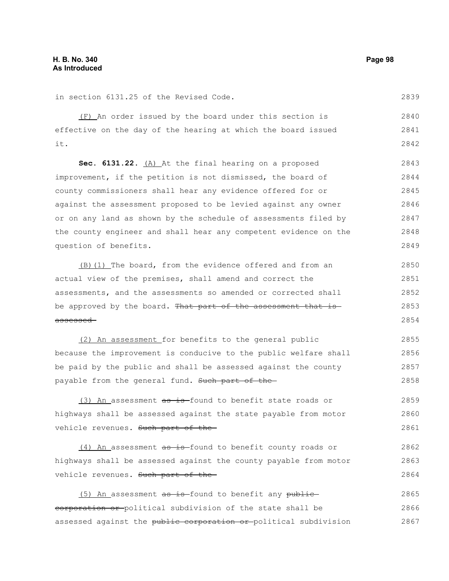2839

in section 6131.25 of the Revised Code.

(F) An order issued by the board under this section is effective on the day of the hearing at which the board issued it. 2840 2841 2842

**Sec. 6131.22.** (A) At the final hearing on a proposed improvement, if the petition is not dismissed, the board of county commissioners shall hear any evidence offered for or against the assessment proposed to be levied against any owner or on any land as shown by the schedule of assessments filed by the county engineer and shall hear any competent evidence on the question of benefits. 2843 2844 2845 2846 2847 2848 2849

(B)(1) The board, from the evidence offered and from an actual view of the premises, shall amend and correct the assessments, and the assessments so amended or corrected shall be approved by the board. That part of the assessment that isassessed 2850 2851 2852 2853 2854

(2) An assessment for benefits to the general public because the improvement is conducive to the public welfare shall be paid by the public and shall be assessed against the county payable from the general fund. Such part of the 2855 2856 2857 2858

(3) An assessment  $a\overline{a} + b$  found to benefit state roads or highways shall be assessed against the state payable from motor vehicle revenues. Such part of the-2859 2860 2861

(4) An assessment as is-found to benefit county roads or highways shall be assessed against the county payable from motor vehicle revenues. Such part of the 2862 2863 2864

 $(5)$  An assessment as is-found to benefit any publiccorporation or political subdivision of the state shall be assessed against the public corporation or political subdivision 2865 2866 2867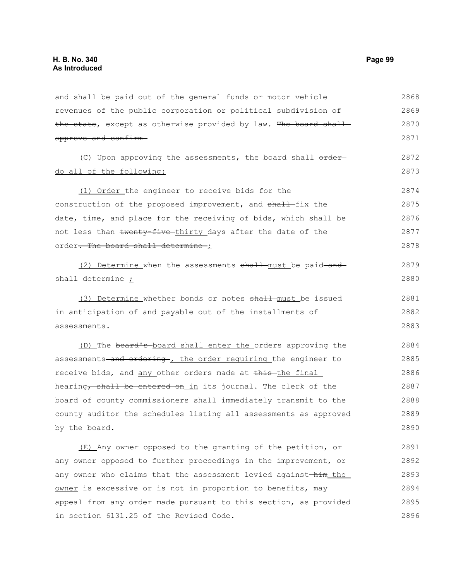and shall be paid out of the general funds or motor vehicle revenues of the public corporation or political subdivision of the state, except as otherwise provided by law. The board shallapprove and confirm (C) Upon approving the assessments, the board shall orderdo all of the following: (1) Order the engineer to receive bids for the construction of the proposed improvement, and shall fix the date, time, and place for the receiving of bids, which shall be not less than twenty-five-thirty days after the date of the order. The board shall determine ; (2) Determine when the assessments shall must be paid and shall determine ; (3) Determine whether bonds or notes shall must be issued in anticipation of and payable out of the installments of assessments. (D) The board's board shall enter the orders approving the assessments-and ordering-, the order requiring the engineer to receive bids, and any other orders made at this-the final hearing, shall be entered on in its journal. The clerk of the board of county commissioners shall immediately transmit to the county auditor the schedules listing all assessments as approved by the board. (E) Any owner opposed to the granting of the petition, or any owner opposed to further proceedings in the improvement, or any owner who claims that the assessment levied against-him\_the\_ 2868 2869 2870 2871 2872 2873 2874 2875 2876 2877 2878 2879 2880 2881 2882 2883 2884 2885 2886 2887 2888 2889 2890 2891 2892 2893

owner is excessive or is not in proportion to benefits, may appeal from any order made pursuant to this section, as provided in section 6131.25 of the Revised Code. 2894 2895 2896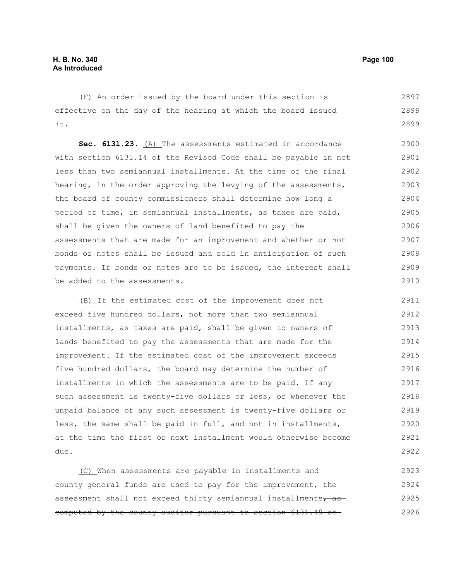(F) An order issued by the board under this section is effective on the day of the hearing at which the board issued it. 2897 2898 2899

**Sec. 6131.23.** (A) The assessments estimated in accordance with section 6131.14 of the Revised Code shall be payable in not less than two semiannual installments. At the time of the final hearing, in the order approving the levying of the assessments, the board of county commissioners shall determine how long a period of time, in semiannual installments, as taxes are paid, shall be given the owners of land benefited to pay the assessments that are made for an improvement and whether or not bonds or notes shall be issued and sold in anticipation of such payments. If bonds or notes are to be issued, the interest shall be added to the assessments. 2900 2901 2902 2903 2904 2905 2906 2907 2908 2909 2910

 (B) If the estimated cost of the improvement does not exceed five hundred dollars, not more than two semiannual installments, as taxes are paid, shall be given to owners of lands benefited to pay the assessments that are made for the improvement. If the estimated cost of the improvement exceeds five hundred dollars, the board may determine the number of installments in which the assessments are to be paid. If any such assessment is twenty-five dollars or less, or whenever the unpaid balance of any such assessment is twenty-five dollars or less, the same shall be paid in full, and not in installments, at the time the first or next installment would otherwise become due. 2911 2912 2913 2914 2915 2916 2917 2918 2919 2920 2921 2922

(C) When assessments are payable in installments and county general funds are used to pay for the improvement, the assessment shall not exceed thirty semiannual installments, as computed by the county auditor pursuant to section 6131.49 of 2923 2924 2925 2926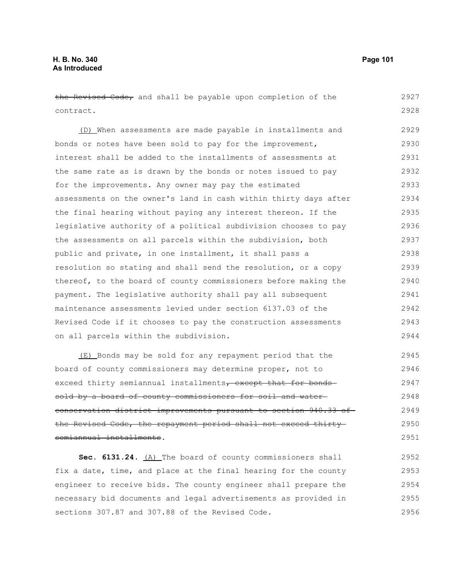| the Revised Code, and shall be payable upon completion of the    | 2927 |
|------------------------------------------------------------------|------|
| contract.                                                        | 2928 |
| (D) When assessments are made payable in installments and        | 2929 |
| bonds or notes have been sold to pay for the improvement,        | 2930 |
| interest shall be added to the installments of assessments at    | 2931 |
| the same rate as is drawn by the bonds or notes issued to pay    | 2932 |
| for the improvements. Any owner may pay the estimated            | 2933 |
| assessments on the owner's land in cash within thirty days after | 2934 |
| the final hearing without paying any interest thereon. If the    | 2935 |
| legislative authority of a political subdivision chooses to pay  | 2936 |
| the assessments on all parcels within the subdivision, both      | 2937 |
| public and private, in one installment, it shall pass a          | 2938 |
| resolution so stating and shall send the resolution, or a copy   | 2939 |
| thereof, to the board of county commissioners before making the  | 2940 |
| payment. The legislative authority shall pay all subsequent      | 2941 |
| maintenance assessments levied under section 6137.03 of the      | 2942 |
| Revised Code if it chooses to pay the construction assessments   | 2943 |
| on all parcels within the subdivision.                           | 2944 |
| (E) Bonds may be sold for any repayment period that the          | 2945 |
| board of county commissioners may determine proper, not to       | 2946 |
| exceed thirty semiannual installments, except that for bonds-    | 2947 |
| sold by a board of county commissioners for soil and water-      | 2948 |
| conservation district improvements pursuant to section 940.33    | 2949 |

the Revised Code, the repayment period shall not exceed thirtysemiannual installments. 2950 2951

Sec. 6131.24. (A) The board of county commissioners shall fix a date, time, and place at the final hearing for the county engineer to receive bids. The county engineer shall prepare the necessary bid documents and legal advertisements as provided in sections 307.87 and 307.88 of the Revised Code. 2952 2953 2954 2955 2956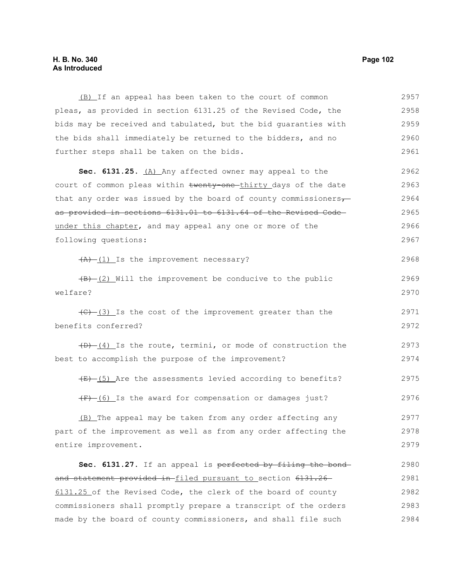## **H. B. No. 340 Page 102 As Introduced**

(B) If an appeal has been taken to the court of common pleas, as provided in section 6131.25 of the Revised Code, the bids may be received and tabulated, but the bid guaranties with the bids shall immediately be returned to the bidders, and no further steps shall be taken on the bids. 2957 2958 2959 2960 2961

**Sec. 6131.25.** (A) Any affected owner may appeal to the court of common pleas within twenty-one-thirty days of the date that any order was issued by the board of county commissioners $\tau$ as provided in sections 6131.01 to 6131.64 of the Revised Code under this chapter, and may appeal any one or more of the following questions: 2962 2963 2964 2965 2966 2967

 $\overline{(A)}$  (1) Is the improvement necessary?

 $(B)$  (2) Will the improvement be conducive to the public welfare? 2969 2970

 $(C)$  (3) Is the cost of the improvement greater than the benefits conferred? 2971 2972

 $(D)$   $(4)$  Is the route, termini, or mode of construction the best to accomplish the purpose of the improvement? 2973 2974

 $(E)$  (5) Are the assessments levied according to benefits? 2975

 $(F)$  (6) Is the award for compensation or damages just?

(B) The appeal may be taken from any order affecting any part of the improvement as well as from any order affecting the entire improvement. 2977 2978 2979

Sec. 6131.27. If an appeal is perfected by filing the bond and statement provided in-filed pursuant to section 6131.26 6131.25 of the Revised Code, the clerk of the board of county commissioners shall promptly prepare a transcript of the orders made by the board of county commissioners, and shall file such 2980 2981 2982 2983 2984

2968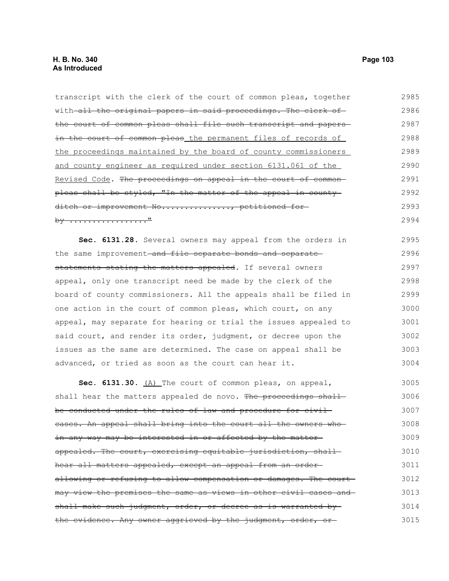| with all the original papers in said proceedings. The clerk of    | 2986 |
|-------------------------------------------------------------------|------|
| the court of common pleas shall file such transcript and papers-  | 2987 |
| in the court of common pleas the permanent files of records of    | 2988 |
| the proceedings maintained by the board of county commissioners   | 2989 |
| and county engineer as required under section 6131.061 of the     | 2990 |
| Revised Code. The proceedings on appeal in the court of common-   | 2991 |
| pleas shall be styled, "In the matter of the appeal in county-    | 2992 |
| ditch or improvement No, petitioned for-                          | 2993 |
| by <u>"</u>                                                       | 2994 |
| Sec. 6131.28. Several owners may appeal from the orders in        | 2995 |
| the same improvement and file separate bonds and separate         | 2996 |
| statements stating the matters appealed. If several owners        | 2997 |
| appeal, only one transcript need be made by the clerk of the      | 2998 |
| board of county commissioners. All the appeals shall be filed in  | 2999 |
| one action in the court of common pleas, which court, on any      | 3000 |
| appeal, may separate for hearing or trial the issues appealed to  | 3001 |
| said court, and render its order, judgment, or decree upon the    | 3002 |
| issues as the same are determined. The case on appeal shall be    | 3003 |
| advanced, or tried as soon as the court can hear it.              | 3004 |
| Sec. 6131.30. $(A)$ The court of common pleas, on appeal,         | 3005 |
| shall hear the matters appealed de novo. The proceedings shall-   | 3006 |
| be conducted under the rules of law and procedure for civil-      | 3007 |
| cases. An appeal shall bring into the court all the owners who    | 3008 |
| in any way may be interested in or affected by the matter-        | 3009 |
| appealed. The court, exercising equitable jurisdiction, shall-    | 3010 |
| hear all matters appealed, except an appeal from an order-        | 3011 |
| allowing or refusing to allow compensation or damages. The court- | 3012 |
| may view the premises the same as views in other civil cases and  | 3013 |
| shall make such judgment, order, or decree as is warranted by-    | 3014 |

the evidence. Any owner aggrieved by the judgment, order, or-

transcript with the clerk of the court of common pleas, together

2985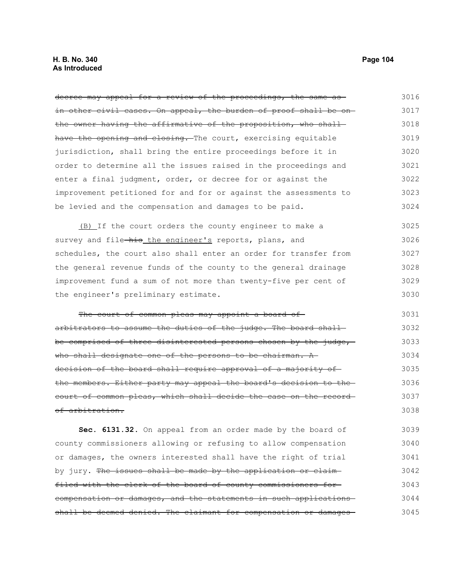decree may appeal for a review of the proceedings, the same asin other civil cases. On appeal, the burden of proof shall be onthe owner having the affirmative of the proposition, who shallhave the opening and closing. The court, exercising equitable jurisdiction, shall bring the entire proceedings before it in order to determine all the issues raised in the proceedings and enter a final judgment, order, or decree for or against the improvement petitioned for and for or against the assessments to be levied and the compensation and damages to be paid. 3016 3017 3018 3019 3020 3021 3022 3023 3024

(B) If the court orders the county engineer to make a survey and file-his the engineer's reports, plans, and schedules, the court also shall enter an order for transfer from the general revenue funds of the county to the general drainage improvement fund a sum of not more than twenty-five per cent of the engineer's preliminary estimate. 3025 3026 3027 3028 3029 3030

The court of common pleas may appoint a board ofarbitrators to assume the duties of the judge. The board shallbe comprised of three disinterested persons chosen by the judge, who shall designate one of the persons to be chairman. A decision of the board shall require approval of a majority ofthe members. Either party may appeal the board's decision to the court of common pleas, which shall decide the case on the record of arbitration. 3031 3032 3033 3034 3035 3036 3037 3038

**Sec. 6131.32.** On appeal from an order made by the board of county commissioners allowing or refusing to allow compensation or damages, the owners interested shall have the right of trial by jury. The issues shall be made by the application or claimfiled with the clerk of the board of county commissioners for compensation or damages, and the statements in such applications shall be deemed denied. The claimant for compensation or damages 3039 3040 3041 3042 3043 3044 3045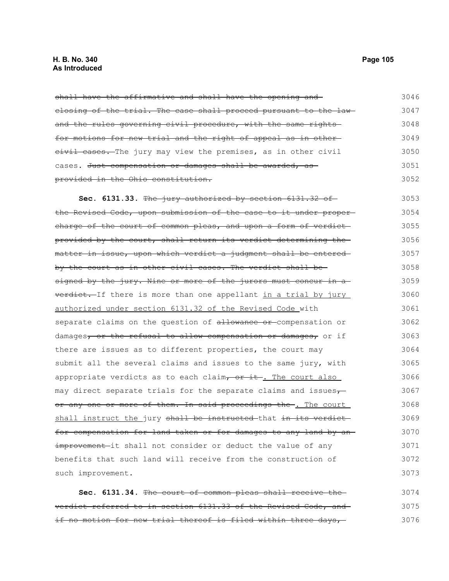## **H. B. No. 340 Page 105 As Introduced**

shall have the affirmative and shall have the opening and closing of the trial. The case shall proceed pursuant to the law and the rules governing civil procedure, with the same rightsfor motions for new trial and the right of appeal as in other eivil cases. The jury may view the premises, as in other civil cases. Just compensation or damages shall be awarded, asprovided in the Ohio constitution. 3046 3047 3048 3049 3050 3051 3052

**Sec. 6131.33.** The jury authorized by section 6131.32 of the Revised Code, upon submission of the case to it under proper charge of the court of common pleas, and upon a form of verdictprovided by the court, shall return its verdict determining the matter in issue, upon which verdict a judgment shall be entered by the court as in other civil cases. The verdict shall besigned by the jury. Nine or more of the jurors must concur in a verdict. If there is more than one appellant in a trial by jury authorized under section 6131.32 of the Revised Code with separate claims on the question of allowance or compensation or damages, or the refusal to allow compensation or damages, or if there are issues as to different properties, the court may submit all the several claims and issues to the same jury, with appropriate verdicts as to each claim,  $or$  it. The court also may direct separate trials for the separate claims and issues $\tau$ or any one or more of them. In said proceedings the . The court shall instruct the jury shall be instructed that in its verdict for compensation for land taken or for damages to any land by an improvement-it shall not consider or deduct the value of any benefits that such land will receive from the construction of such improvement. 3053 3054 3055 3056 3057 3058 3059 3060 3061 3062 3063 3064 3065 3066 3067 3068 3069 3070 3071 3072 3073

**Sec. 6131.34.** The court of common pleas shall receive the verdict referred to in section 6131.33 of the Revised Code, and if no motion for new trial thereof is filed within three days, 3074 3075 3076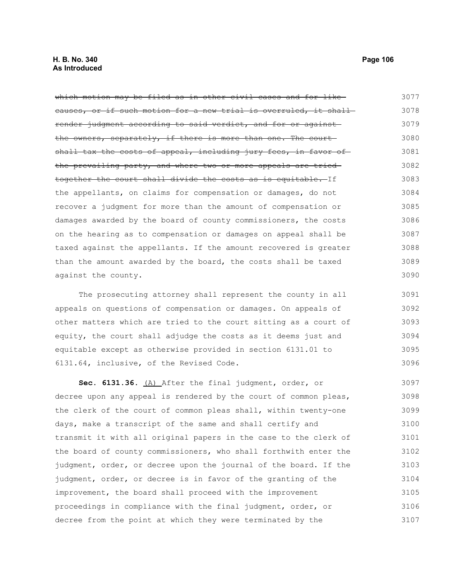which motion may be filed as in other civil cases and for likecauses, or if such motion for a new trial is overruled, it shallrender judgment according to said verdict, and for or against the owners, separately, if there is more than one. The court shall tax the costs of appeal, including jury fees, in favor of the prevailing party, and where two or more appeals are tried together the court shall divide the costs as is equitable. If the appellants, on claims for compensation or damages, do not recover a judgment for more than the amount of compensation or damages awarded by the board of county commissioners, the costs on the hearing as to compensation or damages on appeal shall be taxed against the appellants. If the amount recovered is greater than the amount awarded by the board, the costs shall be taxed against the county. 3077 3078 3079 3080 3081 3082 3083 3084 3085 3086 3087 3088 3089 3090

The prosecuting attorney shall represent the county in all appeals on questions of compensation or damages. On appeals of other matters which are tried to the court sitting as a court of equity, the court shall adjudge the costs as it deems just and equitable except as otherwise provided in section 6131.01 to 6131.64, inclusive, of the Revised Code. 3091 3092 3093 3094 3095 3096

**Sec. 6131.36.** (A) After the final judgment, order, or decree upon any appeal is rendered by the court of common pleas, the clerk of the court of common pleas shall, within twenty-one days, make a transcript of the same and shall certify and transmit it with all original papers in the case to the clerk of the board of county commissioners, who shall forthwith enter the judgment, order, or decree upon the journal of the board. If the judgment, order, or decree is in favor of the granting of the improvement, the board shall proceed with the improvement proceedings in compliance with the final judgment, order, or decree from the point at which they were terminated by the 3097 3098 3099 3100 3101 3102 3103 3104 3105 3106 3107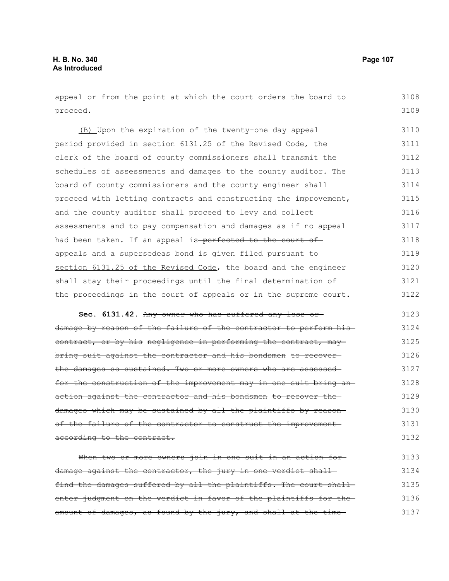| appeal or from the point at which the court orders the board to   | 3108 |
|-------------------------------------------------------------------|------|
| proceed.                                                          | 3109 |
| (B) Upon the expiration of the twenty-one day appeal              | 3110 |
| period provided in section 6131.25 of the Revised Code, the       | 3111 |
| clerk of the board of county commissioners shall transmit the     | 3112 |
| schedules of assessments and damages to the county auditor. The   | 3113 |
| board of county commissioners and the county engineer shall       | 3114 |
| proceed with letting contracts and constructing the improvement,  | 3115 |
| and the county auditor shall proceed to levy and collect          | 3116 |
| assessments and to pay compensation and damages as if no appeal   | 3117 |
| had been taken. If an appeal is-perfected to the court of-        | 3118 |
| appeals and a supersedeas bond is given filed pursuant to         | 3119 |
| section 6131.25 of the Revised Code, the board and the engineer   | 3120 |
| shall stay their proceedings until the final determination of     | 3121 |
| the proceedings in the court of appeals or in the supreme court.  | 3122 |
|                                                                   |      |
| Sec. 6131.42. Any owner who has suffered any loss or              | 3123 |
| damage by reason of the failure of the contractor to perform his- | 3124 |
| contract, or by his negligence in performing the contract, may    | 3125 |
| bring suit against the contractor and his bondsmen to recover-    | 3126 |
| the damages so sustained. Two or more owners who are assessed-    | 3127 |
| for the construction of the improvement may in one suit bring an- | 3128 |
| action against the contractor and his bondsmen to recover the     | 3129 |
| damages which may be sustained by all the plaintiffs by reason-   | 3130 |
| of the failure of the contractor to construct the improvement-    | 3131 |
| according to the contract.                                        | 3132 |
| When two or more owners join in one suit in an action for         | 3133 |
| damage against the contractor, the jury in one verdict shall      | 3134 |
| find the damages suffered by all the plaintiffs. The court shall- | 3135 |
| enter judgment on the verdict in favor of the plaintiffs for the  | 3136 |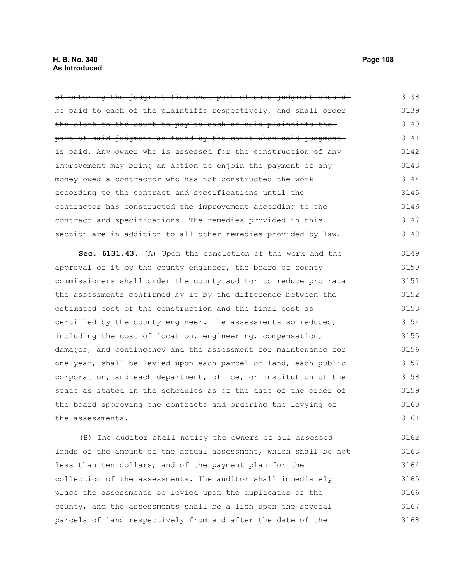of entering the judgment find what part of said judgment shouldbe paid to each of the plaintiffs respectively, and shall order the clerk to the court to pay to each of said plaintiffs the part of said judgment as found by the court when said judgment is paid. Any owner who is assessed for the construction of any improvement may bring an action to enjoin the payment of any money owed a contractor who has not constructed the work according to the contract and specifications until the contractor has constructed the improvement according to the contract and specifications. The remedies provided in this section are in addition to all other remedies provided by law. **Sec. 6131.43.** (A) Upon the completion of the work and the approval of it by the county engineer, the board of county commissioners shall order the county auditor to reduce pro rata the assessments confirmed by it by the difference between the estimated cost of the construction and the final cost as certified by the county engineer. The assessments so reduced, including the cost of location, engineering, compensation, damages, and contingency and the assessment for maintenance for one year, shall be levied upon each parcel of land, each public corporation, and each department, office, or institution of the 3138 3139 3140 3141 3142 3143 3144 3145 3146 3147 3148 3149 3150 3151 3152 3153 3154 3155 3156 3157 3158

state as stated in the schedules as of the date of the order of the board approving the contracts and ordering the levying of the assessments. 3159 3160 3161

(B) The auditor shall notify the owners of all assessed lands of the amount of the actual assessment, which shall be not less than ten dollars, and of the payment plan for the collection of the assessments. The auditor shall immediately place the assessments so levied upon the duplicates of the county, and the assessments shall be a lien upon the several parcels of land respectively from and after the date of the 3162 3163 3164 3165 3166 3167 3168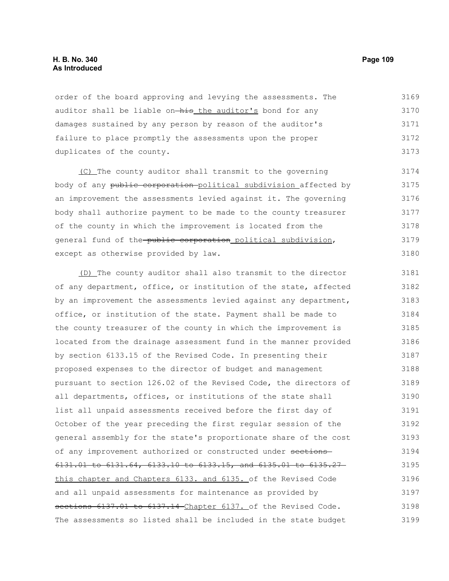## **H. B. No. 340 Page 109 As Introduced**

order of the board approving and levying the assessments. The auditor shall be liable on-his the auditor's bond for any damages sustained by any person by reason of the auditor's failure to place promptly the assessments upon the proper duplicates of the county. 3169 3170 3171 3172 3173

 (C) The county auditor shall transmit to the governing body of any public corporation political subdivision affected by an improvement the assessments levied against it. The governing body shall authorize payment to be made to the county treasurer of the county in which the improvement is located from the general fund of the-public corporation political subdivision, except as otherwise provided by law. 3174 3175 3176 3177 3178 3179 3180

(D) The county auditor shall also transmit to the director of any department, office, or institution of the state, affected by an improvement the assessments levied against any department, office, or institution of the state. Payment shall be made to the county treasurer of the county in which the improvement is located from the drainage assessment fund in the manner provided by section 6133.15 of the Revised Code. In presenting their proposed expenses to the director of budget and management pursuant to section 126.02 of the Revised Code, the directors of all departments, offices, or institutions of the state shall list all unpaid assessments received before the first day of October of the year preceding the first regular session of the general assembly for the state's proportionate share of the cost of any improvement authorized or constructed under sections 6131.01 to 6131.64, 6133.10 to 6133.15, and 6135.01 to 6135.27 this chapter and Chapters 6133. and 6135. of the Revised Code and all unpaid assessments for maintenance as provided by sections 6137.01 to 6137.14 Chapter 6137. of the Revised Code. The assessments so listed shall be included in the state budget 3181 3182 3183 3184 3185 3186 3187 3188 3189 3190 3191 3192 3193 3194 3195 3196 3197 3198 3199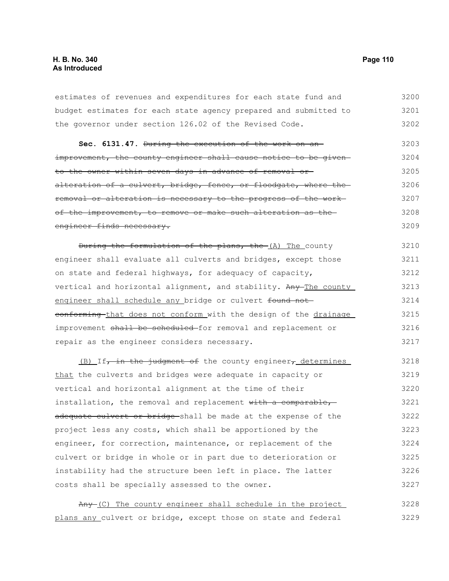estimates of revenues and expenditures for each state fund and budget estimates for each state agency prepared and submitted to the governor under section 126.02 of the Revised Code. 3200 3201 3202

Sec. 6131.47. During the execution of the work on animprovement, the county engineer shall cause notice to be givento the owner within seven days in advance of removal or alteration of a culvert, bridge, fence, or floodgate, where the removal or alteration is necessary to the progress of the work of the improvement, to remove or make such alteration as the engineer finds necessary. 3203 3204 3205 3206 3207 3208 3209

During the formulation of the plans, the (A) The county engineer shall evaluate all culverts and bridges, except those on state and federal highways, for adequacy of capacity, vertical and horizontal alignment, and stability. Any The county engineer shall schedule any bridge or culvert found not conforming that does not conform with the design of the drainage improvement shall be scheduled for removal and replacement or repair as the engineer considers necessary. 3210 3211 3212 3213 3214 3215 3216 3217

(B) If, in the judgment of the county engineer, determines that the culverts and bridges were adequate in capacity or vertical and horizontal alignment at the time of their installation, the removal and replacement with a comparable, adequate culvert or bridge-shall be made at the expense of the project less any costs, which shall be apportioned by the engineer, for correction, maintenance, or replacement of the culvert or bridge in whole or in part due to deterioration or instability had the structure been left in place. The latter costs shall be specially assessed to the owner. 3218 3219 3220 3221 3222 3223 3224 3225 3226 3227

|  |  |  |  |  | Any (C) The county engineer shall schedule in the project      | 3228 |  |
|--|--|--|--|--|----------------------------------------------------------------|------|--|
|  |  |  |  |  | plans any culvert or bridge, except those on state and federal | 3229 |  |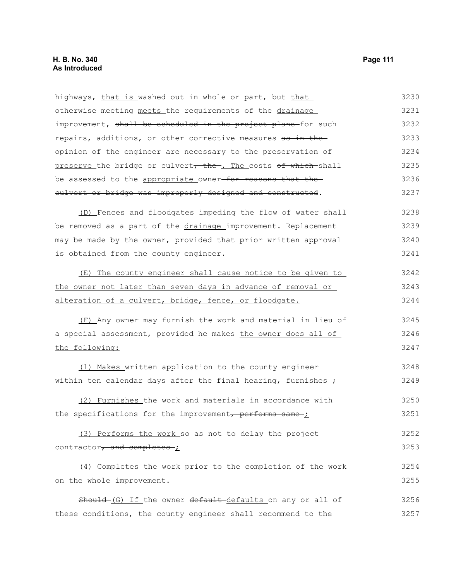highways, that is washed out in whole or part, but that otherwise meeting meets the requirements of the drainage improvement, shall be scheduled in the project plans-for such repairs, additions, or other corrective measures as in the opinion of the engineer are necessary to the preservation of preserve the bridge or culvert, the . The costs of which shall be assessed to the appropriate owner-for reasons that theculvert or bridge was improperly designed and constructed. (D) Fences and floodgates impeding the flow of water shall be removed as a part of the drainage improvement. Replacement may be made by the owner, provided that prior written approval is obtained from the county engineer. (E) The county engineer shall cause notice to be given to the owner not later than seven days in advance of removal or alteration of a culvert, bridge, fence, or floodgate. (F) Any owner may furnish the work and material in lieu of a special assessment, provided he makes-the owner does all of the following: (1) Makes written application to the county engineer within ten  $e$ alendar-days after the final hearing, furnishes- $i$ (2) Furnishes the work and materials in accordance with the specifications for the improvement, performs same- $\dot{I}$ (3) Performs the work so as not to delay the project contractor, and completes ; (4) Completes the work prior to the completion of the work on the whole improvement. Should-(G) If the owner default-defaults on any or all of these conditions, the county engineer shall recommend to the 3230 3231 3232 3233 3234 3235 3236 3237 3238 3239 3240 3241 3242 3243 3244 3245 3246 3247 3248 3249 3250 3251 3252 3253 3254 3255 3256 3257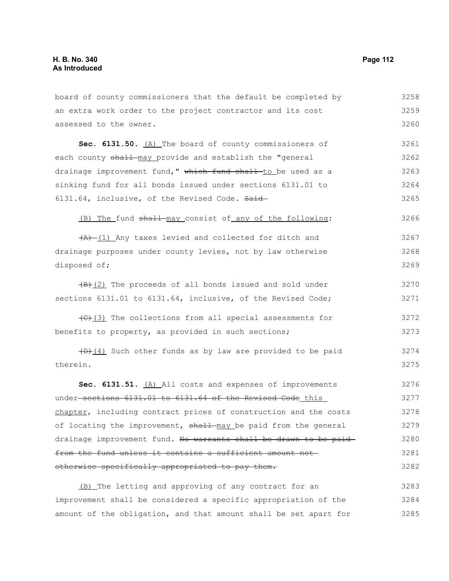| board of county commissioners that the default be completed by                    | 3258 |
|-----------------------------------------------------------------------------------|------|
| an extra work order to the project contractor and its cost                        | 3259 |
| assessed to the owner.                                                            | 3260 |
| Sec. 6131.50. (A) The board of county commissioners of                            | 3261 |
| each county shall may provide and establish the "general                          | 3262 |
| drainage improvement fund," which fund shall to be used as a                      | 3263 |
| sinking fund for all bonds issued under sections 6131.01 to                       | 3264 |
| 6131.64, inclusive, of the Revised Code. Said                                     | 3265 |
| (B) The fund shall may consist of any of the following:                           | 3266 |
| $(A)$ (1) Any taxes levied and collected for ditch and                            | 3267 |
| drainage purposes under county levies, not by law otherwise                       | 3268 |
| disposed of;                                                                      | 3269 |
| $\left(\frac{1}{2}\right)$ The proceeds of all bonds issued and sold under        | 3270 |
| sections 6131.01 to 6131.64, inclusive, of the Revised Code;                      | 3271 |
| $\left(\frac{f(x)}{g(x)}\right)$ The collections from all special assessments for | 3272 |
| benefits to property, as provided in such sections;                               | 3273 |
| (D) (4) Such other funds as by law are provided to be paid                        | 3274 |
| therein.                                                                          | 3275 |
| Sec. 6131.51. (A) All costs and expenses of improvements                          | 3276 |
| under-sections 6131.01 to 6131.64 of the Revised Code this                        | 3277 |
| chapter, including contract prices of construction and the costs                  | 3278 |
| of locating the improvement, shall-may be paid from the general                   | 3279 |
| drainage improvement fund. No warrants shall be drawn to be paid                  | 3280 |
| from the fund unless it contains a sufficient amount not-                         | 3281 |
| otherwise specifically appropriated to pay them.                                  | 3282 |
| (B) The letting and approving of any contract for an                              | 3283 |
| improvement shall be considered a specific appropriation of the                   | 3284 |
| amount of the obligation, and that amount shall be set apart for                  | 3285 |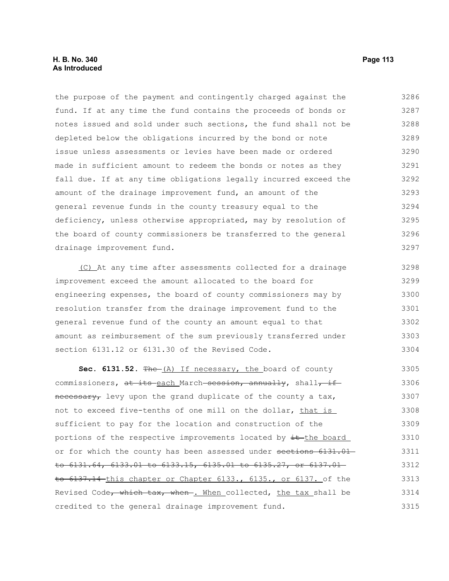# **H. B. No. 340 Page 113 As Introduced**

the purpose of the payment and contingently charged against the fund. If at any time the fund contains the proceeds of bonds or notes issued and sold under such sections, the fund shall not be depleted below the obligations incurred by the bond or note issue unless assessments or levies have been made or ordered made in sufficient amount to redeem the bonds or notes as they fall due. If at any time obligations legally incurred exceed the amount of the drainage improvement fund, an amount of the general revenue funds in the county treasury equal to the deficiency, unless otherwise appropriated, may by resolution of the board of county commissioners be transferred to the general drainage improvement fund. 3286 3287 3288 3289 3290 3291 3292 3293 3294 3295 3296 3297

(C) At any time after assessments collected for a drainage improvement exceed the amount allocated to the board for engineering expenses, the board of county commissioners may by resolution transfer from the drainage improvement fund to the general revenue fund of the county an amount equal to that amount as reimbursement of the sum previously transferred under section 6131.12 or 6131.30 of the Revised Code. 3298 3299 3300 3301 3302 3303 3304

Sec. 6131.52. The (A) If necessary, the board of county commissioners, at its each March session, annually, shall, if necessary, levy upon the grand duplicate of the county a tax, not to exceed five-tenths of one mill on the dollar, that is sufficient to pay for the location and construction of the portions of the respective improvements located by  $\pm\text{$ -the board or for which the county has been assessed under sections 6131.01 to 6131.64, 6133.01 to 6133.15, 6135.01 to 6135.27, or 6137.01 to 6137.14 this chapter or Chapter 6133., 6135., or 6137. of the Revised Code, which tax, when . When collected, the tax shall be credited to the general drainage improvement fund. 3305 3306 3307 3308 3309 3310 3311 3312 3313 3314 3315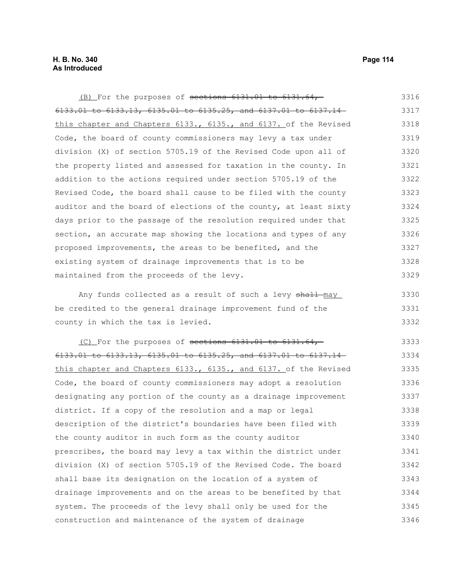(B) For the purposes of sections 6131.01 to 6131.64, 6133.01 to 6133.13, 6135.01 to 6135.25, and 6137.01 to 6137.14 this chapter and Chapters 6133., 6135., and 6137. of the Revised Code, the board of county commissioners may levy a tax under division (X) of section 5705.19 of the Revised Code upon all of the property listed and assessed for taxation in the county. In addition to the actions required under section 5705.19 of the Revised Code, the board shall cause to be filed with the county auditor and the board of elections of the county, at least sixty days prior to the passage of the resolution required under that section, an accurate map showing the locations and types of any proposed improvements, the areas to be benefited, and the existing system of drainage improvements that is to be maintained from the proceeds of the levy. 3316 3317 3318 3319 3320 3321 3322 3323 3324 3325 3326 3327 3328 3329

Any funds collected as a result of such a levy shall may be credited to the general drainage improvement fund of the county in which the tax is levied. 3330 3331 3332

(C) For the purposes of sections 6131.01 to 6131.64, 6133.01 to 6133.13, 6135.01 to 6135.25, and 6137.01 to 6137.14 this chapter and Chapters 6133., 6135., and 6137. of the Revised Code, the board of county commissioners may adopt a resolution designating any portion of the county as a drainage improvement district. If a copy of the resolution and a map or legal description of the district's boundaries have been filed with the county auditor in such form as the county auditor prescribes, the board may levy a tax within the district under division (X) of section 5705.19 of the Revised Code. The board shall base its designation on the location of a system of drainage improvements and on the areas to be benefited by that system. The proceeds of the levy shall only be used for the construction and maintenance of the system of drainage 3333 3334 3335 3336 3337 3338 3339 3340 3341 3342 3343 3344 3345 3346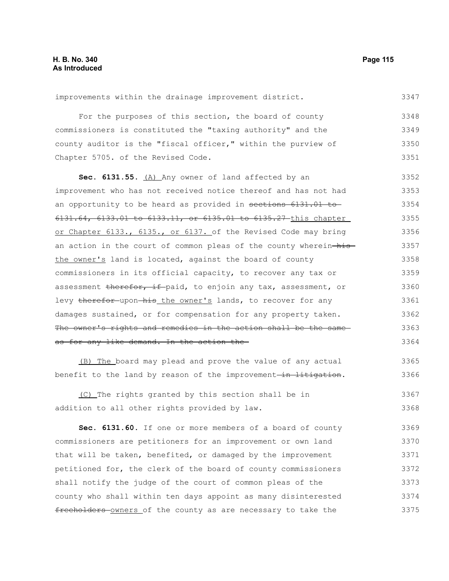improvements within the drainage improvement district.

For the purposes of this section, the board of county commissioners is constituted the "taxing authority" and the county auditor is the "fiscal officer," within the purview of Chapter 5705. of the Revised Code. 3348 3349 3350 3351

**Sec. 6131.55.** (A) Any owner of land affected by an improvement who has not received notice thereof and has not had an opportunity to be heard as provided in sections 6131.01 to 6131.64, 6133.01 to 6133.11, or 6135.01 to 6135.27 this chapter or Chapter 6133., 6135., or 6137. of the Revised Code may bring an action in the court of common pleas of the county wherein-histhe owner's land is located, against the board of county commissioners in its official capacity, to recover any tax or assessment therefor, if paid, to enjoin any tax, assessment, or levy therefor upon his the owner's lands, to recover for any damages sustained, or for compensation for any property taken. The owner's rights and remedies in the action shall be the sameas for any like demand. In the action the 3352 3353 3354 3355 3356 3357 3358 3359 3360 3361 3362 3363 3364

(B) The board may plead and prove the value of any actual benefit to the land by reason of the improvement-in litigation.

(C) The rights granted by this section shall be in addition to all other rights provided by law. 3367 3368

**Sec. 6131.60.** If one or more members of a board of county commissioners are petitioners for an improvement or own land that will be taken, benefited, or damaged by the improvement petitioned for, the clerk of the board of county commissioners shall notify the judge of the court of common pleas of the county who shall within ten days appoint as many disinterested freeholders-owners of the county as are necessary to take the 3369 3370 3371 3372 3373 3374 3375

3347

3366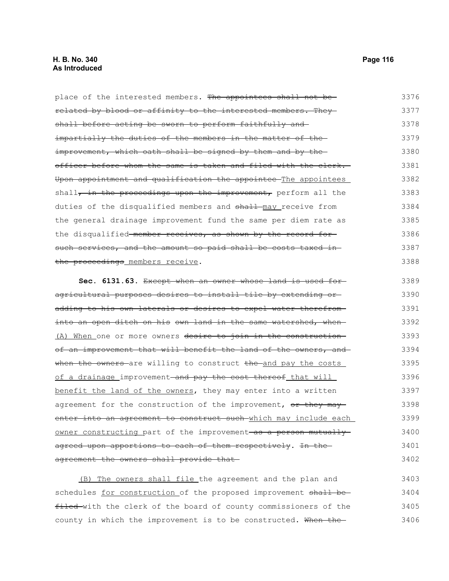#### **H. B. No. 340 Page 116 As Introduced**

place of the interested members. The appointees shall not berelated by blood or affinity to the interested members. They shall before acting be sworn to perform faithfully andimpartially the duties of the members in the matter of theimprovement, which oath shall be signed by them and by theofficer before whom the same is taken and filed with the clerk. Upon appointment and qualification the appointee The appointees shall, in the proceedings upon the improvement, perform all the duties of the disqualified members and shall may receive from the general drainage improvement fund the same per diem rate as the disqualified member receives, as shown by the record for such services, and the amount so paid shall be costs taxed inthe proceedings members receive. **Sec. 6131.63.** Except when an owner whose land is used for agricultural purposes desires to install tile by extending or 3376 3377 3378 3379 3380 3381 3382 3383 3384 3385 3386 3387 3388 3389 3390

adding to his own laterals or desires to expel water therefrom into an open ditch on his own land in the same watershed, when-(A) When one or more owners desire to join in the construction of an improvement that will benefit the land of the owners, and when the owners-are willing to construct the and pay the costs of a drainage improvement–and pay the cost thereof that will benefit the land of the owners, they may enter into a written agreement for the construction of the improvement, or they may enter into an agreement to construct such which may include each owner constructing part of the improvement as a person mutually agreed upon apportions to each of them respectively. In the agreement the owners shall provide that-3391 3392 3393 3394 3395 3396 3397 3398 3399 3400 3401 3402

 (B) The owners shall file the agreement and the plan and schedules for construction of the proposed improvement shall befiled with the clerk of the board of county commissioners of the county in which the improvement is to be constructed. When the-3403 3404 3405 3406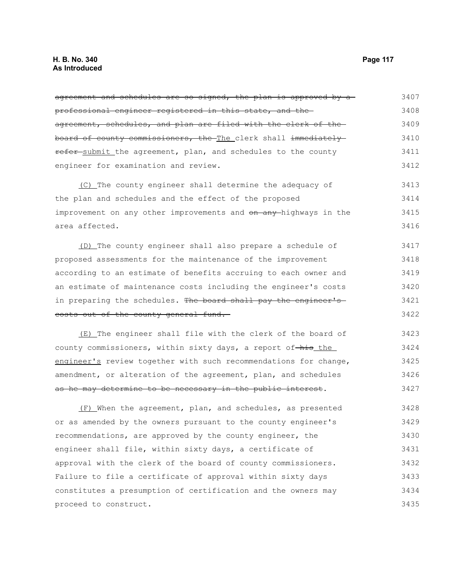agreement and schedules are so signed, the plan is approved by a professional engineer registered in this state, and the agreement, schedules, and plan are filed with the clerk of the board of county commissioners, the The clerk shall immediately refer submit the agreement, plan, and schedules to the county engineer for examination and review. (C) The county engineer shall determine the adequacy of the plan and schedules and the effect of the proposed improvement on any other improvements and on any highways in the area affected. (D) The county engineer shall also prepare a schedule of proposed assessments for the maintenance of the improvement according to an estimate of benefits accruing to each owner and an estimate of maintenance costs including the engineer's costs in preparing the schedules. The board shall pay the engineer's costs out of the county general fund. (E) The engineer shall file with the clerk of the board of county commissioners, within sixty days, a report of-his the engineer's review together with such recommendations for change, amendment, or alteration of the agreement, plan, and schedules as he may determine to be necessary in the public interest. 3407 3408 3409 3410 3411 3412 3413 3414 3415 3416 3417 3418 3419 3420 3421 3422 3423 3424 3425 3426 3427

(F) When the agreement, plan, and schedules, as presented or as amended by the owners pursuant to the county engineer's recommendations, are approved by the county engineer, the engineer shall file, within sixty days, a certificate of approval with the clerk of the board of county commissioners. Failure to file a certificate of approval within sixty days constitutes a presumption of certification and the owners may proceed to construct. 3428 3429 3430 3431 3432 3433 3434 3435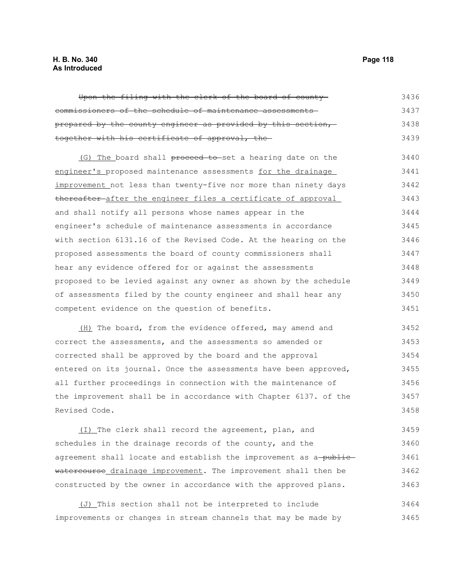# **H. B. No. 340 Page 118 As Introduced**

Upon the filing with the clerk of the board of county commissioners of the schedule of maintenance assessments prepared by the county engineer as provided by this section, together with his certificate of approval, the (G) The board shall proceed to set a hearing date on the engineer's proposed maintenance assessments for the drainage improvement not less than twenty-five nor more than ninety days thereafter after the engineer files a certificate of approval and shall notify all persons whose names appear in the engineer's schedule of maintenance assessments in accordance with section 6131.16 of the Revised Code. At the hearing on the proposed assessments the board of county commissioners shall hear any evidence offered for or against the assessments proposed to be levied against any owner as shown by the schedule of assessments filed by the county engineer and shall hear any competent evidence on the question of benefits. (H) The board, from the evidence offered, may amend and correct the assessments, and the assessments so amended or corrected shall be approved by the board and the approval entered on its journal. Once the assessments have been approved, all further proceedings in connection with the maintenance of the improvement shall be in accordance with Chapter 6137. of the Revised Code. 3436 3437 3438 3439 3440 3441 3442 3443 3444 3445 3446 3447 3448 3449 3450 3451 3452 3453 3454 3455 3456 3457 3458

(I) The clerk shall record the agreement, plan, and schedules in the drainage records of the county, and the agreement shall locate and establish the improvement as a-publicwatercourse drainage improvement. The improvement shall then be constructed by the owner in accordance with the approved plans. 3459 3460 3461 3462 3463

(J) This section shall not be interpreted to include improvements or changes in stream channels that may be made by 3464 3465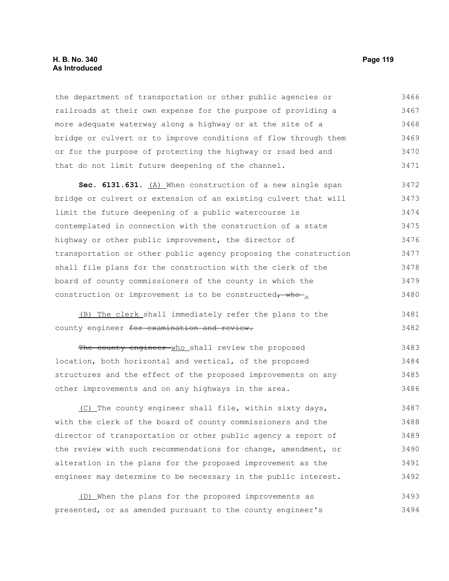### **H. B. No. 340 Page 119 As Introduced**

the department of transportation or other public agencies or railroads at their own expense for the purpose of providing a more adequate waterway along a highway or at the site of a bridge or culvert or to improve conditions of flow through them or for the purpose of protecting the highway or road bed and that do not limit future deepening of the channel. 3466 3467 3468 3469 3470 3471

**Sec. 6131.631.** (A) When construction of a new single span bridge or culvert or extension of an existing culvert that will limit the future deepening of a public watercourse is contemplated in connection with the construction of a state highway or other public improvement, the director of transportation or other public agency proposing the construction shall file plans for the construction with the clerk of the board of county commissioners of the county in which the construction or improvement is to be constructed, who ... 3472 3473 3474 3475 3476 3477 3478 3479 3480

(B) The clerk shall immediately refer the plans to the county engineer for examination and review. 3481 3482

The county engineer who shall review the proposed location, both horizontal and vertical, of the proposed structures and the effect of the proposed improvements on any other improvements and on any highways in the area. 3483 3484 3485 3486

(C) The county engineer shall file, within sixty days, with the clerk of the board of county commissioners and the director of transportation or other public agency a report of the review with such recommendations for change, amendment, or alteration in the plans for the proposed improvement as the engineer may determine to be necessary in the public interest. 3487 3488 3489 3490 3491 3492

(D) When the plans for the proposed improvements as presented, or as amended pursuant to the county engineer's 3493 3494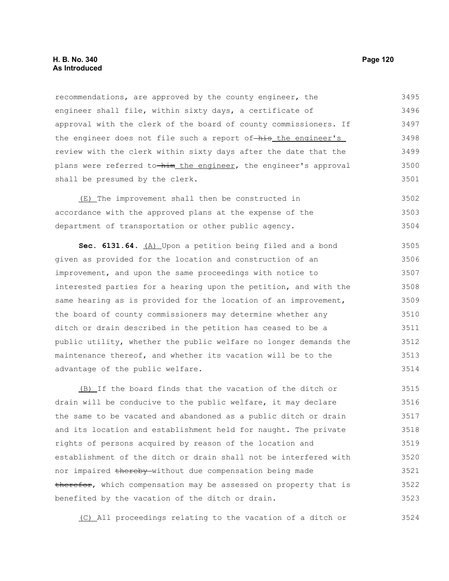### **H. B. No. 340 Page 120 As Introduced**

recommendations, are approved by the county engineer, the engineer shall file, within sixty days, a certificate of approval with the clerk of the board of county commissioners. If the engineer does not file such a report of-his the engineer's review with the clerk within sixty days after the date that the plans were referred to-him the engineer, the engineer's approval shall be presumed by the clerk. 3495 3496 3497 3498 3499 3500 3501

 (E) The improvement shall then be constructed in accordance with the approved plans at the expense of the department of transportation or other public agency. 3502 3503 3504

**Sec. 6131.64.** (A) Upon a petition being filed and a bond given as provided for the location and construction of an improvement, and upon the same proceedings with notice to interested parties for a hearing upon the petition, and with the same hearing as is provided for the location of an improvement, the board of county commissioners may determine whether any ditch or drain described in the petition has ceased to be a public utility, whether the public welfare no longer demands the maintenance thereof, and whether its vacation will be to the advantage of the public welfare. 3505 3506 3507 3508 3509 3510 3511 3512 3513 3514

(B) If the board finds that the vacation of the ditch or drain will be conducive to the public welfare, it may declare the same to be vacated and abandoned as a public ditch or drain and its location and establishment held for naught. The private rights of persons acquired by reason of the location and establishment of the ditch or drain shall not be interfered with nor impaired thereby without due compensation being made therefor, which compensation may be assessed on property that is benefited by the vacation of the ditch or drain. 3515 3516 3517 3518 3519 3520 3521 3522 3523

(C) All proceedings relating to the vacation of a ditch or 3524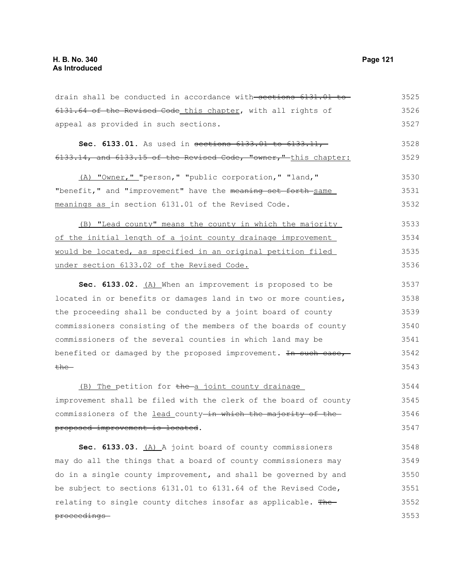proceedings

6131.64 of the Revised Code this chapter, with all rights of appeal as provided in such sections. **Sec. 6133.01.** As used in sections 6133.01 to 6133.11, 6133.14, and 6133.15 of the Revised Code, "owner," this chapter: (A) "Owner," "person," "public corporation," "land," "benefit," and "improvement" have the meaning set forth-same meanings as in section 6131.01 of the Revised Code. (B) "Lead county" means the county in which the majority of the initial length of a joint county drainage improvement would be located, as specified in an original petition filed under section 6133.02 of the Revised Code. **Sec. 6133.02.** (A) When an improvement is proposed to be located in or benefits or damages land in two or more counties, the proceeding shall be conducted by a joint board of county commissioners consisting of the members of the boards of county commissioners of the several counties in which land may be benefited or damaged by the proposed improvement. In such case,  $the-$ (B) The petition for the a joint county drainage improvement shall be filed with the clerk of the board of county commissioners of the lead county-in which the majority of theproposed improvement is located. Sec. 6133.03. (A) A joint board of county commissioners may do all the things that a board of county commissioners may do in a single county improvement, and shall be governed by and be subject to sections 6131.01 to 6131.64 of the Revised Code, relating to single county ditches insofar as applicable. The 3526 3527 3528 3529 3530 3531 3532 3533 3534 3535 3536 3537 3538 3539 3540 3541 3542 3543 3544 3545 3546 3547 3548 3549 3550 3551 3552

drain shall be conducted in accordance with sections 6131.01 to

3525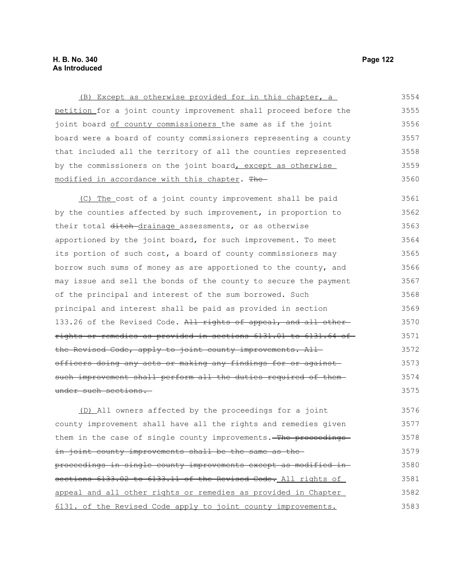# **H. B. No. 340 Page 122 As Introduced**

(B) Except as otherwise provided for in this chapter, a petition for a joint county improvement shall proceed before the joint board of county commissioners the same as if the joint board were a board of county commissioners representing a county that included all the territory of all the counties represented by the commissioners on the joint board, except as otherwise modified in accordance with this chapter. The (C) The cost of a joint county improvement shall be paid by the counties affected by such improvement, in proportion to their total ditch-drainage assessments, or as otherwise apportioned by the joint board, for such improvement. To meet its portion of such cost, a board of county commissioners may borrow such sums of money as are apportioned to the county, and may issue and sell the bonds of the county to secure the payment of the principal and interest of the sum borrowed. Such principal and interest shall be paid as provided in section 133.26 of the Revised Code. All rights of appeal, and all otherrights or remedies as provided in sections 6131.01 to 6131.64 of the Revised Code, apply to joint county improvements. Allofficers doing any acts or making any findings for or against such improvement shall perform all the duties required of themunder such sections. 3554 3555 3556 3557 3558 3559 3560 3561 3562 3563 3564 3565 3566 3567 3568 3569 3570 3571 3572 3573 3574 3575 3576

(D) All owners affected by the proceedings for a joint county improvement shall have all the rights and remedies given them in the case of single county improvements. The proceedingsin joint county improvements shall be the same as theproceedings in single county improvements except as modified in sections 6133.02 to 6133.11 of the Revised Code. All rights of appeal and all other rights or remedies as provided in Chapter 6131. of the Revised Code apply to joint county improvements. 3577 3578 3579 3580 3581 3582 3583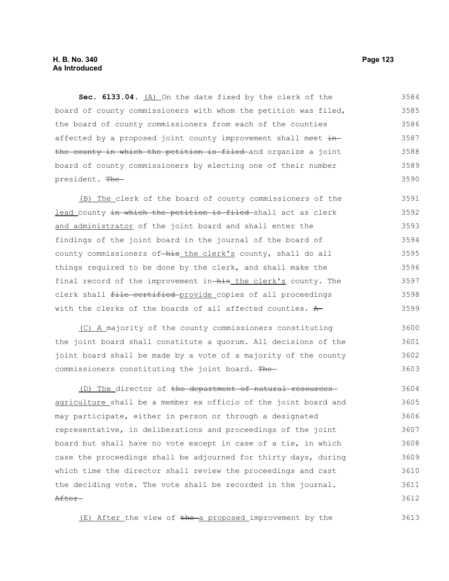# **H. B. No. 340 Page 123 As Introduced**

**Sec. 6133.04.** (A) On the date fixed by the clerk of the board of county commissioners with whom the petition was filed, the board of county commissioners from each of the counties affected by a proposed joint county improvement shall meet  $\pm n$ the county in which the petition is filed and organize a joint board of county commissioners by electing one of their number president. The 3584 3585 3586 3587 3588 3589 3590

(B) The clerk of the board of county commissioners of the lead county in which the petition is filed-shall act as clerk and administrator of the joint board and shall enter the findings of the joint board in the journal of the board of county commissioners of-his the clerk's county, shall do all things required to be done by the clerk, and shall make the final record of the improvement in-his the clerk's county. The clerk shall file certified provide copies of all proceedings with the clerks of the boards of all affected counties.  $A$ 3591 3592 3593 3594 3595 3596 3597 3598 3599

(C) A majority of the county commissioners constituting the joint board shall constitute a quorum. All decisions of the joint board shall be made by a vote of a majority of the county commissioners constituting the joint board. The 3600 3601 3602 3603

(D) The director of the department of natural resources agriculture shall be a member ex officio of the joint board and may participate, either in person or through a designated representative, in deliberations and proceedings of the joint board but shall have no vote except in case of a tie, in which case the proceedings shall be adjourned for thirty days, during which time the director shall review the proceedings and cast the deciding vote. The vote shall be recorded in the journal. After 3604 3605 3606 3607 3608 3609 3610 3611 3612

 $(E)$  After the view of the a proposed improvement by the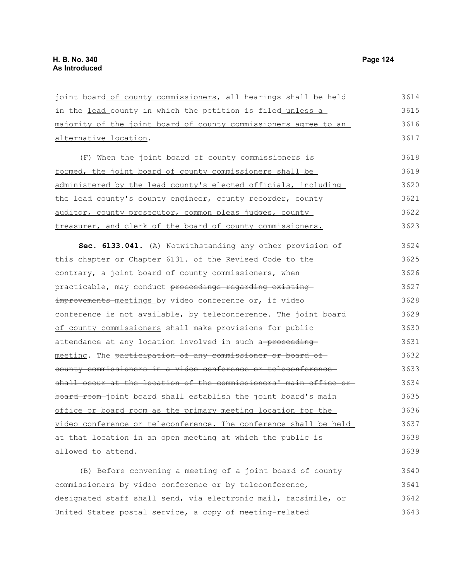joint board of county commissioners, all hearings shall be held in the lead county-in which the petition is filed unless a majority of the joint board of county commissioners agree to an alternative location. (F) When the joint board of county commissioners is formed, the joint board of county commissioners shall be administered by the lead county's elected officials, including the lead county's county engineer, county recorder, county auditor, county prosecutor, common pleas judges, county treasurer, and clerk of the board of county commissioners. **Sec. 6133.041.** (A) Notwithstanding any other provision of this chapter or Chapter 6131. of the Revised Code to the contrary, a joint board of county commissioners, when practicable, may conduct proceedings regarding existing improvements meetings by video conference or, if video conference is not available, by teleconference. The joint board of county commissioners shall make provisions for public attendance at any location involved in such a-proceedingmeeting. The participation of any commissioner or board ofcounty commissioners in a video conference or teleconference shall occur at the location of the commissioners' main office orboard room-joint board shall establish the joint board's main office or board room as the primary meeting location for the video conference or teleconference. The conference shall be held at that location in an open meeting at which the public is allowed to attend. (B) Before convening a meeting of a joint board of county commissioners by video conference or by teleconference, designated staff shall send, via electronic mail, facsimile, or 3614 3615 3616 3617 3618 3619 3620 3621 3622 3623 3624 3625 3626 3627 3628 3629 3630 3631 3632 3633 3634 3635 3636 3637 3638 3639 3640 3641 3642

United States postal service, a copy of meeting-related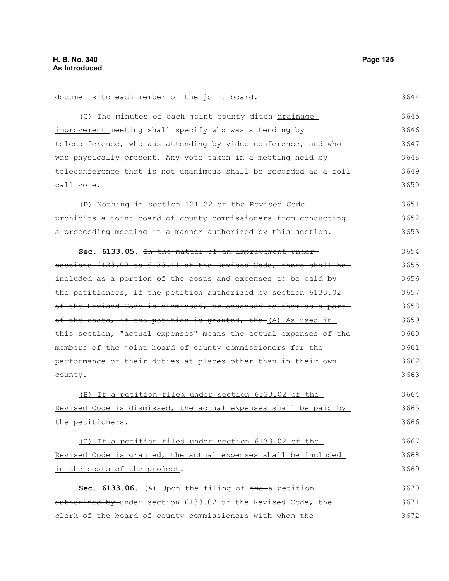| documents to each member of the joint board.                     | 3644 |
|------------------------------------------------------------------|------|
| (C) The minutes of each joint county ditch-drainage              | 3645 |
| improvement meeting shall specify who was attending by           | 3646 |
| teleconference, who was attending by video conference, and who   | 3647 |
| was physically present. Any vote taken in a meeting held by      | 3648 |
| teleconference that is not unanimous shall be recorded as a roll | 3649 |
| call vote.                                                       | 3650 |
| (D) Nothing in section 121.22 of the Revised Code                | 3651 |
| prohibits a joint board of county commissioners from conducting  | 3652 |
| a proceeding-meeting in a manner authorized by this section.     | 3653 |
| Sec. 6133.05. In the matter of an improvement under-             | 3654 |
| sections 6133.02 to 6133.11 of the Revised Code, there shall be- | 3655 |
| included as a portion of the costs and expenses to be paid by-   | 3656 |
| the petitioners, if the petition authorized by section 6133.02   | 3657 |
| of the Revised Code is dismissed, or assessed to them as a part- | 3658 |
| of the costs, if the petition is granted, the (A) As used in     | 3659 |
| this section, "actual expenses" means the actual expenses of the | 3660 |
| members of the joint board of county commissioners for the       | 3661 |
| performance of their duties at places other than in their own    | 3662 |
| county.                                                          | 3663 |
| (B) If a petition filed under section 6133.02 of the             | 3664 |
| Revised Code is dismissed, the actual expenses shall be paid by  | 3665 |
| the petitioners.                                                 | 3666 |
| (C) If a petition filed under section 6133.02 of the             | 3667 |
| Revised Code is granted, the actual expenses shall be included   | 3668 |
| in the costs of the project.                                     | 3669 |
| Sec. 6133.06. $(A)$ Upon the filing of the a petition            | 3670 |
| authorized by under section 6133.02 of the Revised Code, the     | 3671 |
| clerk of the board of county commissioners with whom the         | 3672 |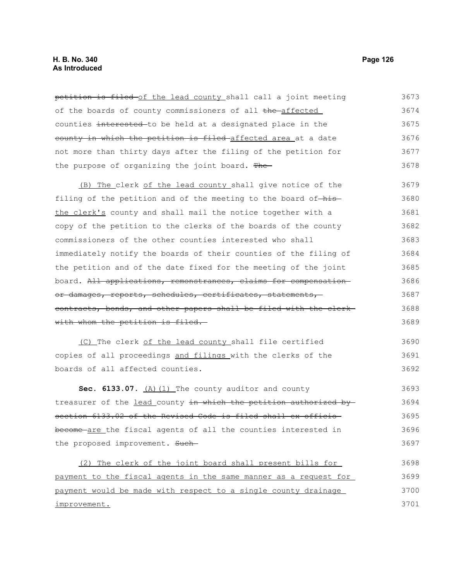petition is filed of the lead county shall call a joint meeting of the boards of county commissioners of all the affected counties interested to be held at a designated place in the county in which the petition is filed affected area at a date not more than thirty days after the filing of the petition for the purpose of organizing the joint board. The (B) The clerk of the lead county shall give notice of the filing of the petition and of the meeting to the board of-histhe clerk's county and shall mail the notice together with a copy of the petition to the clerks of the boards of the county commissioners of the other counties interested who shall immediately notify the boards of their counties of the filing of the petition and of the date fixed for the meeting of the joint board. All applications, remonstrances, claims for compensation or damages, reports, schedules, certificates, statements, contracts, bonds, and other papers shall be filed with the clerk with whom the petition is filed. (C) The clerk of the lead county shall file certified copies of all proceedings and filings with the clerks of the boards of all affected counties. Sec. 6133.07. (A)(1) The county auditor and county treasurer of the lead county in which the petition authorized by section 6133.02 of the Revised Code is filed shall ex officiobecome are the fiscal agents of all the counties interested in the proposed improvement. Such-(2) The clerk of the joint board shall present bills for payment to the fiscal agents in the same manner as a request for payment would be made with respect to a single county drainage 3673 3674 3675 3676 3677 3678 3679 3680 3681 3682 3683 3684 3685 3686 3687 3688 3689 3690 3691 3692 3693 3694 3695 3696 3697 3698 3699 3700

improvement.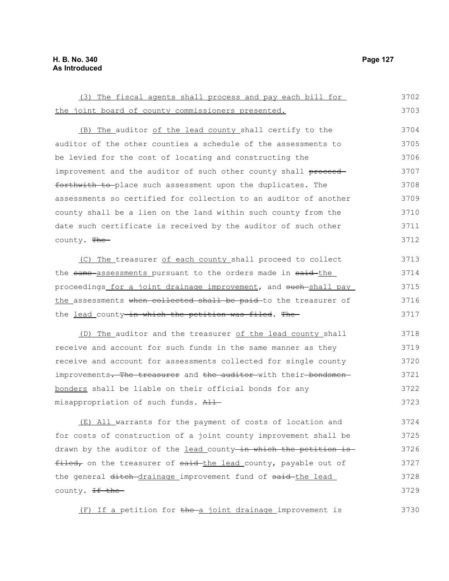3730

| (3) The fiscal agents shall process and pay each bill for        | 3702 |
|------------------------------------------------------------------|------|
| the joint board of county commissioners presented.               | 3703 |
| (B) The auditor of the lead county shall certify to the          | 3704 |
| auditor of the other counties a schedule of the assessments to   | 3705 |
| be levied for the cost of locating and constructing the          | 3706 |
| improvement and the auditor of such other county shall proceed   | 3707 |
| forthwith to-place such assessment upon the duplicates. The      | 3708 |
| assessments so certified for collection to an auditor of another | 3709 |
| county shall be a lien on the land within such county from the   | 3710 |
| date such certificate is received by the auditor of such other   | 3711 |
| county. The                                                      | 3712 |
| (C) The treasurer of each county shall proceed to collect        | 3713 |
| the same-assessments pursuant to the orders made in said-the     | 3714 |
| proceedings for a joint drainage improvement, and such shall pay | 3715 |
| the assessments when collected shall be paid to the treasurer of | 3716 |
| the lead county-in which the petition was filed. The-            | 3717 |
| (D) The auditor and the treasurer of the lead county shall       | 3718 |
| receive and account for such funds in the same manner as they    | 3719 |
| receive and account for assessments collected for single county  | 3720 |
| improvements. The treasurer and the auditor with their bondsmen- | 3721 |
| bonders shall be liable on their official bonds for any          | 3722 |
| misappropriation of such funds. All                              | 3723 |
| (E) All warrants for the payment of costs of location and        | 3724 |
| for costs of construction of a joint county improvement shall be | 3725 |
| drawn by the auditor of the lead county in which the petition is | 3726 |
| filed, on the treasurer of said-the lead county, payable out of  | 3727 |
| the general ditch drainage improvement fund of said-the lead     | 3728 |
| county. <del>If the</del>                                        | 3729 |

(F) If a petition for the a joint drainage improvement is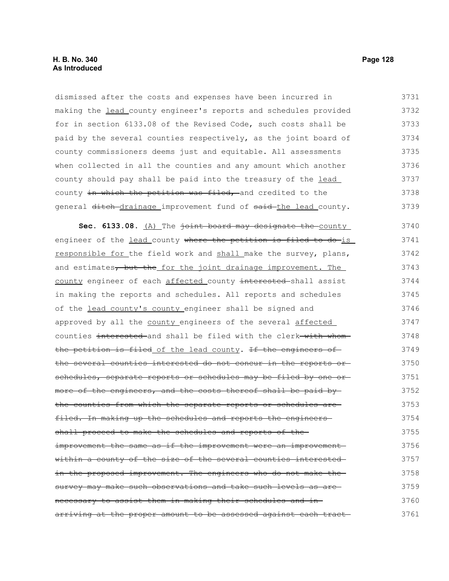dismissed after the costs and expenses have been incurred in making the lead county engineer's reports and schedules provided for in section 6133.08 of the Revised Code, such costs shall be paid by the several counties respectively, as the joint board of county commissioners deems just and equitable. All assessments when collected in all the counties and any amount which another county should pay shall be paid into the treasury of the lead county in which the petition was filed, and credited to the general ditch-drainage improvement fund of said-the lead county. 3731 3732 3733 3734 3735 3736 3737 3738 3739

Sec. 6133.08. (A) The joint board may designate the county engineer of the lead county where the petition is filed to do-is responsible for the field work and shall make the survey, plans, and estimates, but the for the joint drainage improvement. The county engineer of each affected county interested-shall assist in making the reports and schedules. All reports and schedules of the lead county's county engineer shall be signed and approved by all the county engineers of the several affected counties interested and shall be filed with the clerk with whom the petition is filed of the lead county. If the engineers of the several counties interested do not concur in the reports or schedules, separate reports or schedules may be filed by one ormore of the engineers, and the costs thereof shall be paid bythe counties from which the separate reports or schedules are filed. In making up the schedules and reports the engineersshall proceed to make the schedules and reports of the improvement the same as if the improvement were an improvement within a county of the size of the several counties interested in the proposed improvement. The engineers who do not make the survey may make such observations and take such levels as arenecessary to assist them in making their schedules and in arriving at the proper amount to be assessed against each tract 3740 3741 3742 3743 3744 3745 3746 3747 3748 3749 3750 3751 3752 3753 3754 3755 3756 3757 3758 3759 3760 3761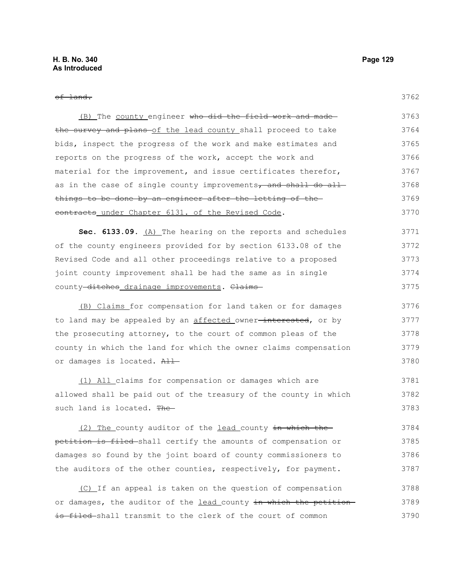| лu<br>٠<br>×<br>. .<br>× |  |
|--------------------------|--|

3775

| (B) The county engineer who did the field work and made        | 3763 |
|----------------------------------------------------------------|------|
| the survey and plans of the lead county shall proceed to take  | 3764 |
| bids, inspect the progress of the work and make estimates and  | 3765 |
| reports on the progress of the work, accept the work and       | 3766 |
| material for the improvement, and issue certificates therefor, | 3767 |
| as in the case of single county improvements, and shall do all | 3768 |
| things to be done by an engineer after the letting of the-     | 3769 |
| contracts under Chapter 6131. of the Revised Code.             | 3770 |
| Sec. 6133.09. (A) The hearing on the reports and schedules     | 3771 |
| of the county engineers provided for by section 6133.08 of the | 3772 |
| Revised Code and all other proceedings relative to a proposed  | 3773 |
| joint county improvement shall be had the same as in single    | 3774 |

(B) Claims for compensation for land taken or for damages to land may be appealed by an affected owner-interested, or by the prosecuting attorney, to the court of common pleas of the county in which the land for which the owner claims compensation or damages is located. All 3776 3777 3778 3779 3780

county-ditches drainage improvements. Claims-

(1) All claims for compensation or damages which are allowed shall be paid out of the treasury of the county in which such land is located. The-3781 3782 3783

(2) The county auditor of the lead county in which the petition is filed shall certify the amounts of compensation or damages so found by the joint board of county commissioners to the auditors of the other counties, respectively, for payment. 3784 3785 3786 3787

(C) If an appeal is taken on the question of compensation or damages, the auditor of the lead county in which the petitionis filed shall transmit to the clerk of the court of common 3788 3789 3790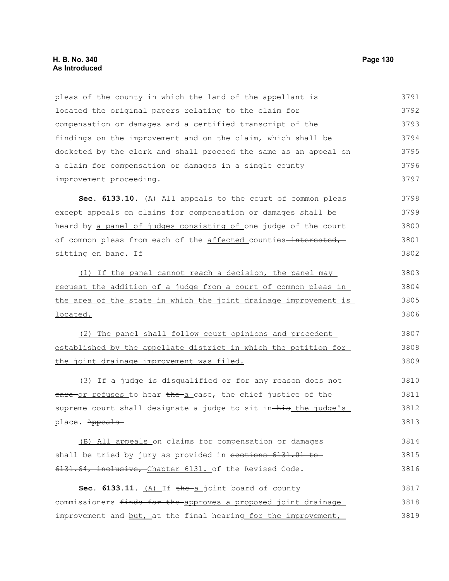pleas of the county in which the land of the appellant is located the original papers relating to the claim for compensation or damages and a certified transcript of the findings on the improvement and on the claim, which shall be docketed by the clerk and shall proceed the same as an appeal on a claim for compensation or damages in a single county improvement proceeding. 3791 3792 3793 3794 3795 3796 3797

**Sec. 6133.10.** (A) All appeals to the court of common pleas except appeals on claims for compensation or damages shall be heard by a panel of judges consisting of one judge of the court of common pleas from each of the affected counties-interested,sitting en bane. If 3798 3799 3800 3801 3802

(1) If the panel cannot reach a decision, the panel may request the addition of a judge from a court of common pleas in the area of the state in which the joint drainage improvement is located. 3803 3804 3805 3806

(2) The panel shall follow court opinions and precedent established by the appellate district in which the petition for the joint drainage improvement was filed. 3807 3808 3809

(3) If a judge is disqualified or for any reason does not eare or refuses to hear the a case, the chief justice of the supreme court shall designate a judge to sit in his the judge's place. Appeals 3810 3811 3812 3813

(B) All appeals on claims for compensation or damages shall be tried by jury as provided in sections 6131.01 to 6131.64, inclusive, Chapter 6131. of the Revised Code. 3814 3815 3816

Sec. 6133.11. (A) If the a joint board of county commissioners finds for the approves a proposed joint drainage improvement and but, at the final hearing for the improvement, 3817 3818 3819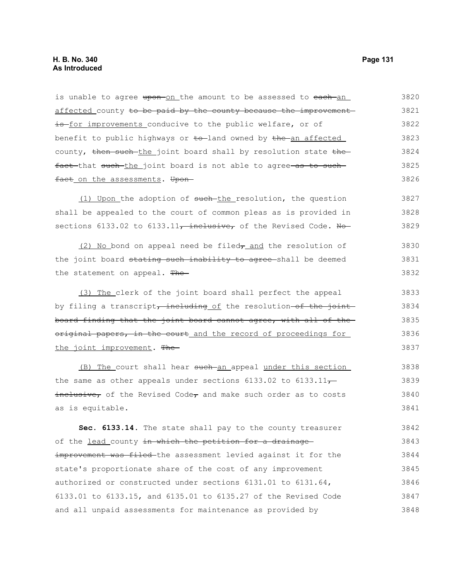affected county to be paid by the county because the improvement is for improvements conducive to the public welfare, or of benefit to public highways or  $\text{to}$ -land owned by  $\text{the}$ -an affected county, then such the joint board shall by resolution state the fact that such the joint board is not able to agree as to such fact on the assessments. Upon-(1) Upon the adoption of such-the resolution, the question shall be appealed to the court of common pleas as is provided in sections 6133.02 to 6133.11, inclusive, of the Revised Code. No- $(2)$  No bond on appeal need be filed $\tau$  and the resolution of the joint board stating such inability to agree shall be deemed the statement on appeal. The-(3) The clerk of the joint board shall perfect the appeal by filing a transcript, including of the resolution-of the joint board finding that the joint board cannot agree, with all of the original papers, in the court and the record of proceedings for the joint improvement. The (B) The court shall hear such an appeal under this section the same as other appeals under sections 6133.02 to 6133.11 $\rightarrow$  $\frac{1}{1}$  inclusive, of the Revised Code, and make such order as to costs as is equitable. **Sec. 6133.14.** The state shall pay to the county treasurer of the lead county in which the petition for a drainage improvement was filed the assessment levied against it for the state's proportionate share of the cost of any improvement authorized or constructed under sections 6131.01 to 6131.64, 6133.01 to 6133.15, and 6135.01 to 6135.27 of the Revised Code 3821 3822 3823 3824 3825 3826 3827 3828 3829 3830 3831 3832 3833 3834 3835 3836 3837 3838 3839 3840 3841 3842 3843 3844 3845 3846 3847

and all unpaid assessments for maintenance as provided by

is unable to agree upon on the amount to be assessed to each an

3820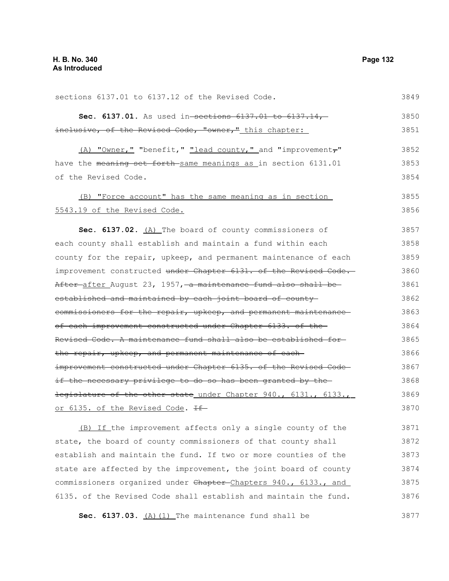sections 6137.01 to 6137.12 of the Revised Code. **Sec. 6137.01.** As used in-sections 6137.01 to 6137.14, inclusive, of the Revised Code, "owner," this chapter:  $(A)$  "Owner," "benefit," "lead county," and "improvement $\tau$ " have the meaning set forth same meanings as in section 6131.01 of the Revised Code. (B) "Force account" has the same meaning as in section 5543.19 of the Revised Code. **Sec. 6137.02.** (A) The board of county commissioners of each county shall establish and maintain a fund within each county for the repair, upkeep, and permanent maintenance of each improvement constructed under Chapter 6131. of the Revised Code. After after August 23, 1957, a maintenance fund also shall be established and maintained by each joint board of countycommissioners for the repair, upkeep, and permanent maintenanceof each improvement constructed under Chapter 6133. of the Revised Code. A maintenance fund shall also be established for the repair, upkeep, and permanent maintenance of eachimprovement constructed under Chapter 6135. of the Revised Codeif the necessary privilege to do so has been granted by the legislature of the other state under Chapter 940., 6131., 6133., or 6135. of the Revised Code. If (B) If the improvement affects only a single county of the state, the board of county commissioners of that county shall establish and maintain the fund. If two or more counties of the state are affected by the improvement, the joint board of county commissioners organized under Chapter Chapters 940., 6133., and 6135. of the Revised Code shall establish and maintain the fund. **Sec. 6137.03.** (A)(1) The maintenance fund shall be 3849 3850 3851 3852 3853 3854 3855 3856 3857 3858 3859 3860 3861 3862 3863 3864 3865 3866 3867 3868 3869 3870 3871 3872 3873 3874 3875 3876 3877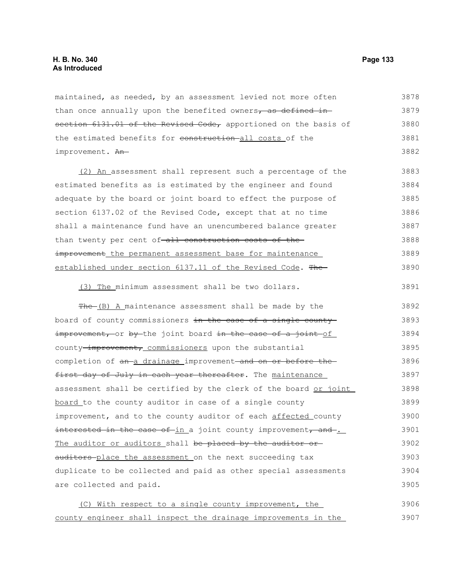maintained, as needed, by an assessment levied not more often than once annually upon the benefited owners, as defined insection 6131.01 of the Revised Code, apportioned on the basis of the estimated benefits for construction all costs of the improvement. An-3878 3879 3880 3881 3882

(2) An assessment shall represent such a percentage of the estimated benefits as is estimated by the engineer and found adequate by the board or joint board to effect the purpose of section 6137.02 of the Revised Code, except that at no time shall a maintenance fund have an unencumbered balance greater than twenty per cent of all construction costs of theimprovement the permanent assessment base for maintenance established under section 6137.11 of the Revised Code. The-3883 3884 3885 3886 3887 3888 3889 3890

(3) The minimum assessment shall be two dollars.

The (B) A maintenance assessment shall be made by the board of county commissioners in the case of a single county improvement, or by the joint board in the case of a joint of county-improvement, commissioners upon the substantial completion of an a drainage improvement and on or before the first day of July in each year thereafter. The maintenance assessment shall be certified by the clerk of the board or joint board to the county auditor in case of a single county improvement, and to the county auditor of each affected county interested in the case of in a joint county improvement, and . The auditor or auditors shall be placed by the auditor orauditors-place the assessment on the next succeeding tax duplicate to be collected and paid as other special assessments are collected and paid. 3892 3893 3894 3895 3896 3897 3898 3899 3900 3901 3902 3903 3904 3905

(C) With respect to a single county improvement, the county engineer shall inspect the drainage improvements in the 3906 3907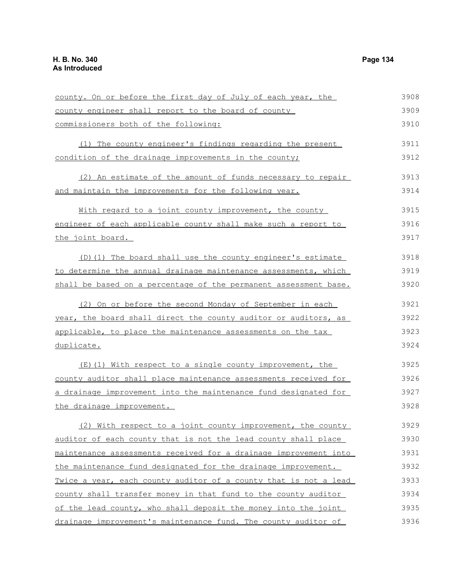county. On or before the first day of July of each year, the county engineer shall report to the board of county commissioners both of the following: (1) The county engineer's findings regarding the present condition of the drainage improvements in the county; (2) An estimate of the amount of funds necessary to repair and maintain the improvements for the following year. With regard to a joint county improvement, the county engineer of each applicable county shall make such a report to the joint board. (D)(1) The board shall use the county engineer's estimate to determine the annual drainage maintenance assessments, which shall be based on a percentage of the permanent assessment base. (2) On or before the second Monday of September in each year, the board shall direct the county auditor or auditors, as applicable, to place the maintenance assessments on the tax duplicate. (E)(1) With respect to a single county improvement, the county auditor shall place maintenance assessments received for a drainage improvement into the maintenance fund designated for the drainage improvement. (2) With respect to a joint county improvement, the county auditor of each county that is not the lead county shall place maintenance assessments received for a drainage improvement into the maintenance fund designated for the drainage improvement. Twice a year, each county auditor of a county that is not a lead county shall transfer money in that fund to the county auditor of the lead county, who shall deposit the money into the joint 3908 3909 3910 3911 3912 3913 3914 3915 3916 3917 3918 3919 3920 3921 3922 3923 3924 3925 3926 3927 3928 3929 3930 3931 3932 3933 3934 3935

drainage improvement's maintenance fund. The county auditor of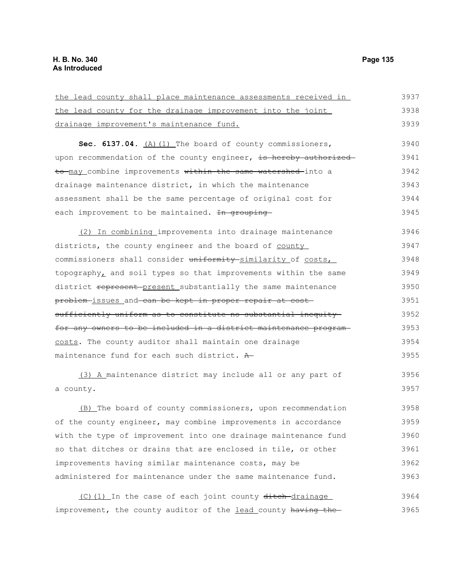$3037$ 

| the lead county shall place maintenance assessments received in  | 3937 |
|------------------------------------------------------------------|------|
| the lead county for the drainage improvement into the joint      | 3938 |
| drainage improvement's maintenance fund.                         | 3939 |
| Sec. 6137.04. (A) (1) The board of county commissioners,         | 3940 |
| upon recommendation of the county engineer, is hereby authorized | 3941 |
| to may combine improvements within the same watershed into a     | 3942 |
| drainage maintenance district, in which the maintenance          | 3943 |
| assessment shall be the same percentage of original cost for     | 3944 |
| each improvement to be maintained. In grouping                   | 3945 |
| (2) In combining improvements into drainage maintenance          | 3946 |
| districts, the county engineer and the board of county           | 3947 |
| commissioners shall consider uniformity similarity of costs,     | 3948 |
| topography, and soil types so that improvements within the same  | 3949 |
| district represent-present substantially the same maintenance    | 3950 |
| problem-issues and can be kept in proper repair at cost-         | 3951 |
| sufficiently uniform as to constitute no substantial inequity    | 3952 |
| for any owners to be included in a district maintenance program- | 3953 |
| costs. The county auditor shall maintain one drainage            | 3954 |
| maintenance fund for each such district. A                       | 3955 |
| (3) A maintenance district may include all or any part of        | 3956 |
| a county.                                                        | 3957 |
| $(D)$ The beard of county commissions we we recommendation       | 20EQ |

(B) The board of county commissioners, upon recommendation of the county engineer, may combine improvements in accordance with the type of improvement into one drainage maintenance fund so that ditches or drains that are enclosed in tile, or other improvements having similar maintenance costs, may be administered for maintenance under the same maintenance fund. 3958 3959 3960 3961 3962 3963

(C)(1) In the case of each joint county ditch-drainage improvement, the county auditor of the lead county having the-3964 3965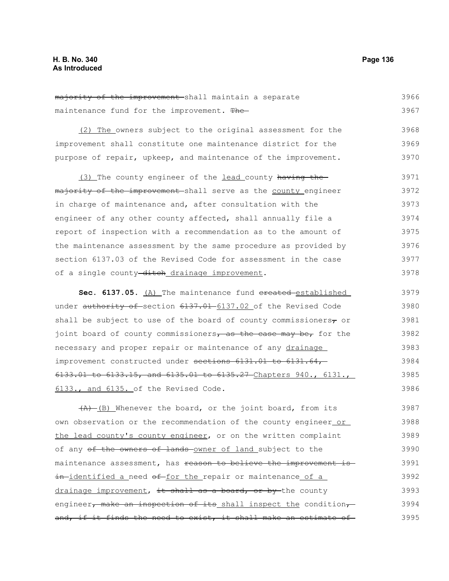majority of the improvement shall maintain a separate maintenance fund for the improvement. The 3966 3967

(2) The owners subject to the original assessment for the improvement shall constitute one maintenance district for the purpose of repair, upkeep, and maintenance of the improvement. 3968 3969 3970

(3) The county engineer of the lead county having the majority of the improvement shall serve as the county engineer in charge of maintenance and, after consultation with the engineer of any other county affected, shall annually file a report of inspection with a recommendation as to the amount of the maintenance assessment by the same procedure as provided by section 6137.03 of the Revised Code for assessment in the case of a single county-ditch drainage improvement. 3971 3972 3973 3974 3975 3976 3977 3978

Sec. 6137.05. (A) The maintenance fund created established under authority of section 6137.01 6137.02 of the Revised Code shall be subject to use of the board of county commissioners $_7$  or joint board of county commissioners, as the case may be, for the necessary and proper repair or maintenance of any drainage improvement constructed under sections 6131.01 to 6131.64,-6133.01 to 6133.15, and 6135.01 to 6135.27 Chapters 940., 6131., 6133., and 6135. of the Revised Code. 3979 3980 3981 3982 3983 3984 3985 3986

 $(A)$  (B) Whenever the board, or the joint board, from its own observation or the recommendation of the county engineer or the lead county's county engineer, or on the written complaint of any of the owners of lands owner of land subject to the maintenance assessment, has reason to believe the improvement is in-identified a need of for the repair or maintenance of a drainage improvement, it shall as a board, or by the county engineer, make an inspection of its shall inspect the condition, and, if it finds the need to exist, it shall make an estimate of 3987 3988 3989 3990 3991 3992 3993 3994 3995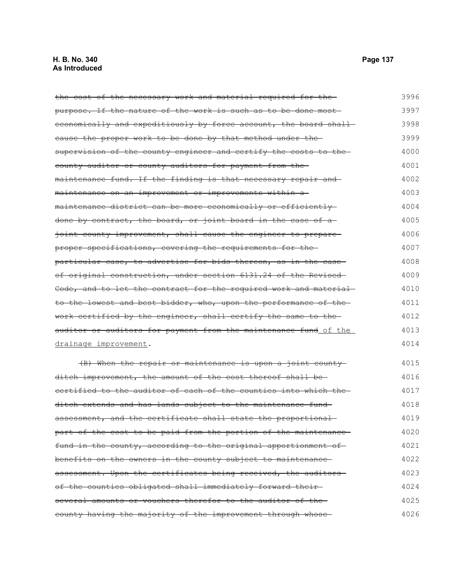| the cost of the necessary work and material required for the-    | 3996 |
|------------------------------------------------------------------|------|
| purpose. If the nature of the work is such as to be done most    | 3997 |
| economically and expeditiously by force account, the board shall | 3998 |
| eause the proper work to be done by that method under the-       | 3999 |
| supervision of the county engineer and certify the costs to the- | 4000 |
| county auditor or county auditors for payment from the-          | 4001 |
| maintenance fund. If the finding is that necessary repair and    | 4002 |
| maintenance on an improvement or improvements within a           | 4003 |
| maintenance district can be more economically or efficiently     | 4004 |
| done by contract, the board, or joint board in the case of a     | 4005 |
| joint county improvement, shall cause the engineer to prepare    | 4006 |
| proper specifications, covering the requirements for the         | 4007 |
| particular case, to advertise for bids thereon, as in the case-  | 4008 |
| of original construction, under section 6131.24 of the Revised   | 4009 |
| Code, and to let the contract for the required work and material | 4010 |
| to the lowest and best bidder, who, upon the performance of the- | 4011 |
| work certified by the engineer, shall certify the same to the    | 4012 |
| auditor or auditors for payment from the maintenance fund of the | 4013 |
| drainage improvement.                                            | 4014 |
| (B) When the repair or maintenance is upon a joint county        | 4015 |
| ditch improvement, the amount of the cost thereof shall be-      | 4016 |
| certified to the auditor of each of the counties into which the- | 4017 |
| ditch extends and has lands subject to the maintenance fund-     | 4018 |
| assessment, and the certificate shall state the proportional     | 4019 |
| part of the cost to be paid from the portion of the maintenance- | 4020 |
| fund in the county, according to the original apportionment of   | 4021 |
| benefits on the owners in the county subject to maintenance-     | 4022 |
| assessment. Upon the certificates being received, the auditors-  | 4023 |
| of the counties obligated shall immediately forward their-       | 4024 |
| several amounts or vouchers therefor to the auditor of the-      | 4025 |
| county having the majority of the improvement through whose      | 4026 |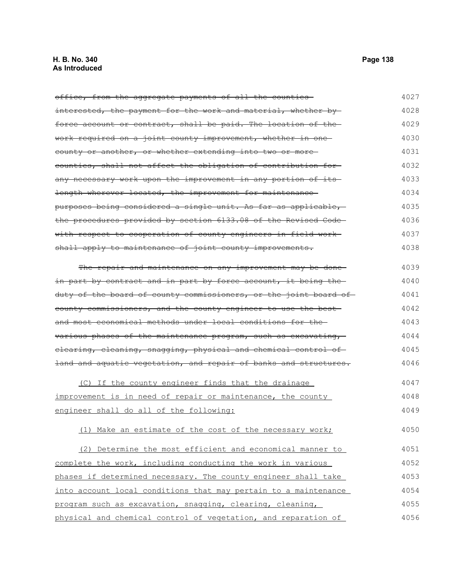# **H. B. No. 340 Page 138 As Introduced**

| office, from the aggregate payments of all the counties-            | 4027 |
|---------------------------------------------------------------------|------|
| interested, the payment for the work and material, whether by-      | 4028 |
| force account or contract, shall be paid. The location of the       | 4029 |
| <u>work required on a joint county improvement, whether in one-</u> | 4030 |
| county or another, or whether extending into two or more            | 4031 |
| counties, shall not affect the obligation of contribution for-      | 4032 |
| any necessary work upon the improvement in any portion of its       | 4033 |
| length wherever located, the improvement for maintenance-           | 4034 |
| purposes being considered a single unit. As far as applicable,      | 4035 |
| the procedures provided by section 6133.08 of the Revised Code-     | 4036 |
| with respect to cooperation of county engineers in field work-      | 4037 |
| shall apply to maintenance of joint county improvements.            | 4038 |
| The repair and maintenance on any improvement may be done-          | 4039 |
| in part by contract and in part by force account, it being the-     | 4040 |
| duty of the board of county commissioners, or the joint board of    | 4041 |
| county commissioners, and the county engineer to use the best-      | 4042 |
| and most economical methods under local conditions for the-         | 4043 |
| various phases of the maintenance program, such as excavating,      | 4044 |
| elearing, cleaning, snagging, physical and chemical control of      | 4045 |
| land and aquatic vegetation, and repair of banks and structures.    | 4046 |
| (C) If the county engineer finds that the drainage                  | 4047 |
| improvement is in need of repair or maintenance, the county         | 4048 |
| engineer shall do all of the following:                             | 4049 |
| (1) Make an estimate of the cost of the necessary work;             | 4050 |
| (2) Determine the most efficient and economical manner to           | 4051 |
| complete the work, including conducting the work in various         | 4052 |
| phases if determined necessary. The county engineer shall take      | 4053 |
| into account local conditions that may pertain to a maintenance     | 4054 |
| program such as excavation, snagging, clearing, cleaning,           | 4055 |
| physical and chemical control of vegetation, and reparation of      | 4056 |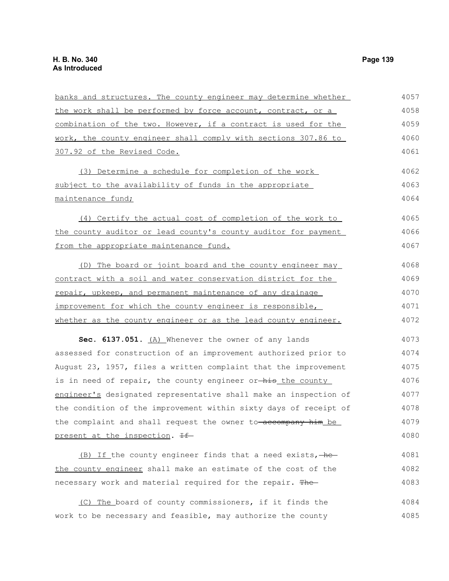| banks and structures. The county engineer may determine whether  | 4057 |
|------------------------------------------------------------------|------|
| the work shall be performed by force account, contract, or a     | 4058 |
| combination of the two. However, if a contract is used for the   | 4059 |
| work, the county engineer shall comply with sections 307.86 to   | 4060 |
| 307.92 of the Revised Code.                                      | 4061 |
| (3) Determine a schedule for completion of the work              | 4062 |
| subject to the availability of funds in the appropriate          | 4063 |
| maintenance fund;                                                | 4064 |
| (4) Certify the actual cost of completion of the work to         | 4065 |
| the county auditor or lead county's county auditor for payment   | 4066 |
| from the appropriate maintenance fund.                           | 4067 |
| (D) The board or joint board and the county engineer may         | 4068 |
| contract with a soil and water conservation district for the     | 4069 |
| repair, upkeep, and permanent maintenance of any drainage        | 4070 |
| improvement for which the county engineer is responsible,        | 4071 |
| whether as the county engineer or as the lead county engineer.   | 4072 |
| Sec. 6137.051. (A) Whenever the owner of any lands               | 4073 |
| assessed for construction of an improvement authorized prior to  | 4074 |
| August 23, 1957, files a written complaint that the improvement  | 4075 |
| is in need of repair, the county engineer or-his the county      | 4076 |
| engineer's designated representative shall make an inspection of | 4077 |
| the condition of the improvement within sixty days of receipt of | 4078 |
| the complaint and shall request the owner to-accompany him be    | 4079 |
| present at the inspection. If                                    | 4080 |
| (B) If the county engineer finds that a need exists, he          | 4081 |
| the county engineer shall make an estimate of the cost of the    | 4082 |
| necessary work and material required for the repair. The         | 4083 |
| (C) The board of county commissioners, if it finds the           | 4084 |
| work to be necessary and feasible, may authorize the county      | 4085 |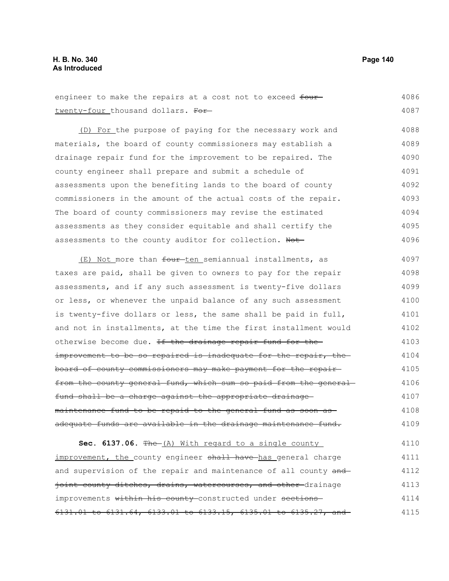| engineer to make the repairs at a cost not to exceed four-           | 4086 |
|----------------------------------------------------------------------|------|
| twenty-four thousand dollars. For                                    | 4087 |
| (D) For the purpose of paying for the necessary work and             | 4088 |
| materials, the board of county commissioners may establish a         | 4089 |
| drainage repair fund for the improvement to be repaired. The         | 4090 |
| county engineer shall prepare and submit a schedule of               | 4091 |
| assessments upon the benefiting lands to the board of county         | 4092 |
| commissioners in the amount of the actual costs of the repair.       | 4093 |
| The board of county commissioners may revise the estimated           | 4094 |
| assessments as they consider equitable and shall certify the         | 4095 |
| assessments to the county auditor for collection. Not-               | 4096 |
| (E) Not more than four ten semiannual installments, as               | 4097 |
| taxes are paid, shall be given to owners to pay for the repair       | 4098 |
| assessments, and if any such assessment is twenty-five dollars       | 4099 |
| or less, or whenever the unpaid balance of any such assessment       | 4100 |
| is twenty-five dollars or less, the same shall be paid in full,      | 4101 |
| and not in installments, at the time the first installment would     | 4102 |
| otherwise become due. <del>If the drainage repair fund for the</del> | 4103 |
| improvement to be so repaired is inadequate for the repair, the-     | 4104 |
| board of county commissioners may make payment for the repair-       | 4105 |
| from the county general fund, which sum so paid from the general     | 4106 |
| fund shall be a charge against the appropriate drainage              | 4107 |
| maintenance fund to be repaid to the general fund as soon as         | 4108 |

adequate funds are available in the drainage maintenance fund. 4109

Sec. 6137.06. The (A) With regard to a single county improvement, the county engineer shall have has general charge and supervision of the repair and maintenance of all county and joint county ditches, drains, watercourses, and other-drainage improvements within his county constructed under sections 6131.01 to 6131.64, 6133.01 to 6133.15, 6135.01 to 6135.27, and 4110 4111 4112 4113 4114 4115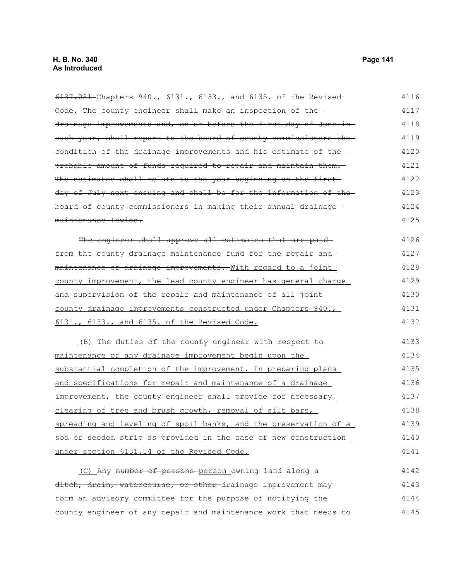6137.051 Chapters 940., 6131., 6133., and 6135. of the Revised Code. The county engineer shall make an inspection of the drainage improvements and, on or before the first day of June in each year, shall report to the board of county commissioners the condition of the drainage improvements and his estimate of the probable amount of funds required to repair and maintain them. The estimates shall relate to the year beginning on the firstday of July next ensuing and shall be for the information of the board of county commissioners in making their annual drainage maintenance levies. The engineer shall approve all estimates that are paidfrom the county drainage maintenance fund for the repair and maintenance of drainage improvements. With regard to a joint county improvement, the lead county engineer has general charge and supervision of the repair and maintenance of all joint county drainage improvements constructed under Chapters 940., 6131., 6133., and 6135. of the Revised Code. (B) The duties of the county engineer with respect to maintenance of any drainage improvement begin upon the substantial completion of the improvement. In preparing plans and specifications for repair and maintenance of a drainage improvement, the county engineer shall provide for necessary clearing of tree and brush growth, removal of silt bars, spreading and leveling of spoil banks, and the preservation of a sod or seeded strip as provided in the case of new construction under section 6131.14 of the Revised Code. (C) Any number of persons person owning land along a ditch, drain, watercourse, or other drainage improvement may 4116 4117 4118 4119 4120 4121 4122 4123 4124 4125 4126 4127 4128 4129 4130 4131 4132 4133 4134 4135 4136 4137 4138 4139 4140 4141 4142 4143

form an advisory committee for the purpose of notifying the county engineer of any repair and maintenance work that needs to 4144 4145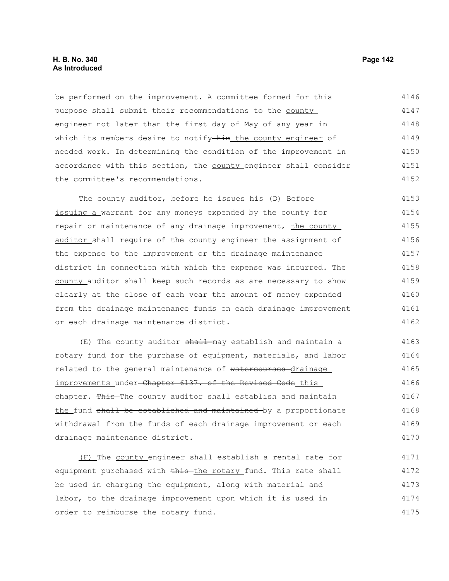## **H. B. No. 340 Page 142 As Introduced**

be performed on the improvement. A committee formed for this purpose shall submit their-recommendations to the county engineer not later than the first day of May of any year in which its members desire to notify-him the county engineer of needed work. In determining the condition of the improvement in accordance with this section, the county engineer shall consider the committee's recommendations. 4146 4147 4148 4149 4150 4151 4152

The county auditor, before he issues his (D) Before issuing a warrant for any moneys expended by the county for repair or maintenance of any drainage improvement, the county auditor shall require of the county engineer the assignment of the expense to the improvement or the drainage maintenance district in connection with which the expense was incurred. The county auditor shall keep such records as are necessary to show clearly at the close of each year the amount of money expended from the drainage maintenance funds on each drainage improvement or each drainage maintenance district. 4153 4154 4155 4156 4157 4158 4159 4160 4161 4162

(E) The county auditor shall may establish and maintain a rotary fund for the purchase of equipment, materials, and labor related to the general maintenance of watercourses drainage improvements under-Chapter 6137. of the Revised Code this chapter. This The county auditor shall establish and maintain the fund shall be established and maintained by a proportionate withdrawal from the funds of each drainage improvement or each drainage maintenance district. 4163 4164 4165 4166 4167 4168 4169 4170

(F) The county engineer shall establish a rental rate for equipment purchased with this the rotary fund. This rate shall be used in charging the equipment, along with material and labor, to the drainage improvement upon which it is used in order to reimburse the rotary fund. 4171 4172 4173 4174 4175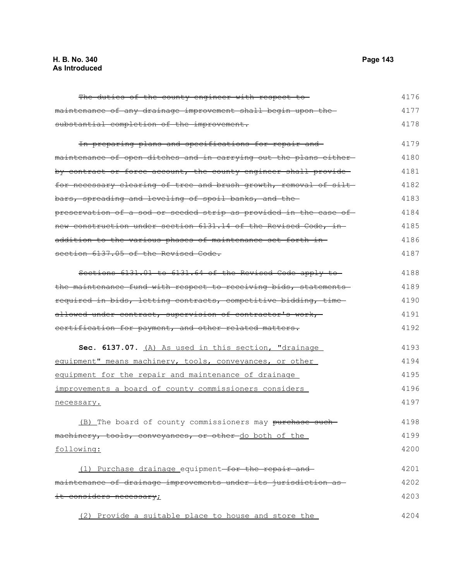#### **H. B. No. 340 Page 143 As Introduced**

maintenance of any drainage improvement shall begin upon the substantial completion of the improvement. In preparing plans and specifications for repair and maintenance of open ditches and in carrying out the plans either by contract or force account, the county engineer shall provide for necessary clearing of tree and brush growth, removal of siltbars, spreading and leveling of spoil banks, and the preservation of a sod or seeded strip as provided in the case of new construction under section 6131.14 of the Revised Code, in addition to the various phases of maintenance set forth in section 6137.05 of the Revised Code. Sections 6131.01 to 6131.64 of the Revised Code apply to the maintenance fund with respect to receiving bids, statementsrequired in bids, letting contracts, competitive bidding, time allowed under contract, supervision of contractor's work, certification for payment, and other related matters. **Sec. 6137.07.** (A) As used in this section, "drainage equipment" means machinery, tools, conveyances, or other equipment for the repair and maintenance of drainage improvements a board of county commissioners considers necessary. (B) The board of county commissioners may purchase suchmachinery, tools, conveyances, or other-do both of the following: (1) Purchase drainage equipment for the repair and maintenance of drainage improvements under its jurisdiction as it considers necessary; 4177 4178 4179 4180 4181 4182 4183 4184 4185 4186 4187 4188 4189 4190 4191 4192 4193 4194 4195 4196 4197 4198 4199 4200 4201 4202 4203

(2) Provide a suitable place to house and store the

The duties of the county engineer with respect to-

4176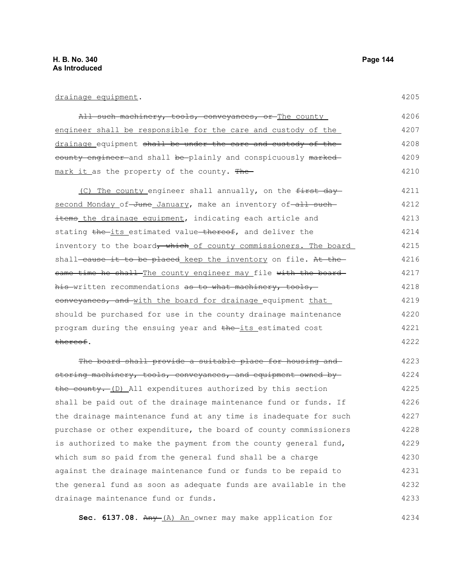# drainage equipment.

| All such machinery, tools, conveyances, or The county         | 4206 |
|---------------------------------------------------------------|------|
| engineer shall be responsible for the care and custody of the | 4207 |
| drainage equipment shall be under the care and custody of the | 4208 |
| county engineer and shall be plainly and conspicuously marked | 4209 |
| mark it as the property of the county. The                    | 4210 |

(C) The county engineer shall annually, on the  $f$ irst day second Monday of June January, make an inventory of all such items the drainage equipment, indicating each article and stating the its estimated value thereof, and deliver the inventory to the board, which of county commissioners. The board shall-cause it to be placed keep the inventory on file. At thesame time he shall The county engineer may file with the board his written recommendations as to what machinery, tools, conveyances, and with the board for drainage equipment that should be purchased for use in the county drainage maintenance program during the ensuing year and the its estimated cost thereof. 4211 4212 4213 4214 4215 4216 4217 4218 4219 4220 4221 4222

The board shall provide a suitable place for housing andstoring machinery, tools, conveyances, and equipment owned by the county. (D) All expenditures authorized by this section shall be paid out of the drainage maintenance fund or funds. If the drainage maintenance fund at any time is inadequate for such purchase or other expenditure, the board of county commissioners is authorized to make the payment from the county general fund, which sum so paid from the general fund shall be a charge against the drainage maintenance fund or funds to be repaid to the general fund as soon as adequate funds are available in the drainage maintenance fund or funds. 4223 4224 4225 4226 4227 4228 4229 4230 4231 4232 4233

**Sec. 6137.08.** Any (A) An owner may make application for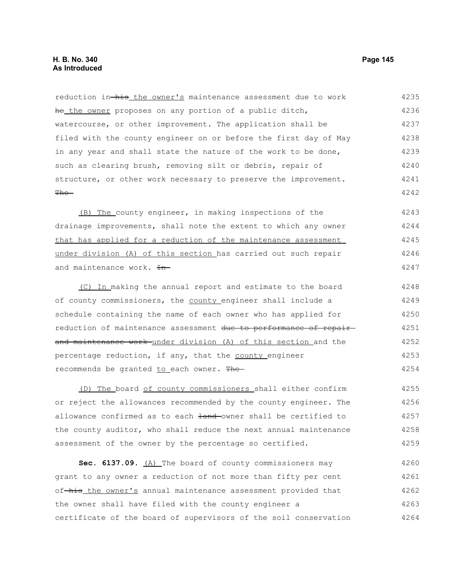reduction in-his the owner's maintenance assessment due to work he the owner proposes on any portion of a public ditch, watercourse, or other improvement. The application shall be filed with the county engineer on or before the first day of May in any year and shall state the nature of the work to be done, such as clearing brush, removing silt or debris, repair of structure, or other work necessary to preserve the improvement.  $The-$ 4235 4236 4237 4238 4239 4240 4241 4242

(B) The county engineer, in making inspections of the drainage improvements, shall note the extent to which any owner that has applied for a reduction of the maintenance assessment under division (A) of this section has carried out such repair and maintenance work. In-4243 4244 4245 4246 4247

(C) In making the annual report and estimate to the board of county commissioners, the county engineer shall include a schedule containing the name of each owner who has applied for reduction of maintenance assessment due to performance of repairand maintenance work under division (A) of this section and the percentage reduction, if any, that the county engineer recommends be granted to each owner. The-4248 4249 4250 4251 4252 4253 4254

(D) The board of county commissioners shall either confirm or reject the allowances recommended by the county engineer. The allowance confirmed as to each land-owner shall be certified to the county auditor, who shall reduce the next annual maintenance assessment of the owner by the percentage so certified. 4255 4256 4257 4258 4259

**Sec. 6137.09.** (A) The board of county commissioners may grant to any owner a reduction of not more than fifty per cent of his the owner's annual maintenance assessment provided that the owner shall have filed with the county engineer a certificate of the board of supervisors of the soil conservation 4260 4261 4262 4263 4264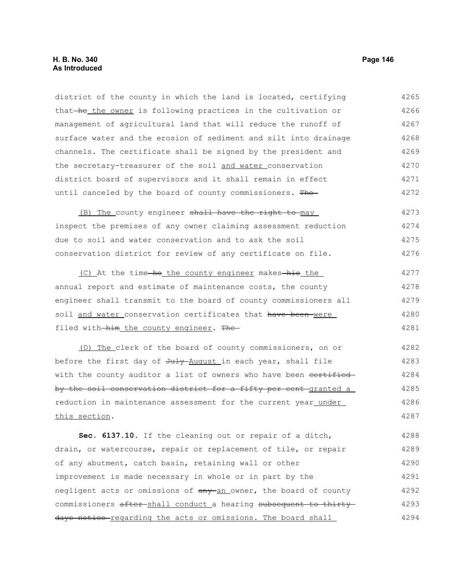district of the county in which the land is located, certifying that he the owner is following practices in the cultivation or management of agricultural land that will reduce the runoff of surface water and the erosion of sediment and silt into drainage channels. The certificate shall be signed by the president and the secretary-treasurer of the soil and water conservation district board of supervisors and it shall remain in effect until canceled by the board of county commissioners. The 4265 4266 4267 4268 4269 4270 4271 4272

(B) The county engineer shall have the right to may inspect the premises of any owner claiming assessment reduction due to soil and water conservation and to ask the soil conservation district for review of any certificate on file. 4273 4274 4275 4276

(C) At the time-he the county engineer makes-his the annual report and estimate of maintenance costs, the county engineer shall transmit to the board of county commissioners all soil and water conservation certificates that have been were filed with him the county engineer. The 4277 4278 4279 4280 4281

(D) The clerk of the board of county commissioners, on or before the first day of July August in each year, shall file with the county auditor a list of owners who have been certified by the soil conservation district for a fifty per cent granted a reduction in maintenance assessment for the current year under this section. 4282 4283 4284 4285 4286 4287

**Sec. 6137.10.** If the cleaning out or repair of a ditch, drain, or watercourse, repair or replacement of tile, or repair of any abutment, catch basin, retaining wall or other improvement is made necessary in whole or in part by the negligent acts or omissions of  $\frac{any-an}{}$  owner, the board of county commissioners after-shall conduct a hearing subsequent to thirtydays notice regarding the acts or omissions. The board shall 4288 4289 4290 4291 4292 4293 4294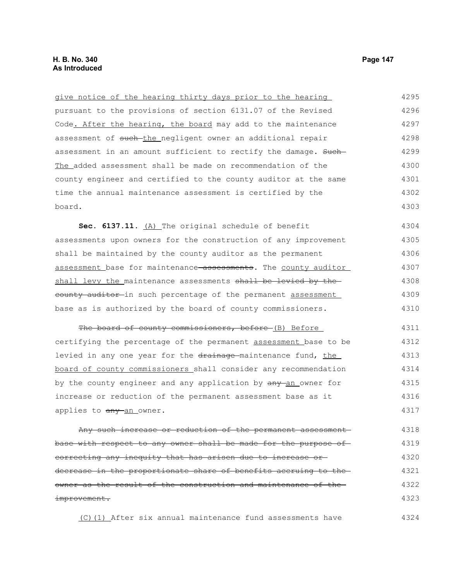give notice of the hearing thirty days prior to the hearing pursuant to the provisions of section 6131.07 of the Revised Code. After the hearing, the board may add to the maintenance assessment of such-the negligent owner an additional repair assessment in an amount sufficient to rectify the damage. Such- The added assessment shall be made on recommendation of the county engineer and certified to the county auditor at the same time the annual maintenance assessment is certified by the board. Sec. 6137.11. (A) The original schedule of benefit assessments upon owners for the construction of any improvement shall be maintained by the county auditor as the permanent assessment base for maintenance<del>-assessments</del>. The county auditor shall levy the maintenance assessments shall be levied by theeounty auditor in such percentage of the permanent assessment base as is authorized by the board of county commissioners. The board of county commissioners, before (B) Before certifying the percentage of the permanent assessment base to be levied in any one year for the drainage maintenance fund, the board of county commissioners shall consider any recommendation by the county engineer and any application by  $\frac{any - an}{owner}$  for increase or reduction of the permanent assessment base as it applies to any an owner. Any such increase or reduction of the permanent assessment base with respect to any owner shall be made for the purpose of correcting any inequity that has arisen due to increase or 4295 4296 4297 4298 4299 4300 4301 4302 4303 4304 4305 4306 4307 4308 4309 4310 4311 4312 4313 4314 4315 4316 4317 4318 4319 4320

decrease in the proportionate share of benefits accruing to the owner as the result of the construction and maintenance of the improvement. 4321 4322 4323

(C)(1) After six annual maintenance fund assessments have 4324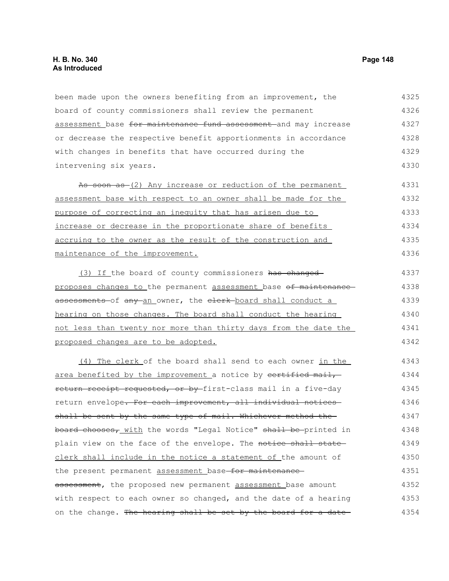been made upon the owners benefiting from an improvement, the board of county commissioners shall review the permanent assessment base for maintenance fund assessment and may increase or decrease the respective benefit apportionments in accordance with changes in benefits that have occurred during the intervening six years. As soon as (2) Any increase or reduction of the permanent assessment base with respect to an owner shall be made for the purpose of correcting an inequity that has arisen due to increase or decrease in the proportionate share of benefits accruing to the owner as the result of the construction and maintenance of the improvement. (3) If the board of county commissioners has changed proposes changes to the permanent assessment base of maintenance assessments of any an owner, the elerk board shall conduct a hearing on those changes. The board shall conduct the hearing not less than twenty nor more than thirty days from the date the proposed changes are to be adopted. (4) The clerk of the board shall send to each owner in the area benefited by the improvement a notice by certified mail, return receipt requested, or by first-class mail in a five-day return envelope. For each improvement, all individual noticesshall be sent by the same type of mail. Whichever method the board chooses, with the words "Legal Notice" shall be-printed in plain view on the face of the envelope. The notice shall state clerk shall include in the notice a statement of the amount of the present permanent assessment base for maintenanceassessment, the proposed new permanent assessment base amount with respect to each owner so changed, and the date of a hearing on the change. The hearing shall be set by the board for a date-4325 4326 4327 4328 4329 4330 4331 4332 4333 4334 4335 4336 4337 4338 4339 4340 4341 4342 4343 4344 4345 4346 4347 4348 4349 4350 4351 4352 4353 4354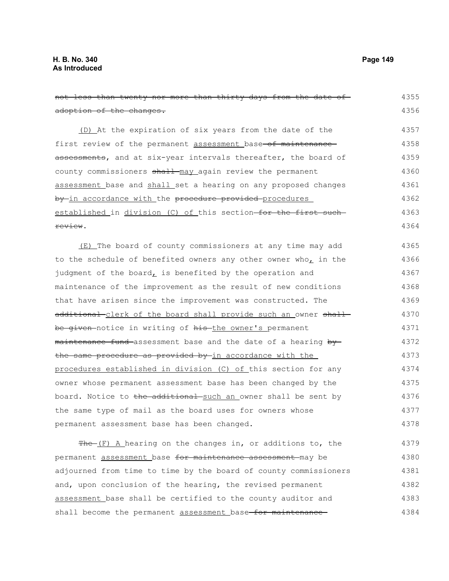| not less than twenty nor more than thirty days from the date of-  | 4355 |
|-------------------------------------------------------------------|------|
| adoption of the changes.                                          | 4356 |
| (D) At the expiration of six years from the date of the           | 4357 |
| first review of the permanent assessment base of maintenance      | 4358 |
| assessments, and at six-year intervals thereafter, the board of   | 4359 |
| county commissioners shall may again review the permanent         | 4360 |
| assessment base and shall set a hearing on any proposed changes   | 4361 |
| by in accordance with the procedure provided procedures           | 4362 |
| established in division (C) of this section for the first such    | 4363 |
| review.                                                           | 4364 |
| (E) The board of county commissioners at any time may add         | 4365 |
| to the schedule of benefited owners any other owner who, in the   | 4366 |
| judgment of the board, is benefited by the operation and          | 4367 |
| maintenance of the improvement as the result of new conditions    | 4368 |
| that have arisen since the improvement was constructed. The       | 4369 |
| additional-clerk of the board shall provide such an owner shall-  | 4370 |
| be given notice in writing of his the owner's permanent           | 4371 |
| maintenance fund assessment base and the date of a hearing by     | 4372 |
| the same procedure as provided by in accordance with the          | 4373 |
| procedures established in division (C) of this section for any    | 4374 |
| owner whose permanent assessment base has been changed by the     | 4375 |
| board. Notice to the additional such an owner shall be sent by    | 4376 |
| the same type of mail as the board uses for owners whose          | 4377 |
| permanent assessment base has been changed.                       | 4378 |
| $f^*$ The $(F)$ A hearing on the changes in, or additions to, the | 4379 |
| permanent assessment base for maintenance assessment may be       | 4380 |
| adjourned from time to time by the board of county commissioners  | 4381 |
| and, upon conclusion of the hearing, the revised permanent        | 4382 |
| assessment base shall be certified to the county auditor and      | 4383 |
| shall become the permanent assessment base for maintenance        | 4384 |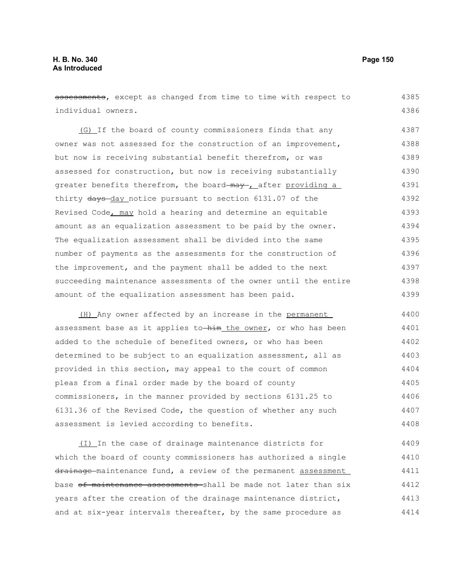assessments, except as changed from time to time with respect to individual owners. (G) If the board of county commissioners finds that any owner was not assessed for the construction of an improvement, but now is receiving substantial benefit therefrom, or was assessed for construction, but now is receiving substantially greater benefits therefrom, the board may , after providing a thirty days-day notice pursuant to section 6131.07 of the Revised Code, may hold a hearing and determine an equitable amount as an equalization assessment to be paid by the owner. The equalization assessment shall be divided into the same number of payments as the assessments for the construction of the improvement, and the payment shall be added to the next succeeding maintenance assessments of the owner until the entire amount of the equalization assessment has been paid. (H) Any owner affected by an increase in the permanent assessment base as it applies to  $\frac{1}{n}$  the owner, or who has been added to the schedule of benefited owners, or who has been determined to be subject to an equalization assessment, all as provided in this section, may appeal to the court of common pleas from a final order made by the board of county commissioners, in the manner provided by sections 6131.25 to 6131.36 of the Revised Code, the question of whether any such assessment is levied according to benefits. (I) In the case of drainage maintenance districts for which the board of county commissioners has authorized a single 4385 4386 4387 4388 4389 4390 4391 4392 4393 4394 4395 4396 4397 4398 4399 4400 4401 4402 4403 4404 4405 4406 4407 4408 4409 4410

drainage maintenance fund, a review of the permanent assessment base of maintenance assessments shall be made not later than six years after the creation of the drainage maintenance district, and at six-year intervals thereafter, by the same procedure as 4411 4412 4413 4414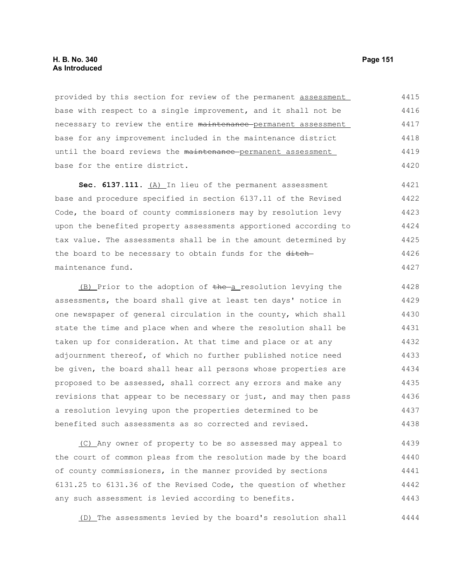provided by this section for review of the permanent assessment base with respect to a single improvement, and it shall not be necessary to review the entire maintenance permanent assessment base for any improvement included in the maintenance district until the board reviews the maintenance permanent assessment base for the entire district. 4415 4416 4417 4418 4419 4420

Sec. 6137.111. (A) In lieu of the permanent assessment base and procedure specified in section 6137.11 of the Revised Code, the board of county commissioners may by resolution levy upon the benefited property assessments apportioned according to tax value. The assessments shall be in the amount determined by the board to be necessary to obtain funds for the ditchmaintenance fund. 4421 4422 4423 4424 4425 4426 4427

(B) Prior to the adoption of the a resolution levying the assessments, the board shall give at least ten days' notice in one newspaper of general circulation in the county, which shall state the time and place when and where the resolution shall be taken up for consideration. At that time and place or at any adjournment thereof, of which no further published notice need be given, the board shall hear all persons whose properties are proposed to be assessed, shall correct any errors and make any revisions that appear to be necessary or just, and may then pass a resolution levying upon the properties determined to be benefited such assessments as so corrected and revised. 4428 4429 4430 4431 4432 4433 4434 4435 4436 4437 4438

(C) Any owner of property to be so assessed may appeal to the court of common pleas from the resolution made by the board of county commissioners, in the manner provided by sections 6131.25 to 6131.36 of the Revised Code, the question of whether any such assessment is levied according to benefits. 4439 4440 4441 4442 4443

(D) The assessments levied by the board's resolution shall 4444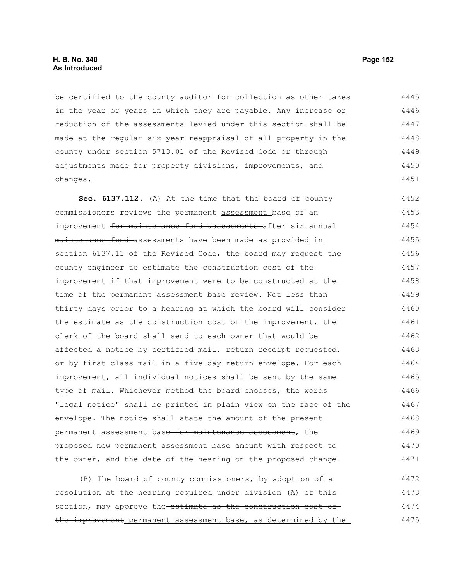## **H. B. No. 340 Page 152 As Introduced**

be certified to the county auditor for collection as other taxes in the year or years in which they are payable. Any increase or reduction of the assessments levied under this section shall be made at the regular six-year reappraisal of all property in the county under section 5713.01 of the Revised Code or through adjustments made for property divisions, improvements, and changes. 4445 4446 4447 4448 4449 4450 4451

**Sec. 6137.112.** (A) At the time that the board of county commissioners reviews the permanent assessment base of an improvement for maintenance fund assessments after six annual maintenance fund assessments have been made as provided in section 6137.11 of the Revised Code, the board may request the county engineer to estimate the construction cost of the improvement if that improvement were to be constructed at the time of the permanent assessment base review. Not less than thirty days prior to a hearing at which the board will consider the estimate as the construction cost of the improvement, the clerk of the board shall send to each owner that would be affected a notice by certified mail, return receipt requested, or by first class mail in a five-day return envelope. For each improvement, all individual notices shall be sent by the same type of mail. Whichever method the board chooses, the words "legal notice" shall be printed in plain view on the face of the envelope. The notice shall state the amount of the present permanent assessment base for maintenance assessment, the proposed new permanent assessment base amount with respect to the owner, and the date of the hearing on the proposed change. 4452 4453 4454 4455 4456 4457 4458 4459 4460 4461 4462 4463 4464 4465 4466 4467 4468 4469 4470 4471

(B) The board of county commissioners, by adoption of a resolution at the hearing required under division (A) of this section, may approve the estimate as the construction cost of the improvement permanent assessment base, as determined by the 4472 4473 4474 4475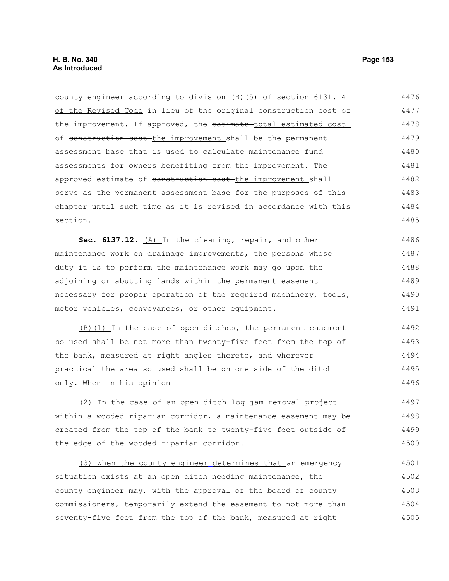county engineer according to division (B)(5) of section 6131.14 of the Revised Code in lieu of the original construction-cost of the improvement. If approved, the estimate total estimated cost of construction cost the improvement shall be the permanent assessment base that is used to calculate maintenance fund assessments for owners benefiting from the improvement. The approved estimate of construction cost-the improvement shall serve as the permanent assessment base for the purposes of this chapter until such time as it is revised in accordance with this section. **Sec. 6137.12.** (A) In the cleaning, repair, and other maintenance work on drainage improvements, the persons whose duty it is to perform the maintenance work may go upon the adjoining or abutting lands within the permanent easement 4476 4477 4478 4479 4480 4481 4482 4483 4484 4485 4486 4487 4488 4489

necessary for proper operation of the required machinery, tools, motor vehicles, conveyances, or other equipment. 4490 4491

(B)(1) In the case of open ditches, the permanent easement so used shall be not more than twenty-five feet from the top of the bank, measured at right angles thereto, and wherever practical the area so used shall be on one side of the ditch only. When in his opinion 4492 4493 4494 4495 4496

(2) In the case of an open ditch log-jam removal project within a wooded riparian corridor, a maintenance easement may be created from the top of the bank to twenty-five feet outside of the edge of the wooded riparian corridor. 4497 4498 4499 4500

 (3) When the county engineer determines that an emergency situation exists at an open ditch needing maintenance, the county engineer may, with the approval of the board of county commissioners, temporarily extend the easement to not more than seventy-five feet from the top of the bank, measured at right 4501 4502 4503 4504 4505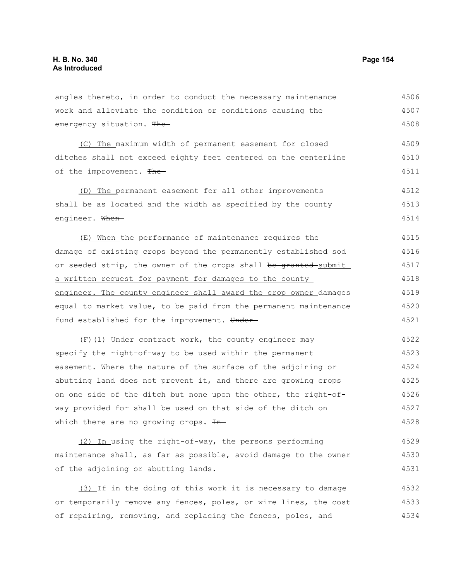4534

| angles thereto, in order to conduct the necessary maintenance    | 4506 |
|------------------------------------------------------------------|------|
| work and alleviate the condition or conditions causing the       | 4507 |
| emergency situation. The                                         | 4508 |
| (C) The maximum width of permanent easement for closed           | 4509 |
| ditches shall not exceed eighty feet centered on the centerline  | 4510 |
| of the improvement. The                                          | 4511 |
| (D) The permanent easement for all other improvements            | 4512 |
| shall be as located and the width as specified by the county     | 4513 |
| engineer. When-                                                  | 4514 |
| (E) When the performance of maintenance requires the             | 4515 |
| damage of existing crops beyond the permanently established sod  | 4516 |
| or seeded strip, the owner of the crops shall be granted-submit  | 4517 |
| a written request for payment for damages to the county          | 4518 |
| engineer. The county engineer shall award the crop owner damages | 4519 |
| equal to market value, to be paid from the permanent maintenance | 4520 |
| fund established for the improvement. Under-                     | 4521 |
| (F) (1) Under contract work, the county engineer may             | 4522 |
| specify the right-of-way to be used within the permanent         | 4523 |
| easement. Where the nature of the surface of the adjoining or    | 4524 |
| abutting land does not prevent it, and there are growing crops   | 4525 |
| on one side of the ditch but none upon the other, the right-of-  | 4526 |
| way provided for shall be used on that side of the ditch on      | 4527 |
| which there are no growing crops. $H$ -                          | 4528 |
| (2) In using the right-of-way, the persons performing            | 4529 |
| maintenance shall, as far as possible, avoid damage to the owner | 4530 |
| of the adjoining or abutting lands.                              | 4531 |
| (3) If in the doing of this work it is necessary to damage       | 4532 |
| or temporarily remove any fences, poles, or wire lines, the cost | 4533 |

of repairing, removing, and replacing the fences, poles, and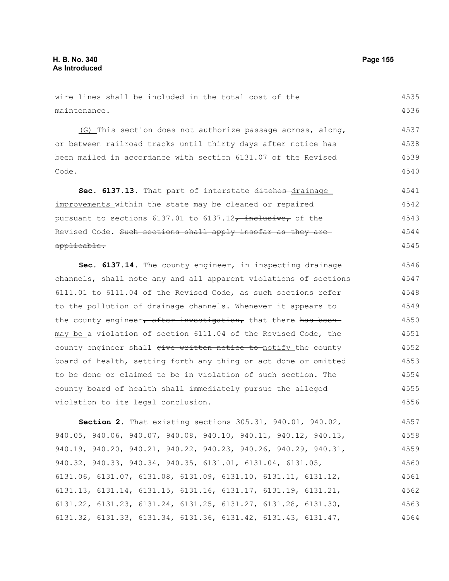## wire lines shall be included in the total cost of the maintenance. 4535 4536

(G) This section does not authorize passage across, along, or between railroad tracks until thirty days after notice has been mailed in accordance with section 6131.07 of the Revised Code. 4537 4538 4539 4540

Sec. 6137.13. That part of interstate ditches-drainage improvements within the state may be cleaned or repaired pursuant to sections  $6137.01$  to  $6137.12$ , inclusive, of the Revised Code. Such sections shall apply insofar as they are applicable. 4541 4542 4543 4544 4545

**Sec. 6137.14.** The county engineer, in inspecting drainage channels, shall note any and all apparent violations of sections 6111.01 to 6111.04 of the Revised Code, as such sections refer to the pollution of drainage channels. Whenever it appears to the county engineer, after investigation, that there has beenmay be a violation of section 6111.04 of the Revised Code, the county engineer shall give written notice to notify the county board of health, setting forth any thing or act done or omitted to be done or claimed to be in violation of such section. The county board of health shall immediately pursue the alleged violation to its legal conclusion. 4546 4547 4548 4549 4550 4551 4552 4553 4554 4555 4556

**Section 2.** That existing sections 305.31, 940.01, 940.02, 940.05, 940.06, 940.07, 940.08, 940.10, 940.11, 940.12, 940.13, 940.19, 940.20, 940.21, 940.22, 940.23, 940.26, 940.29, 940.31, 940.32, 940.33, 940.34, 940.35, 6131.01, 6131.04, 6131.05, 6131.06, 6131.07, 6131.08, 6131.09, 6131.10, 6131.11, 6131.12, 6131.13, 6131.14, 6131.15, 6131.16, 6131.17, 6131.19, 6131.21, 6131.22, 6131.23, 6131.24, 6131.25, 6131.27, 6131.28, 6131.30, 6131.32, 6131.33, 6131.34, 6131.36, 6131.42, 6131.43, 6131.47, 4557 4558 4559 4560 4561 4562 4563 4564